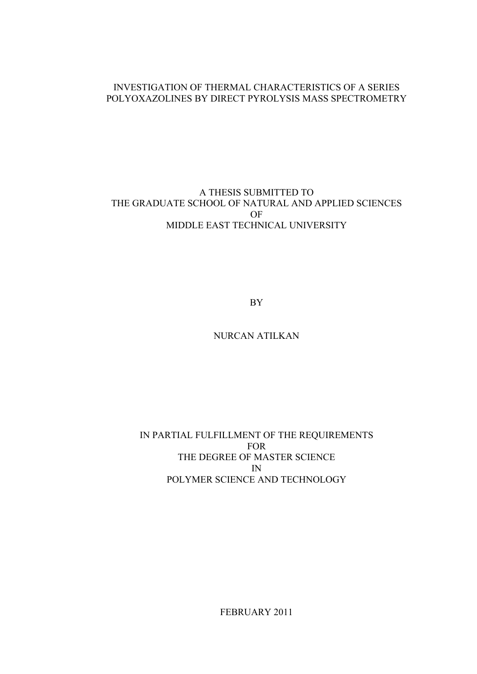# INVESTIGATION OF THERMAL CHARACTERISTICS OF A SERIES POLYOXAZOLINES BY DIRECT PYROLYSIS MASS SPECTROMETRY

# A THESIS SUBMITTED TO THE GRADUATE SCHOOL OF NATURAL AND APPLIED SCIENCES OF MIDDLE EAST TECHNICAL UNIVERSITY

BY

NURCAN ATILKAN

# IN PARTIAL FULFILLMENT OF THE REQUIREMENTS FOR THE DEGREE OF MASTER SCIENCE IN POLYMER SCIENCE AND TECHNOLOGY

FEBRUARY 2011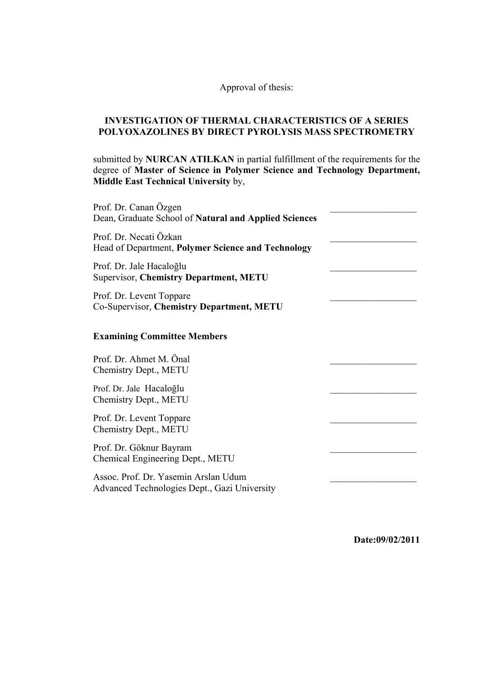# Approval of thesis:

# **INVESTIGATION OF THERMAL CHARACTERISTICS OF A SERIES POLYOXAZOLINES BY DIRECT PYROLYSIS MASS SPECTROMETRY**

submitted by **NURCAN ATILKAN** in partial fulfillment of the requirements for the degree of **Master of Science in Polymer Science and Technology Department, Middle East Technical University** by,

| Prof. Dr. Canan Özgen<br>Dean, Graduate School of Natural and Applied Sciences       |  |
|--------------------------------------------------------------------------------------|--|
| Prof. Dr. Necati Özkan<br>Head of Department, Polymer Science and Technology         |  |
| Prof. Dr. Jale Hacaloğlu<br><b>Supervisor, Chemistry Department, METU</b>            |  |
| Prof. Dr. Levent Toppare<br>Co-Supervisor, Chemistry Department, METU                |  |
| <b>Examining Committee Members</b>                                                   |  |
| Prof. Dr. Ahmet M. Önal<br>Chemistry Dept., METU                                     |  |
| Prof. Dr. Jale Hacaloğlu<br>Chemistry Dept., METU                                    |  |
| Prof. Dr. Levent Toppare<br>Chemistry Dept., METU                                    |  |
| Prof. Dr. Göknur Bayram<br>Chemical Engineering Dept., METU                          |  |
| Assoc. Prof. Dr. Yasemin Arslan Udum<br>Advanced Technologies Dept., Gazi University |  |

**Date:09/02/2011**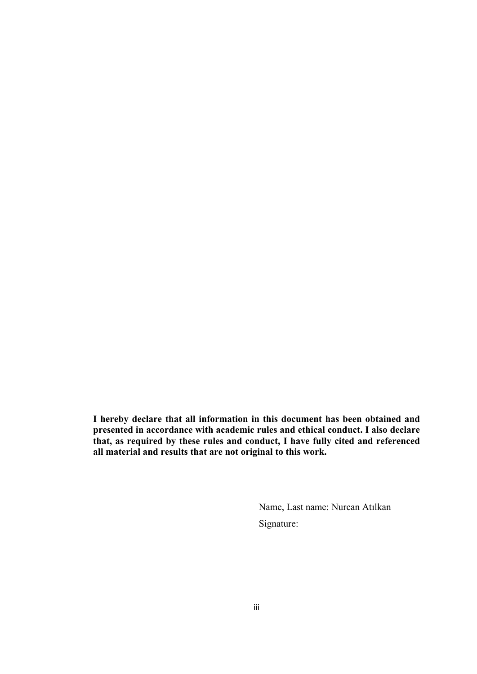**I hereby declare that all information in this document has been obtained and presented in accordance with academic rules and ethical conduct. I also declare that, as required by these rules and conduct, I have fully cited and referenced all material and results that are not original to this work.** 

> Name, Last name: Nurcan Atılkan Signature: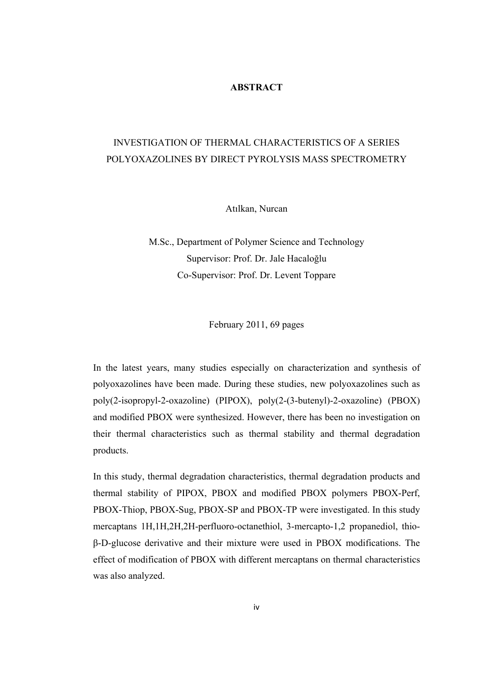### **ABSTRACT**

# INVESTIGATION OF THERMAL CHARACTERISTICS OF A SERIES POLYOXAZOLINES BY DIRECT PYROLYSIS MASS SPECTROMETRY

Atılkan, Nurcan

M.Sc., Department of Polymer Science and Technology Supervisor: Prof. Dr. Jale Hacaloğlu Co-Supervisor: Prof. Dr. Levent Toppare

February 2011, 69 pages

In the latest years, many studies especially on characterization and synthesis of polyoxazolines have been made. During these studies, new polyoxazolines such as poly(2-isopropyl-2-oxazoline) (PIPOX), poly(2-(3-butenyl)-2-oxazoline) (PBOX) and modified PBOX were synthesized. However, there has been no investigation on their thermal characteristics such as thermal stability and thermal degradation products.

In this study, thermal degradation characteristics, thermal degradation products and thermal stability of PIPOX, PBOX and modified PBOX polymers PBOX-Perf, PBOX-Thiop, PBOX-Sug, PBOX-SP and PBOX-TP were investigated. In this study mercaptans 1H,1H,2H,2H-perfluoro-octanethiol, 3-mercapto-1,2 propanediol, thioβ-D-glucose derivative and their mixture were used in PBOX modifications. The effect of modification of PBOX with different mercaptans on thermal characteristics was also analyzed.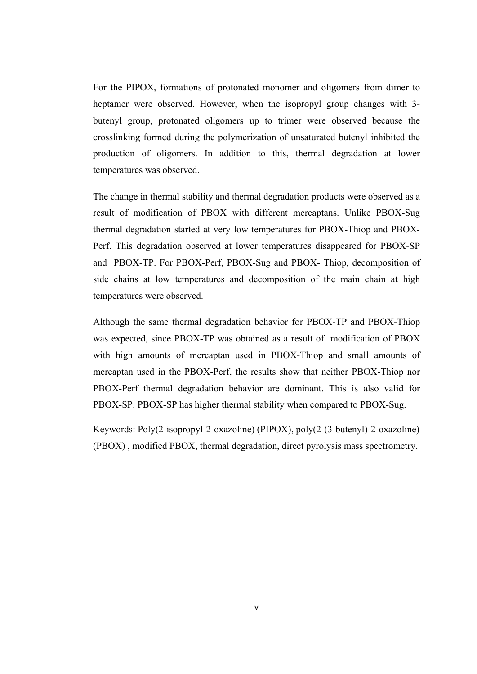For the PIPOX, formations of protonated monomer and oligomers from dimer to heptamer were observed. However, when the isopropyl group changes with 3 butenyl group, protonated oligomers up to trimer were observed because the crosslinking formed during the polymerization of unsaturated butenyl inhibited the production of oligomers. In addition to this, thermal degradation at lower temperatures was observed.

The change in thermal stability and thermal degradation products were observed as a result of modification of PBOX with different mercaptans. Unlike PBOX-Sug thermal degradation started at very low temperatures for PBOX-Thiop and PBOX-Perf. This degradation observed at lower temperatures disappeared for PBOX-SP and PBOX-TP. For PBOX-Perf, PBOX-Sug and PBOX- Thiop, decomposition of side chains at low temperatures and decomposition of the main chain at high temperatures were observed.

Although the same thermal degradation behavior for PBOX-TP and PBOX-Thiop was expected, since PBOX-TP was obtained as a result of modification of PBOX with high amounts of mercaptan used in PBOX-Thiop and small amounts of mercaptan used in the PBOX-Perf, the results show that neither PBOX-Thiop nor PBOX-Perf thermal degradation behavior are dominant. This is also valid for PBOX-SP. PBOX-SP has higher thermal stability when compared to PBOX-Sug.

Keywords: Poly(2-isopropyl-2-oxazoline) (PIPOX), poly(2-(3-butenyl)-2-oxazoline) (PBOX) , modified PBOX, thermal degradation, direct pyrolysis mass spectrometry.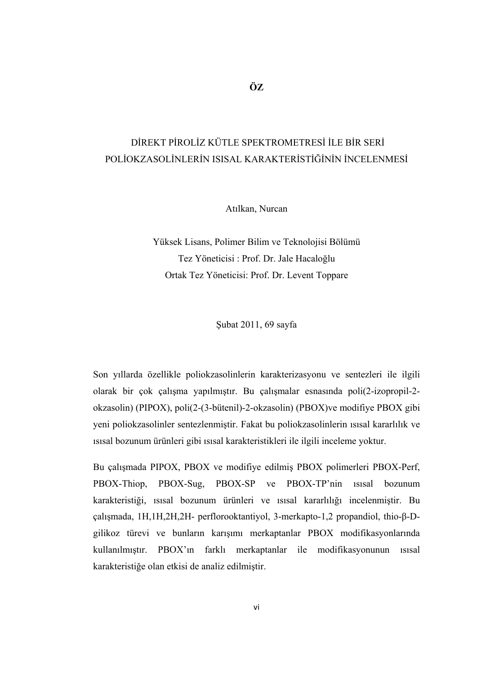# DİREKT PİROLİZ KÜTLE SPEKTROMETRESİ İLE BİR SERİ POLİOKZASOLİNLERİN ISISAL KARAKTERİSTİĞİNİN İNCELENMESİ

Atılkan, Nurcan

Yüksek Lisans, Polimer Bilim ve Teknolojisi Bölümü Tez Yöneticisi : Prof. Dr. Jale Hacaloğlu Ortak Tez Yöneticisi: Prof. Dr. Levent Toppare

Şubat 2011, 69 sayfa

Son yıllarda özellikle poliokzasolinlerin karakterizasyonu ve sentezleri ile ilgili olarak bir çok çalışma yapılmıştır. Bu çalışmalar esnasında poli(2-izopropil-2 okzasolin) (PIPOX), poli(2-(3-bütenil)-2-okzasolin) (PBOX)ve modifiye PBOX gibi yeni poliokzasolinler sentezlenmiştir. Fakat bu poliokzasolinlerin ısısal kararlılık ve ısısal bozunum ürünleri gibi ısısal karakteristikleri ile ilgili inceleme yoktur.

Bu çalışmada PIPOX, PBOX ve modifiye edilmiş PBOX polimerleri PBOX-Perf, PBOX-Thiop, PBOX-Sug, PBOX-SP ve PBOX-TP'nin ısısal bozunum karakteristiği, ısısal bozunum ürünleri ve ısısal kararlılığı incelenmiştir. Bu çalışmada, 1H,1H,2H,2H- perflorooktantiyol, 3-merkapto-1,2 propandiol, thio-β-Dgilikoz türevi ve bunların karışımı merkaptanlar PBOX modifikasyonlarında kullanılmıştır. PBOX'ın farklı merkaptanlar ile modifikasyonunun ısısal karakteristiğe olan etkisi de analiz edilmiştir.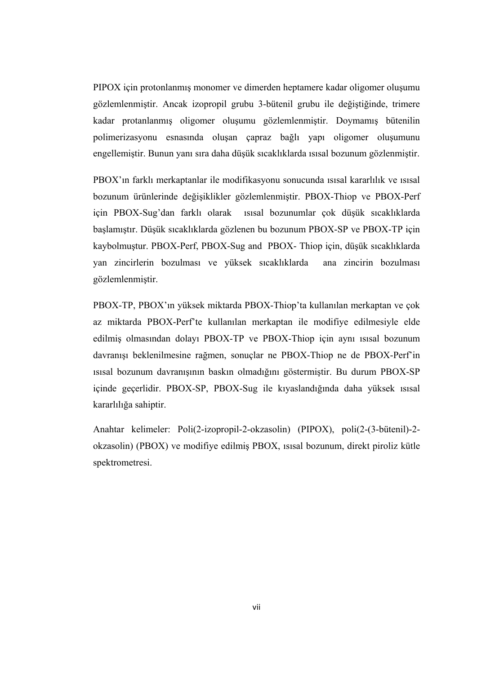PIPOX için protonlanmış monomer ve dimerden heptamere kadar oligomer oluşumu gözlemlenmiştir. Ancak izopropil grubu 3-bütenil grubu ile değiştiğinde, trimere kadar protanlanmış oligomer oluşumu gözlemlenmiştir. Doymamış bütenilin polimerizasyonu esnasında oluşan çapraz bağlı yapı oligomer oluşumunu engellemiştir. Bunun yanı sıra daha düşük sıcaklıklarda ısısal bozunum gözlenmiştir.

PBOX'ın farklı merkaptanlar ile modifikasyonu sonucunda ısısal kararlılık ve ısısal bozunum ürünlerinde değişiklikler gözlemlenmiştir. PBOX-Thiop ve PBOX-Perf için PBOX-Sug'dan farklı olarak ısısal bozunumlar çok düşük sıcaklıklarda başlamıştır. Düşük sıcaklıklarda gözlenen bu bozunum PBOX-SP ve PBOX-TP için kaybolmuştur. PBOX-Perf, PBOX-Sug and PBOX- Thiop için, düşük sıcaklıklarda yan zincirlerin bozulması ve yüksek sıcaklıklarda ana zincirin bozulması gözlemlenmiştir.

PBOX-TP, PBOX'ın yüksek miktarda PBOX-Thiop'ta kullanılan merkaptan ve çok az miktarda PBOX-Perf'te kullanılan merkaptan ile modifiye edilmesiyle elde edilmiş olmasından dolayı PBOX-TP ve PBOX-Thiop için aynı ısısal bozunum davranışı beklenilmesine rağmen, sonuçlar ne PBOX-Thiop ne de PBOX-Perf'in ısısal bozunum davranışının baskın olmadığını göstermiştir. Bu durum PBOX-SP içinde geçerlidir. PBOX-SP, PBOX-Sug ile kıyaslandığında daha yüksek ısısal kararlılığa sahiptir.

Anahtar kelimeler: Poli(2-izopropil-2-okzasolin) (PIPOX), poli(2-(3-bütenil)-2 okzasolin) (PBOX) ve modifiye edilmiş PBOX, ısısal bozunum, direkt piroliz kütle spektrometresi.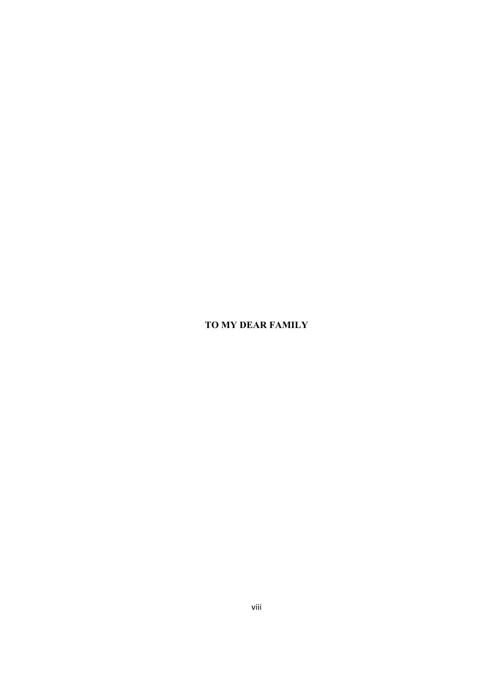# **TO MY DEAR FAMILY**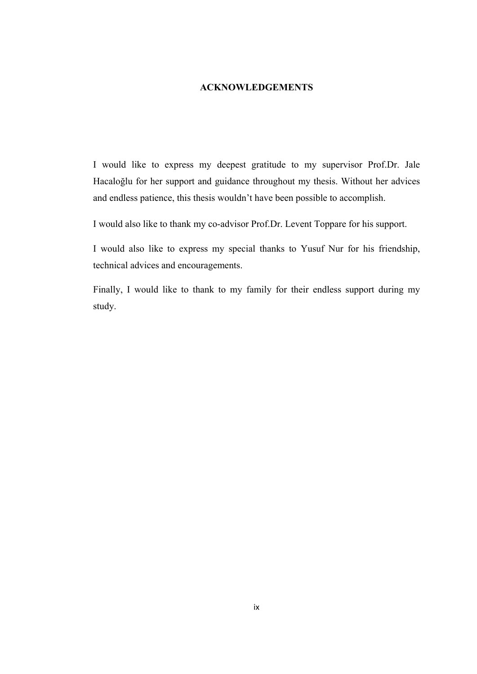### **ACKNOWLEDGEMENTS**

I would like to express my deepest gratitude to my supervisor Prof.Dr. Jale Hacaloğlu for her support and guidance throughout my thesis. Without her advices and endless patience, this thesis wouldn't have been possible to accomplish.

I would also like to thank my co-advisor Prof.Dr. Levent Toppare for his support.

I would also like to express my special thanks to Yusuf Nur for his friendship, technical advices and encouragements.

Finally, I would like to thank to my family for their endless support during my study.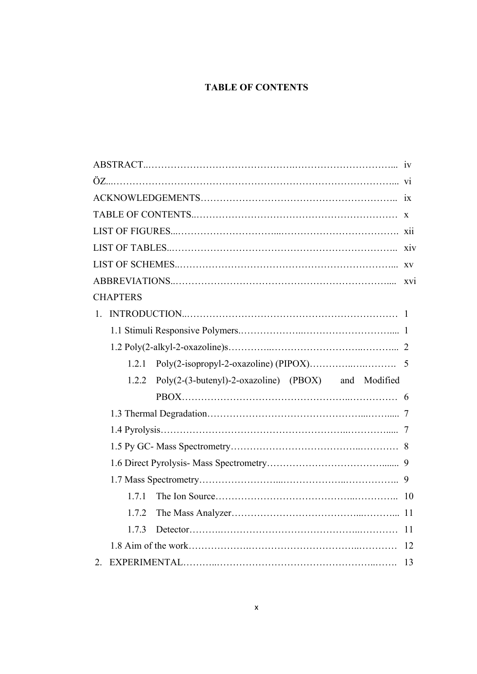# **TABLE OF CONTENTS**

| <b>CHAPTERS</b>                                            |  |  |  |
|------------------------------------------------------------|--|--|--|
| 1.                                                         |  |  |  |
|                                                            |  |  |  |
|                                                            |  |  |  |
| 121                                                        |  |  |  |
|                                                            |  |  |  |
| Poly(2-(3-butenyl)-2-oxazoline) (PBOX) and Modified<br>122 |  |  |  |
|                                                            |  |  |  |
|                                                            |  |  |  |
|                                                            |  |  |  |
|                                                            |  |  |  |
|                                                            |  |  |  |
|                                                            |  |  |  |
| 1.7.1                                                      |  |  |  |
| 1.7.2                                                      |  |  |  |
| 1.7.3                                                      |  |  |  |
|                                                            |  |  |  |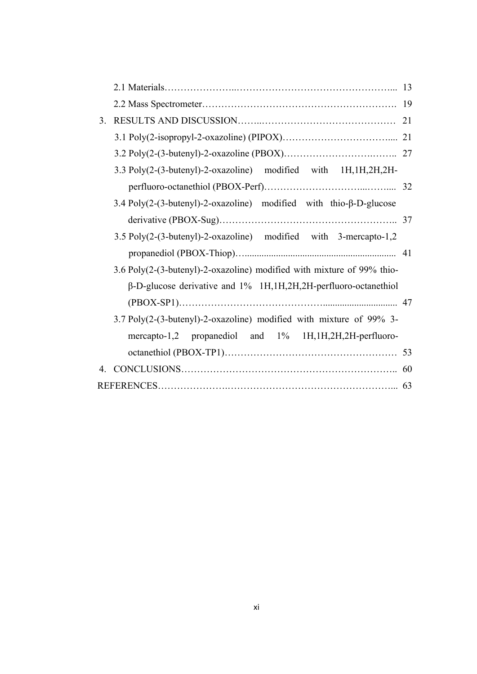|                |                                                                        | -19 |
|----------------|------------------------------------------------------------------------|-----|
| 3 <sub>1</sub> |                                                                        | 21  |
|                |                                                                        |     |
|                |                                                                        |     |
|                | 3.3 Poly(2-(3-butenyl)-2-oxazoline) modified with 1H,1H,2H,2H-         |     |
|                |                                                                        |     |
|                | 3.4 Poly(2-(3-butenyl)-2-oxazoline) modified with thio-β-D-glucose     |     |
|                |                                                                        |     |
|                | 3.5 Poly(2-(3-butenyl)-2-oxazoline) modified with 3-mercapto-1,2       |     |
|                |                                                                        |     |
|                | 3.6 Poly(2-(3-butenyl)-2-oxazoline) modified with mixture of 99% thio- |     |
|                | $\beta$ -D-glucose derivative and 1% 1H,1H,2H,2H-perfluoro-octanethiol |     |
|                |                                                                        |     |
|                | 3.7 Poly(2-(3-butenyl)-2-oxazoline) modified with mixture of 99% 3-    |     |
|                | mercapto-1,2 propanediol and 1% 1H,1H,2H,2H-perfluoro-                 |     |
|                |                                                                        |     |
|                |                                                                        | 60  |
|                |                                                                        |     |
|                |                                                                        |     |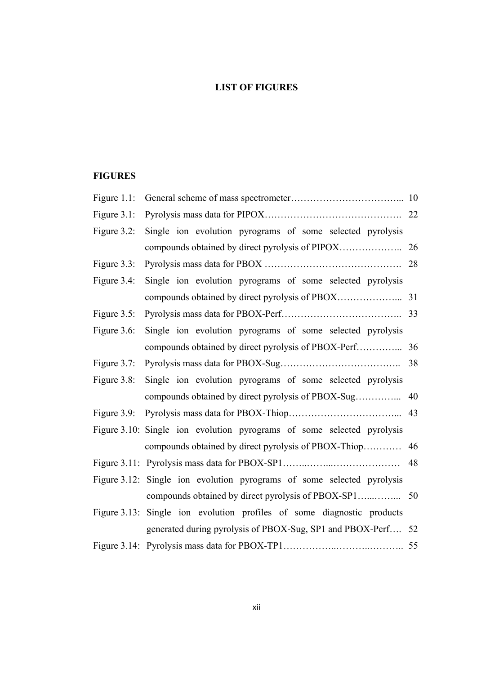# **LIST OF FIGURES**

# **FIGURES**

| Figure $1.1$ : |                                                                        |    |
|----------------|------------------------------------------------------------------------|----|
| Figure $3.1$ : |                                                                        |    |
| Figure $3.2$ : | Single ion evolution pyrograms of some selected pyrolysis              |    |
|                |                                                                        |    |
| Figure $3.3$ : |                                                                        |    |
| Figure 3.4:    | Single ion evolution pyrograms of some selected pyrolysis              |    |
|                |                                                                        |    |
| Figure $3.5$ : |                                                                        |    |
| Figure 3.6:    | Single ion evolution pyrograms of some selected pyrolysis              |    |
|                |                                                                        |    |
| Figure $3.7$ : |                                                                        |    |
| Figure $3.8$ : | Single ion evolution pyrograms of some selected pyrolysis              |    |
|                |                                                                        |    |
|                |                                                                        |    |
|                | Figure 3.10: Single ion evolution pyrograms of some selected pyrolysis |    |
|                |                                                                        |    |
|                |                                                                        | 48 |
|                | Figure 3.12: Single ion evolution pyrograms of some selected pyrolysis |    |
|                |                                                                        |    |
|                | Figure 3.13: Single ion evolution profiles of some diagnostic products |    |
|                | generated during pyrolysis of PBOX-Sug, SP1 and PBOX-Perf 52           |    |
|                |                                                                        |    |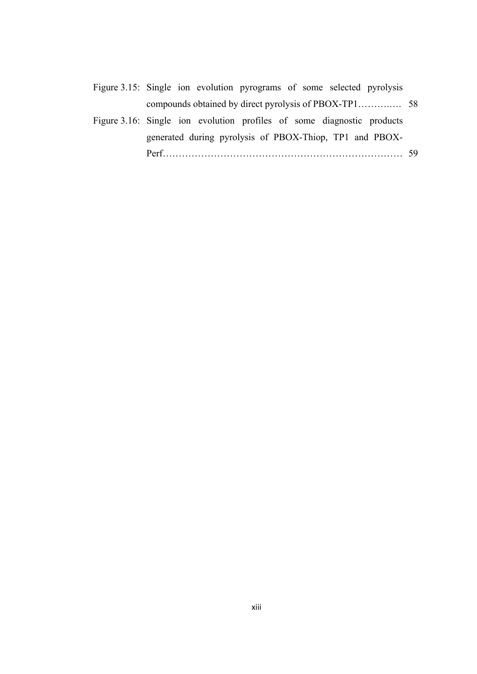| Figure 3.15: Single ion evolution pyrograms of some selected pyrolysis |  |  |  |  |  |
|------------------------------------------------------------------------|--|--|--|--|--|
|                                                                        |  |  |  |  |  |
| Figure 3.16: Single ion evolution profiles of some diagnostic products |  |  |  |  |  |

|      |  | generated during pyrolysis of PBOX-Thiop, TP1 and PBOX- |  |  |
|------|--|---------------------------------------------------------|--|--|
| Perf |  |                                                         |  |  |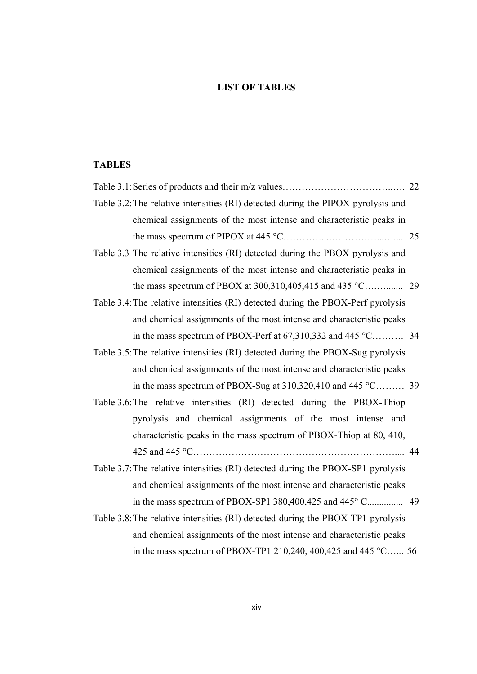# **LIST OF TABLES**

# **TABLES**

| Table 3.2: The relative intensities (RI) detected during the PIPOX pyrolysis and |  |
|----------------------------------------------------------------------------------|--|
| chemical assignments of the most intense and characteristic peaks in             |  |
|                                                                                  |  |
| Table 3.3 The relative intensities (RI) detected during the PBOX pyrolysis and   |  |
| chemical assignments of the most intense and characteristic peaks in             |  |
|                                                                                  |  |
| Table 3.4: The relative intensities (RI) detected during the PBOX-Perf pyrolysis |  |
| and chemical assignments of the most intense and characteristic peaks            |  |
| in the mass spectrum of PBOX-Perf at $67,310,332$ and $445$ °C 34                |  |
| Table 3.5: The relative intensities (RI) detected during the PBOX-Sug pyrolysis  |  |
| and chemical assignments of the most intense and characteristic peaks            |  |
| in the mass spectrum of PBOX-Sug at $310,320,410$ and $445$ °C 39                |  |
| Table 3.6: The relative intensities (RI) detected during the PBOX-Thiop          |  |
| pyrolysis and chemical assignments of the most intense and                       |  |
| characteristic peaks in the mass spectrum of PBOX-Thiop at 80, 410,              |  |
|                                                                                  |  |
| Table 3.7: The relative intensities (RI) detected during the PBOX-SP1 pyrolysis  |  |
| and chemical assignments of the most intense and characteristic peaks            |  |
|                                                                                  |  |
| Table 3.8: The relative intensities (RI) detected during the PBOX-TP1 pyrolysis  |  |
| and chemical assignments of the most intense and characteristic peaks            |  |

in the mass spectrum of PBOX-TP1 210,240, 400,425 and 445 °C…... 56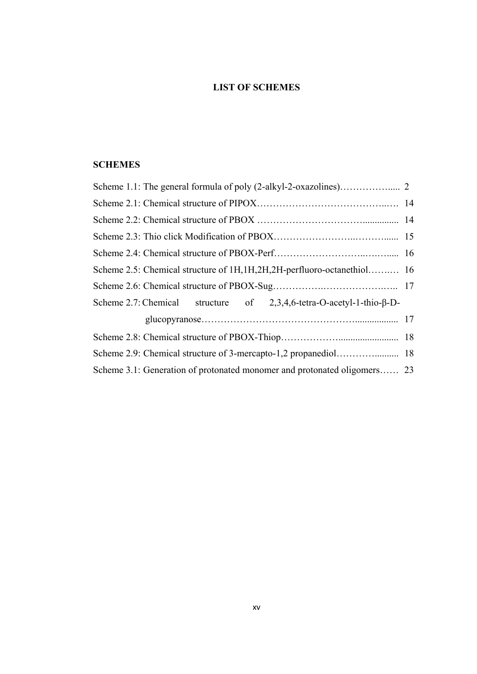# **LIST OF SCHEMES**

# **SCHEMES**

| Scheme 2.5: Chemical structure of 1H, 1H, 2H, 2H-perfluoro-octanethiol 16       |  |
|---------------------------------------------------------------------------------|--|
|                                                                                 |  |
| Scheme 2.7: Chemical structure of $2,3,4,6$ -tetra-O-acetyl-1-thio- $\beta$ -D- |  |
|                                                                                 |  |
|                                                                                 |  |
|                                                                                 |  |
| Scheme 3.1: Generation of protonated monomer and protonated oligomers 23        |  |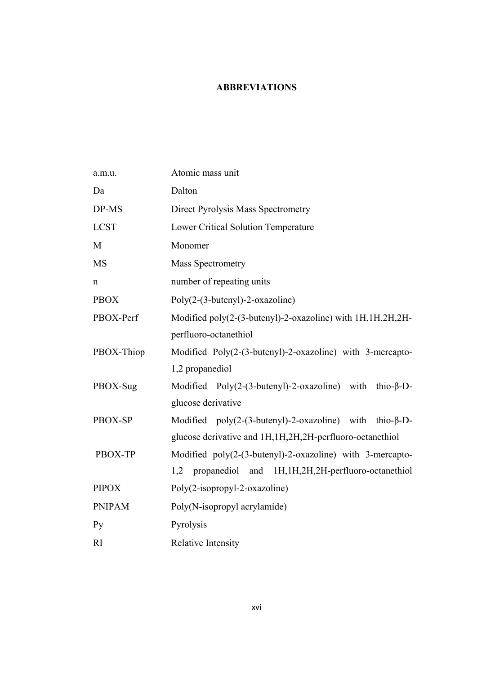# **ABBREVIATIONS**

| a.m.u.         | Atomic mass unit                                                   |  |  |  |  |
|----------------|--------------------------------------------------------------------|--|--|--|--|
| Da             | Dalton                                                             |  |  |  |  |
| DP-MS          | Direct Pyrolysis Mass Spectrometry                                 |  |  |  |  |
| <b>LCST</b>    | Lower Critical Solution Temperature                                |  |  |  |  |
| M              | Monomer                                                            |  |  |  |  |
| <b>MS</b>      | <b>Mass Spectrometry</b>                                           |  |  |  |  |
| n              | number of repeating units                                          |  |  |  |  |
| <b>PBOX</b>    | $Poly(2-(3-butenyl)-2-oxazoline)$                                  |  |  |  |  |
| PBOX-Perf      | Modified poly(2-(3-butenyl)-2-oxazoline) with 1H, 1H, 2H, 2H-      |  |  |  |  |
|                | perfluoro-octanethiol                                              |  |  |  |  |
| PBOX-Thiop     | Modified Poly(2-(3-butenyl)-2-oxazoline) with 3-mercapto-          |  |  |  |  |
|                | 1,2 propanediol                                                    |  |  |  |  |
| PBOX-Sug       | Modified Poly $(2-(3-butenyl)-2-oxazoline)$ with thio- $\beta$ -D- |  |  |  |  |
|                | glucose derivative                                                 |  |  |  |  |
| PBOX-SP        | Modified $poly(2-(3-buteny))$ -2-oxazoline) with thio- $\beta$ -D- |  |  |  |  |
|                | glucose derivative and 1H, 1H, 2H, 2H-perfluoro-octanethiol        |  |  |  |  |
| PBOX-TP        | Modified $poly(2-(3-butenyl)-2-oxazoline)$ with 3-mercapto-        |  |  |  |  |
|                | propanediol and 1H, 1H, 2H, 2H-perfluoro-octanethiol<br>1,2        |  |  |  |  |
| <b>PIPOX</b>   | Poly(2-isopropyl-2-oxazoline)                                      |  |  |  |  |
| <b>PNIPAM</b>  | Poly(N-isopropyl acrylamide)                                       |  |  |  |  |
| P <sub>V</sub> | Pyrolysis                                                          |  |  |  |  |
| RI             | Relative Intensity                                                 |  |  |  |  |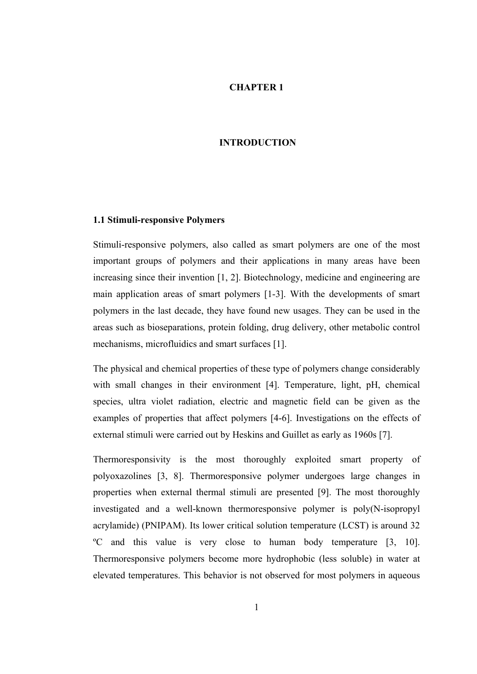#### **CHAPTER 1**

#### **INTRODUCTION**

#### **1.1 Stimuli-responsive Polymers**

Stimuli-responsive polymers, also called as smart polymers are one of the most important groups of polymers and their applications in many areas have been increasing since their invention [1, 2]. Biotechnology, medicine and engineering are main application areas of smart polymers [1-3]. With the developments of smart polymers in the last decade, they have found new usages. They can be used in the areas such as bioseparations, protein folding, drug delivery, other metabolic control mechanisms, microfluidics and smart surfaces [1].

The physical and chemical properties of these type of polymers change considerably with small changes in their environment [4]. Temperature, light, pH, chemical species, ultra violet radiation, electric and magnetic field can be given as the examples of properties that affect polymers [4-6]. Investigations on the effects of external stimuli were carried out by Heskins and Guillet as early as 1960s [7].

Thermoresponsivity is the most thoroughly exploited smart property of polyoxazolines [3, 8]. Thermoresponsive polymer undergoes large changes in properties when external thermal stimuli are presented [9]. The most thoroughly investigated and a well-known thermoresponsive polymer is poly(N-isopropyl acrylamide) (PNIPAM). Its lower critical solution temperature (LCST) is around 32 ºC and this value is very close to human body temperature [3, 10]. Thermoresponsive polymers become more hydrophobic (less soluble) in water at elevated temperatures. This behavior is not observed for most polymers in aqueous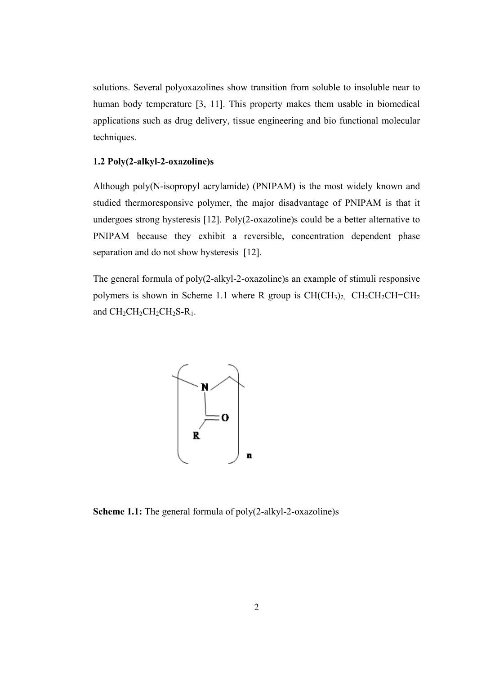solutions. Several polyoxazolines show transition from soluble to insoluble near to human body temperature [3, 11]. This property makes them usable in biomedical applications such as drug delivery, tissue engineering and bio functional molecular techniques.

### **1.2 Poly(2-alkyl-2-oxazoline)s**

Although poly(N-isopropyl acrylamide) (PNIPAM) is the most widely known and studied thermoresponsive polymer, the major disadvantage of PNIPAM is that it undergoes strong hysteresis [12]. Poly(2-oxazoline)s could be a better alternative to PNIPAM because they exhibit a reversible, concentration dependent phase separation and do not show hysteresis [12].

The general formula of poly(2-alkyl-2-oxazoline)s an example of stimuli responsive polymers is shown in Scheme 1.1 where R group is  $CH(CH_3)_2$ ,  $CH_2CH_2CH=CH_2$ and  $CH_2CH_2CH_2CH_2S-R_1$ .



**Scheme 1.1:** The general formula of poly(2-alkyl-2-oxazoline)s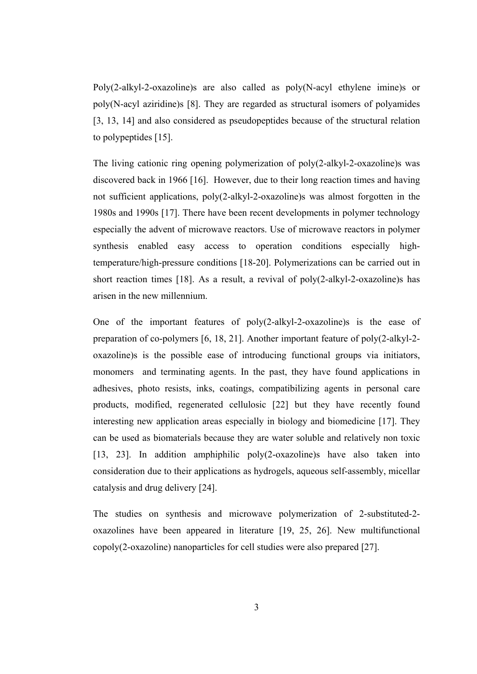Poly(2-alkyl-2-oxazoline)s are also called as poly(N-acyl ethylene imine)s or poly(N-acyl aziridine)s [8]. They are regarded as structural isomers of polyamides [3, 13, 14] and also considered as pseudopeptides because of the structural relation to polypeptides [15].

The living cationic ring opening polymerization of poly(2-alkyl-2-oxazoline)s was discovered back in 1966 [16]. However, due to their long reaction times and having not sufficient applications, poly(2-alkyl-2-oxazoline)s was almost forgotten in the 1980s and 1990s [17]. There have been recent developments in polymer technology especially the advent of microwave reactors. Use of microwave reactors in polymer synthesis enabled easy access to operation conditions especially hightemperature/high-pressure conditions [18-20]. Polymerizations can be carried out in short reaction times [18]. As a result, a revival of poly(2-alkyl-2-oxazoline)s has arisen in the new millennium.

One of the important features of poly(2-alkyl-2-oxazoline)s is the ease of preparation of co-polymers [6, 18, 21]. Another important feature of poly(2-alkyl-2 oxazoline)s is the possible ease of introducing functional groups via initiators, monomers and terminating agents. In the past, they have found applications in adhesives, photo resists, inks, coatings, compatibilizing agents in personal care products, modified, regenerated cellulosic [22] but they have recently found interesting new application areas especially in biology and biomedicine [17]. They can be used as biomaterials because they are water soluble and relatively non toxic [13, 23]. In addition amphiphilic poly(2-oxazoline)s have also taken into consideration due to their applications as hydrogels, aqueous self-assembly, micellar catalysis and drug delivery [24].

The studies on synthesis and microwave polymerization of 2-substituted-2 oxazolines have been appeared in literature [19, 25, 26]. New multifunctional copoly(2-oxazoline) nanoparticles for cell studies were also prepared [27].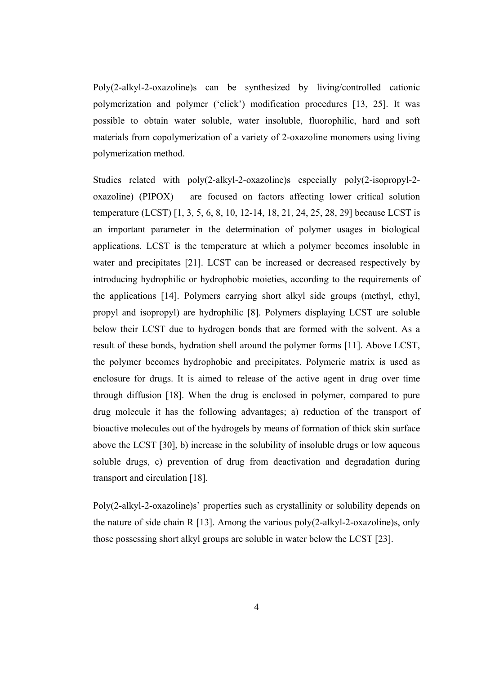Poly(2-alkyl-2-oxazoline)s can be synthesized by living/controlled cationic polymerization and polymer ('click') modification procedures [13, 25]. It was possible to obtain water soluble, water insoluble, fluorophilic, hard and soft materials from copolymerization of a variety of 2-oxazoline monomers using living polymerization method.

Studies related with poly(2-alkyl-2-oxazoline)s especially poly(2-isopropyl-2 oxazoline) (PIPOX) are focused on factors affecting lower critical solution temperature (LCST) [1, 3, 5, 6, 8, 10, 12-14, 18, 21, 24, 25, 28, 29] because LCST is an important parameter in the determination of polymer usages in biological applications. LCST is the temperature at which a polymer becomes insoluble in water and precipitates [21]. LCST can be increased or decreased respectively by introducing hydrophilic or hydrophobic moieties, according to the requirements of the applications [14]. Polymers carrying short alkyl side groups (methyl, ethyl, propyl and isopropyl) are hydrophilic [8]. Polymers displaying LCST are soluble below their LCST due to hydrogen bonds that are formed with the solvent. As a result of these bonds, hydration shell around the polymer forms [11]. Above LCST, the polymer becomes hydrophobic and precipitates. Polymeric matrix is used as enclosure for drugs. It is aimed to release of the active agent in drug over time through diffusion [18]. When the drug is enclosed in polymer, compared to pure drug molecule it has the following advantages; a) reduction of the transport of bioactive molecules out of the hydrogels by means of formation of thick skin surface above the LCST [30], b) increase in the solubility of insoluble drugs or low aqueous soluble drugs, c) prevention of drug from deactivation and degradation during transport and circulation [18].

Poly(2-alkyl-2-oxazoline)s' properties such as crystallinity or solubility depends on the nature of side chain R [13]. Among the various poly(2-alkyl-2-oxazoline)s, only those possessing short alkyl groups are soluble in water below the LCST [23].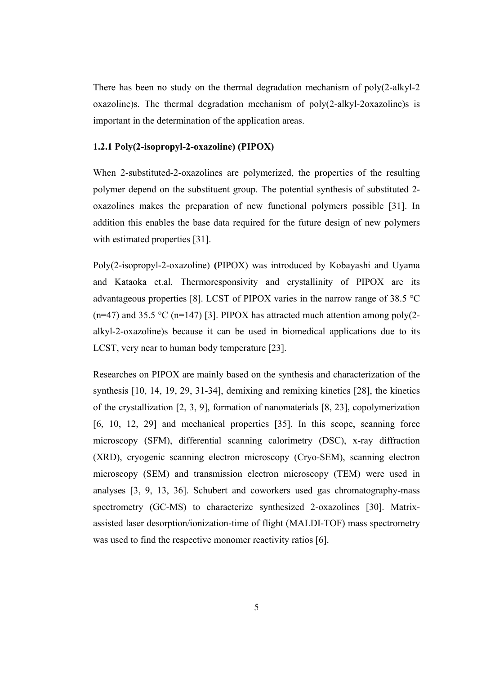There has been no study on the thermal degradation mechanism of poly(2-alkyl-2 oxazoline)s. The thermal degradation mechanism of poly(2-alkyl-2oxazoline)s is important in the determination of the application areas.

## **1.2.1 Poly(2-isopropyl-2-oxazoline) (PIPOX)**

When 2-substituted-2-oxazolines are polymerized, the properties of the resulting polymer depend on the substituent group. The potential synthesis of substituted 2 oxazolines makes the preparation of new functional polymers possible [31]. In addition this enables the base data required for the future design of new polymers with estimated properties [31].

Poly(2-isopropyl-2-oxazoline) **(**PIPOX) was introduced by Kobayashi and Uyama and Kataoka et.al. Thermoresponsivity and crystallinity of PIPOX are its advantageous properties [8]. LCST of PIPOX varies in the narrow range of 38.5 °C (n=47) and 35.5 °C (n=147) [3]. PIPOX has attracted much attention among poly(2alkyl-2-oxazoline)s because it can be used in biomedical applications due to its LCST, very near to human body temperature [23].

Researches on PIPOX are mainly based on the synthesis and characterization of the synthesis [10, 14, 19, 29, 31-34], demixing and remixing kinetics [28], the kinetics of the crystallization [2, 3, 9], formation of nanomaterials [8, 23], copolymerization [6, 10, 12, 29] and mechanical properties [35]. In this scope, scanning force microscopy (SFM), differential scanning calorimetry (DSC), x-ray diffraction (XRD), cryogenic scanning electron microscopy (Cryo-SEM), scanning electron microscopy (SEM) and transmission electron microscopy (TEM) were used in analyses [3, 9, 13, 36]. Schubert and coworkers used gas chromatography-mass spectrometry (GC-MS) to characterize synthesized 2-oxazolines [30]. Matrixassisted laser desorption/ionization-time of flight (MALDI-TOF) mass spectrometry was used to find the respective monomer reactivity ratios [6].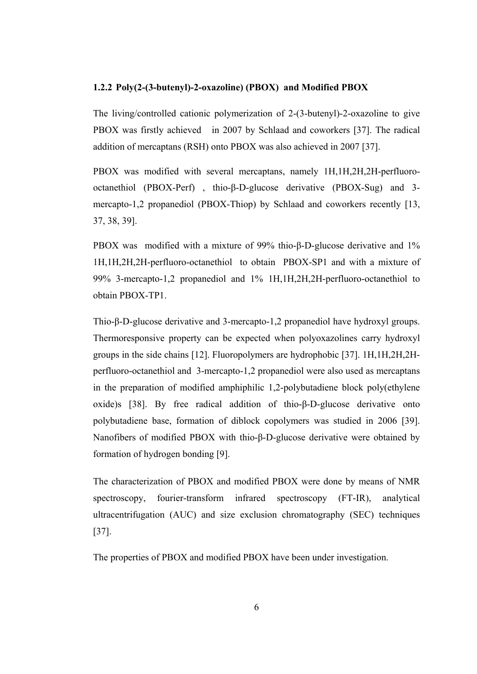#### **1.2.2 Poly(2-(3-butenyl)-2-oxazoline) (PBOX) and Modified PBOX**

The living/controlled cationic polymerization of 2-(3-butenyl)-2-oxazoline to give PBOX was firstly achieved in 2007 by Schlaad and coworkers [37]. The radical addition of mercaptans (RSH) onto PBOX was also achieved in 2007 [37].

PBOX was modified with several mercaptans, namely 1H,1H,2H,2H-perfluorooctanethiol (PBOX-Perf) , thio-β-D-glucose derivative (PBOX-Sug) and 3 mercapto-1,2 propanediol (PBOX-Thiop) by Schlaad and coworkers recently [13, 37, 38, 39].

PBOX was modified with a mixture of 99% thio-β-D-glucose derivative and 1% 1H,1H,2H,2H-perfluoro-octanethiol to obtain PBOX-SP1 and with a mixture of 99% 3-mercapto-1,2 propanediol and 1% 1H,1H,2H,2H-perfluoro-octanethiol to obtain PBOX-TP1.

Thio-β-D-glucose derivative and 3-mercapto-1,2 propanediol have hydroxyl groups. Thermoresponsive property can be expected when polyoxazolines carry hydroxyl groups in the side chains [12]. Fluoropolymers are hydrophobic [37]. 1H,1H,2H,2Hperfluoro-octanethiol and 3-mercapto-1,2 propanediol were also used as mercaptans in the preparation of modified amphiphilic 1,2-polybutadiene block poly(ethylene oxide)s [38]. By free radical addition of thio-β-D-glucose derivative onto polybutadiene base, formation of diblock copolymers was studied in 2006 [39]. Nanofibers of modified PBOX with thio-β-D-glucose derivative were obtained by formation of hydrogen bonding [9].

The characterization of PBOX and modified PBOX were done by means of NMR spectroscopy, fourier-transform infrared spectroscopy (FT-IR), analytical ultracentrifugation (AUC) and size exclusion chromatography (SEC) techniques [37].

The properties of PBOX and modified PBOX have been under investigation.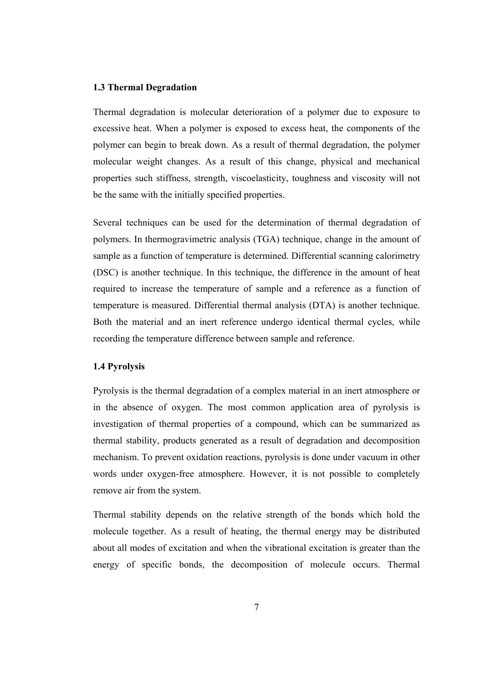#### **1.3 Thermal Degradation**

Thermal degradation is molecular deterioration of a polymer due to exposure to excessive heat. When a polymer is exposed to excess heat, the components of the polymer can begin to break down. As a result of thermal degradation, the polymer molecular weight changes. As a result of this change, physical and mechanical properties such stiffness, strength, viscoelasticity, toughness and viscosity will not be the same with the initially specified properties.

Several techniques can be used for the determination of thermal degradation of polymers. In thermogravimetric analysis (TGA) technique, change in the amount of sample as a function of temperature is determined. Differential scanning calorimetry (DSC) is another technique. In this technique, the difference in the amount of heat required to increase the temperature of sample and a reference as a function of temperature is measured. Differential thermal analysis (DTA) is another technique. Both the material and an inert reference undergo identical thermal cycles, while recording the temperature difference between sample and reference.

#### **1.4 Pyrolysis**

Pyrolysis is the thermal degradation of a complex material in an inert atmosphere or in the absence of oxygen. The most common application area of pyrolysis is investigation of thermal properties of a compound, which can be summarized as thermal stability, products generated as a result of degradation and decomposition mechanism. To prevent oxidation reactions, pyrolysis is done under vacuum in other words under oxygen-free atmosphere. However, it is not possible to completely remove air from the system.

Thermal stability depends on the relative strength of the bonds which hold the molecule together. As a result of heating, the thermal energy may be distributed about all modes of excitation and when the vibrational excitation is greater than the energy of specific bonds, the decomposition of molecule occurs. Thermal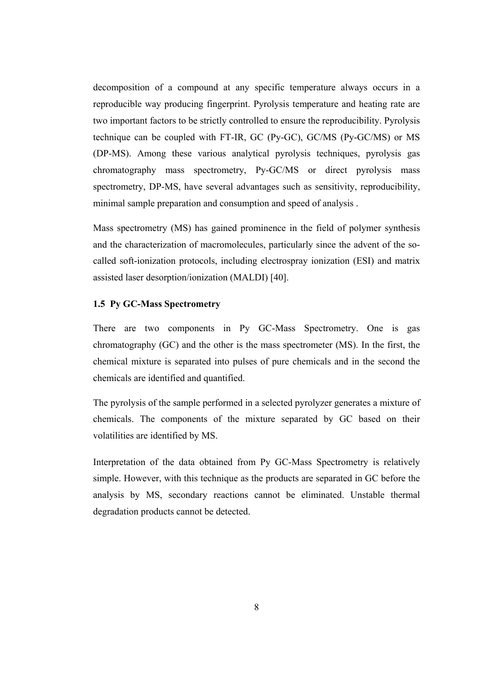decomposition of a compound at any specific temperature always occurs in a reproducible way producing fingerprint. Pyrolysis temperature and heating rate are two important factors to be strictly controlled to ensure the reproducibility. Pyrolysis technique can be coupled with FT-IR, GC (Py-GC), GC/MS (Py-GC/MS) or MS (DP-MS). Among these various analytical pyrolysis techniques, pyrolysis gas chromatography mass spectrometry, Py-GC/MS or direct pyrolysis mass spectrometry, DP-MS, have several advantages such as sensitivity, reproducibility, minimal sample preparation and consumption and speed of analysis .

Mass spectrometry (MS) has gained prominence in the field of polymer synthesis and the characterization of macromolecules, particularly since the advent of the socalled soft-ionization protocols, including electrospray ionization (ESI) and matrix assisted laser desorption/ionization (MALDI) [40].

## **1.5 Py GC-Mass Spectrometry**

There are two components in Py GC-Mass Spectrometry. One is gas chromatography (GC) and the other is the mass spectrometer (MS). In the first, the chemical mixture is separated into pulses of pure chemicals and in the second the chemicals are identified and quantified.

The pyrolysis of the sample performed in a selected pyrolyzer generates a mixture of chemicals. The components of the mixture separated by GC based on their volatilities are identified by MS.

Interpretation of the data obtained from Py GC-Mass Spectrometry is relatively simple. However, with this technique as the products are separated in GC before the analysis by MS, secondary reactions cannot be eliminated. Unstable thermal degradation products cannot be detected.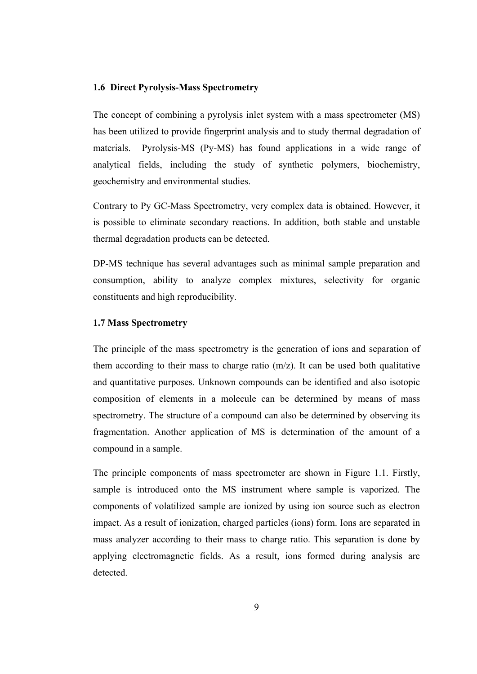#### **1.6 Direct Pyrolysis-Mass Spectrometry**

The concept of combining a pyrolysis inlet system with a mass spectrometer (MS) has been utilized to provide fingerprint analysis and to study thermal degradation of materials. Pyrolysis-MS (Py-MS) has found applications in a wide range of analytical fields, including the study of synthetic polymers, biochemistry, geochemistry and environmental studies.

Contrary to Py GC-Mass Spectrometry, very complex data is obtained. However, it is possible to eliminate secondary reactions. In addition, both stable and unstable thermal degradation products can be detected.

DP-MS technique has several advantages such as minimal sample preparation and consumption, ability to analyze complex mixtures, selectivity for organic constituents and high reproducibility.

#### **1.7 Mass Spectrometry**

The principle of the mass spectrometry is the generation of ions and separation of them according to their mass to charge ratio (m/z). It can be used both qualitative and quantitative purposes. Unknown compounds can be identified and also isotopic composition of elements in a molecule can be determined by means of mass spectrometry. The structure of a compound can also be determined by observing its fragmentation. Another application of MS is determination of the amount of a compound in a sample.

The principle components of mass spectrometer are shown in Figure 1.1. Firstly, sample is introduced onto the MS instrument where sample is vaporized. The components of volatilized sample are ionized by using ion source such as electron impact. As a result of ionization, charged particles (ions) form. Ions are separated in mass analyzer according to their mass to charge ratio. This separation is done by applying electromagnetic fields. As a result, ions formed during analysis are detected.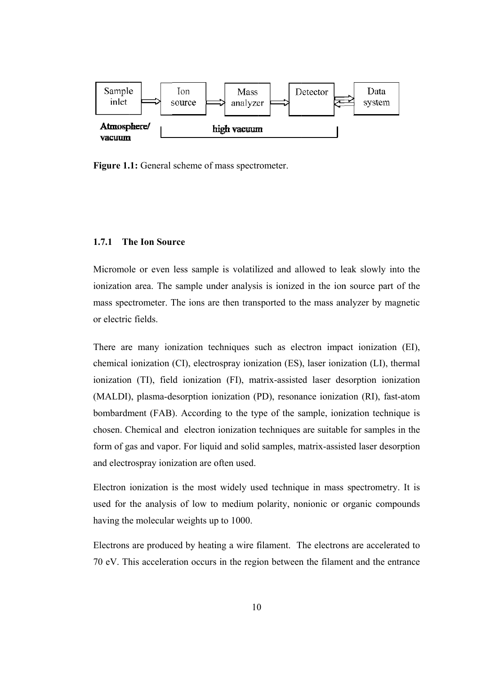

Figure 1.1: General scheme of mass spectrometer.

#### $1.7.1$ **he Ion Sou rce**

Micromole or even less sample is volatilized and allowed to leak slowly into the ionization area. The sample under analysis is ionized in the ion source part of the mass spectrometer. The ions are then transported to the mass analyzer by magnetic or electric fields.

There are many ionization techniques such as electron impact ionization (EI), chemical ionization (CI), electrospray ionization (ES), laser ionization (LI), thermal ionization (TI), field ionization (FI), matrix-assisted laser desorption ionization (MALDI), plasma-desorption ionization (PD), resonance ionization (RI), fast-atom bombardment (FAB). According to the type of the sample, ionization technique is chosen. Chemical and electron ionization techniques are suitable for samples in the form of gas and vapor. For liquid and solid samples, matrix-assisted laser desorption and electrospray ionization are often used.

Electron ionization is the most widely used technique in mass spectrometry. It is used for the analysis of low to medium polarity, nonionic or organic compounds having the molecular weights up to 1000.

Electrons are produced by heating a wire filament. The electrons are accelerated to 70 eV. This acceleration occurs in the region between the filament and the entrance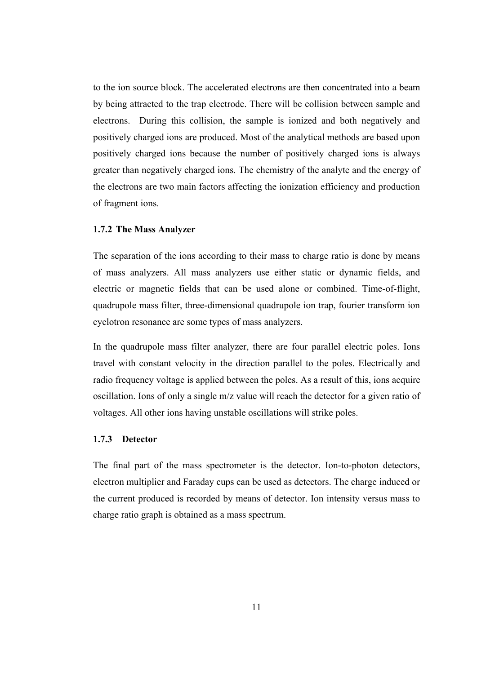to the ion source block. The accelerated electrons are then concentrated into a beam by being attracted to the trap electrode. There will be collision between sample and electrons. During this collision, the sample is ionized and both negatively and positively charged ions are produced. Most of the analytical methods are based upon positively charged ions because the number of positively charged ions is always greater than negatively charged ions. The chemistry of the analyte and the energy of the electrons are two main factors affecting the ionization efficiency and production of fragment ions.

#### **1.7.2 The Mass Analyzer**

The separation of the ions according to their mass to charge ratio is done by means of mass analyzers. All mass analyzers use either static or dynamic fields, and electric or magnetic fields that can be used alone or combined. Time-of-flight, quadrupole mass filter, three-dimensional quadrupole ion trap, fourier transform ion cyclotron resonance are some types of mass analyzers.

In the quadrupole mass filter analyzer, there are four parallel electric poles. Ions travel with constant velocity in the direction parallel to the poles. Electrically and radio frequency voltage is applied between the poles. As a result of this, ions acquire oscillation. Ions of only a single m/z value will reach the detector for a given ratio of voltages. All other ions having unstable oscillations will strike poles.

#### **1.7.3 Detector**

The final part of the mass spectrometer is the detector. Ion-to-photon detectors, electron multiplier and Faraday cups can be used as detectors. The charge induced or the current produced is recorded by means of detector. Ion intensity versus mass to charge ratio graph is obtained as a mass spectrum.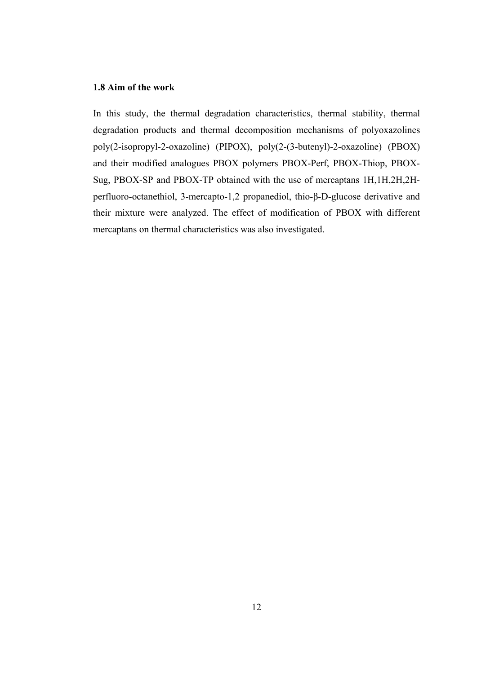### **1.8 Aim of the work**

In this study, the thermal degradation characteristics, thermal stability, thermal degradation products and thermal decomposition mechanisms of polyoxazolines poly(2-isopropyl-2-oxazoline) (PIPOX), poly(2-(3-butenyl)-2-oxazoline) (PBOX) and their modified analogues PBOX polymers PBOX-Perf, PBOX-Thiop, PBOX-Sug, PBOX-SP and PBOX-TP obtained with the use of mercaptans 1H,1H,2H,2Hperfluoro-octanethiol, 3-mercapto-1,2 propanediol, thio-β-D-glucose derivative and their mixture were analyzed. The effect of modification of PBOX with different mercaptans on thermal characteristics was also investigated.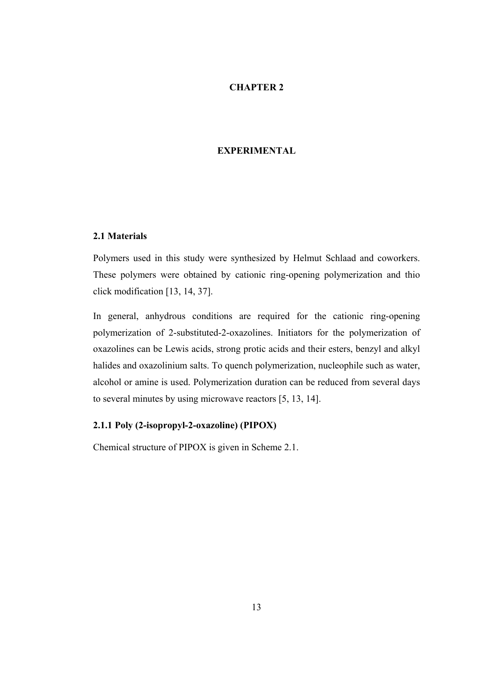### **CHAPTER 2**

### **EXPERIMENTAL**

### **2.1 Materials**

Polymers used in this study were synthesized by Helmut Schlaad and coworkers. These polymers were obtained by cationic ring-opening polymerization and thio click modification [13, 14, 37].

In general, anhydrous conditions are required for the cationic ring-opening polymerization of 2-substituted-2-oxazolines. Initiators for the polymerization of oxazolines can be Lewis acids, strong protic acids and their esters, benzyl and alkyl halides and oxazolinium salts. To quench polymerization, nucleophile such as water, alcohol or amine is used. Polymerization duration can be reduced from several days to several minutes by using microwave reactors [5, 13, 14].

### **2.1.1 Poly (2-isopropyl-2-oxazoline) (PIPOX)**

Chemical structure of PIPOX is given in Scheme 2.1.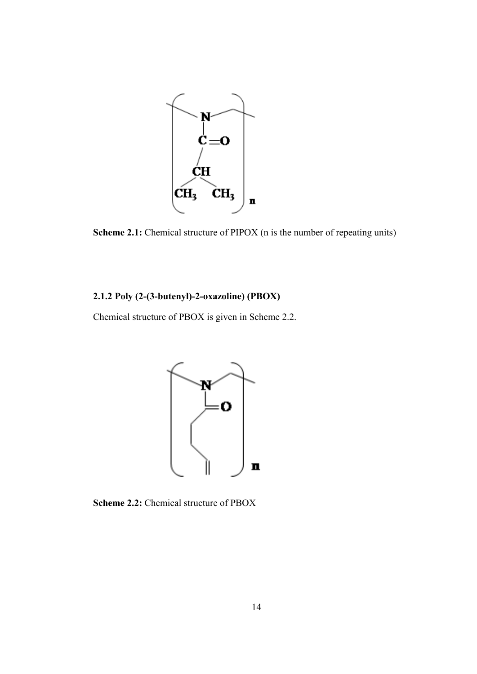

**Scheme 2.1:** Chemical structure of PIPOX (n is the number of repeating units)

# **2.1.2 Poly (2-(3-butenyl)-2-oxazoline) (PBOX)**

Chemical structure of PBOX is given in Scheme 2.2.



**Scheme 2.2:** Chemical structure of PBOX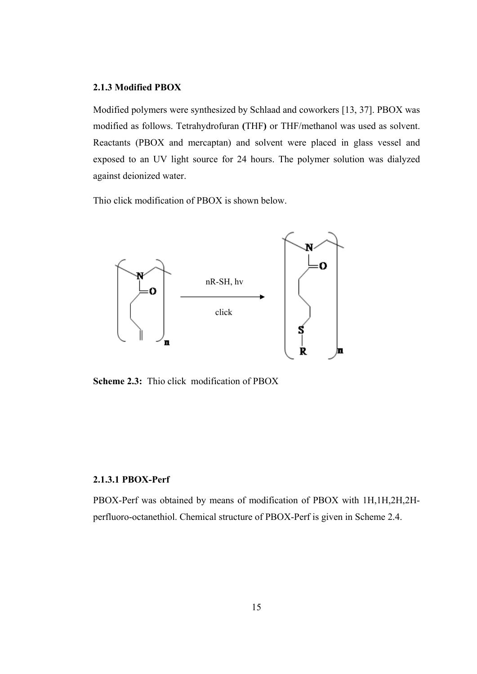### **2.1.3 Modified PBOX**

Modified polymers were synthesized by Schlaad and coworkers [13, 37]. PBOX was modified as follows. Tetrahydrofuran **(**THF**)** or THF/methanol was used as solvent. Reactants (PBOX and mercaptan) and solvent were placed in glass vessel and exposed to an UV light source for 24 hours. The polymer solution was dialyzed against deionized water.

Thio click modification of PBOX is shown below.



**Scheme 2.3:** Thio click modification of PBOX

#### **2.1.3.1 PBOX-Perf**

PBOX-Perf was obtained by means of modification of PBOX with 1H,1H,2H,2Hperfluoro-octanethiol. Chemical structure of PBOX-Perf is given in Scheme 2.4.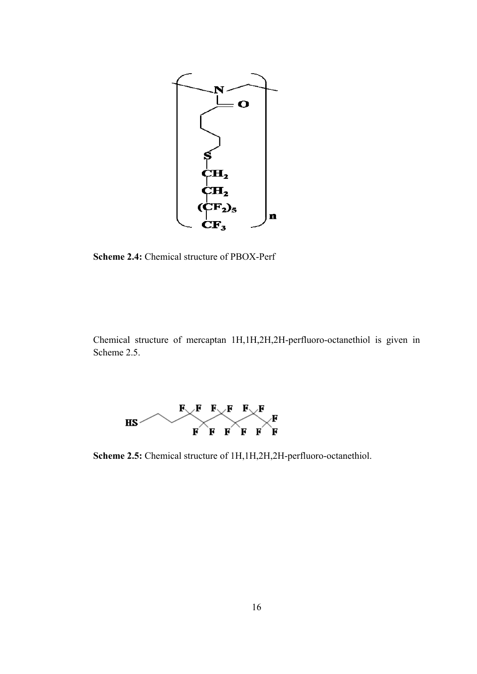

Scheme 2.4: Chemical structure of PBOX-Perf

Chemical structure of mercaptan 1H,1H,2H,2H-perfluoro-octanethiol is given in Scheme 2 2.5.



**Scheme 2.5:** Chemical structure of 1H,1H,2H,2H-perfluoro-octanethiol.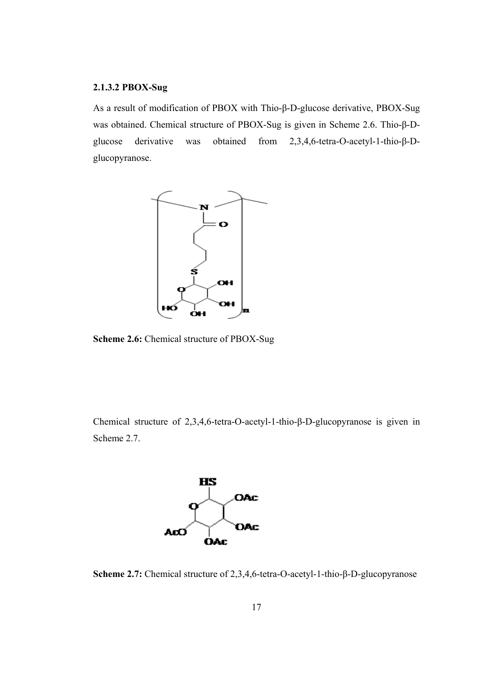### **2.1.3.2 PBOX-Sug**

As a result of modification of PBOX with Thio-β-D-glucose derivative, PBOX-Sug was obtained. Chemical structure of PBOX-Sug is given in Scheme 2.6. Thio-β-Dglucose derivative was obtained from 2,3,4,6-tetra-O-acetyl-1-thio-β-Dglucopyranose.



**Scheme 2.6:** Chemical structure of PBOX-Sug

Chemical structure of 2,3,4,6-tetra-O-acetyl-1-thio-β-D-glucopyranose is given in Scheme 2.7.



**Scheme 2.7:** Chemical structure of 2,3,4,6-tetra-O-acetyl-1-thio-β-D-glucopyranose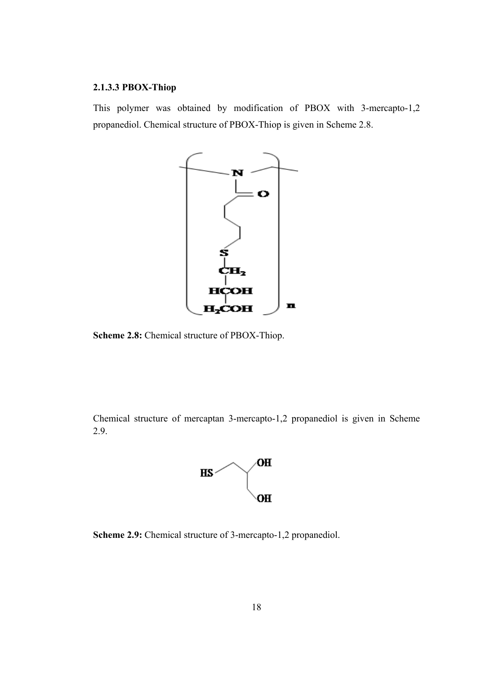### **2.1.3.3 PBOX-Thiop**

This polymer was obtained by modification of PBOX with 3-mercapto-1,2 propanediol. Chemical structure of PBOX-Thiop is given in Scheme 2.8.



**Scheme 2.8:** Chemical structure of PBOX-Thiop.

Chemical structure of mercaptan 3-mercapto-1,2 propanediol is given in Scheme 2.9.



**Scheme 2.9:** Chemical structure of 3-mercapto-1,2 propanediol.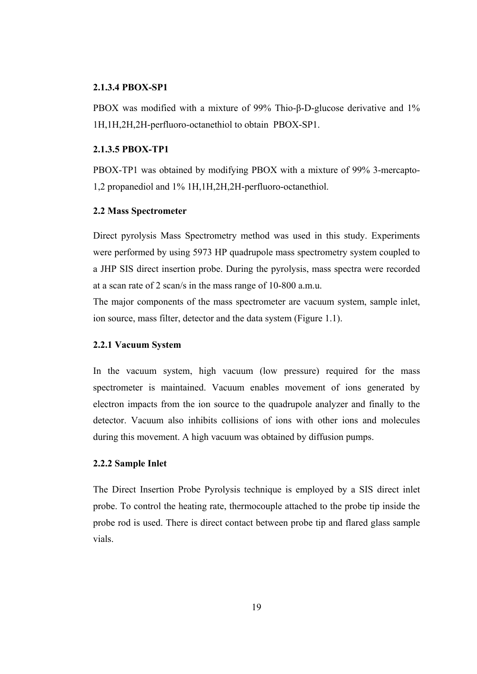#### **2.1.3.4 PBOX-SP1**

PBOX was modified with a mixture of 99% Thio-β-D-glucose derivative and 1% 1H,1H,2H,2H-perfluoro-octanethiol to obtain PBOX-SP1.

### **2.1.3.5 PBOX-TP1**

PBOX-TP1 was obtained by modifying PBOX with a mixture of 99% 3-mercapto-1,2 propanediol and 1% 1H,1H,2H,2H-perfluoro-octanethiol.

#### **2.2 Mass Spectrometer**

Direct pyrolysis Mass Spectrometry method was used in this study. Experiments were performed by using 5973 HP quadrupole mass spectrometry system coupled to a JHP SIS direct insertion probe. During the pyrolysis, mass spectra were recorded at a scan rate of 2 scan/s in the mass range of 10-800 a.m.u.

The major components of the mass spectrometer are vacuum system, sample inlet, ion source, mass filter, detector and the data system (Figure 1.1).

#### **2.2.1 Vacuum System**

In the vacuum system, high vacuum (low pressure) required for the mass spectrometer is maintained. Vacuum enables movement of ions generated by electron impacts from the ion source to the quadrupole analyzer and finally to the detector. Vacuum also inhibits collisions of ions with other ions and molecules during this movement. A high vacuum was obtained by diffusion pumps.

#### **2.2.2 Sample Inlet**

The Direct Insertion Probe Pyrolysis technique is employed by a SIS direct inlet probe. To control the heating rate, thermocouple attached to the probe tip inside the probe rod is used. There is direct contact between probe tip and flared glass sample vials.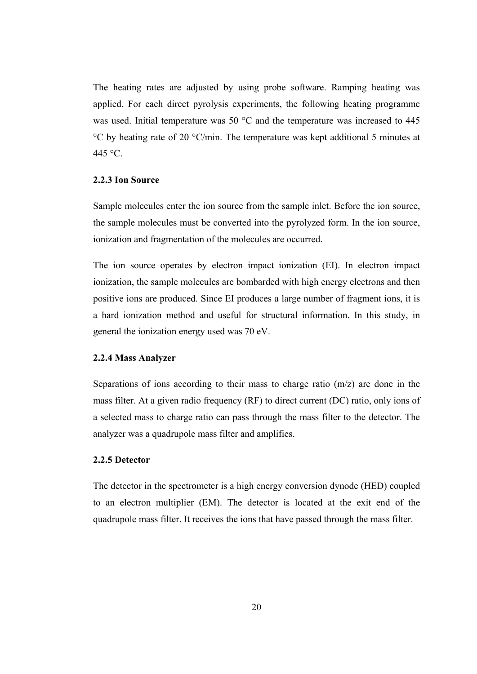The heating rates are adjusted by using probe software. Ramping heating was applied. For each direct pyrolysis experiments, the following heating programme was used. Initial temperature was 50 °C and the temperature was increased to 445 °C by heating rate of 20 °C/min. The temperature was kept additional 5 minutes at 445 °C.

#### **2.2.3 Ion Source**

Sample molecules enter the ion source from the sample inlet. Before the ion source, the sample molecules must be converted into the pyrolyzed form. In the ion source, ionization and fragmentation of the molecules are occurred.

The ion source operates by electron impact ionization (EI). In electron impact ionization, the sample molecules are bombarded with high energy electrons and then positive ions are produced. Since EI produces a large number of fragment ions, it is a hard ionization method and useful for structural information. In this study, in general the ionization energy used was 70 eV.

### **2.2.4 Mass Analyzer**

Separations of ions according to their mass to charge ratio (m/z) are done in the mass filter. At a given radio frequency (RF) to direct current (DC) ratio, only ions of a selected mass to charge ratio can pass through the mass filter to the detector. The analyzer was a quadrupole mass filter and amplifies.

#### **2.2.5 Detector**

The detector in the spectrometer is a high energy conversion dynode (HED) coupled to an electron multiplier (EM). The detector is located at the exit end of the quadrupole mass filter. It receives the ions that have passed through the mass filter.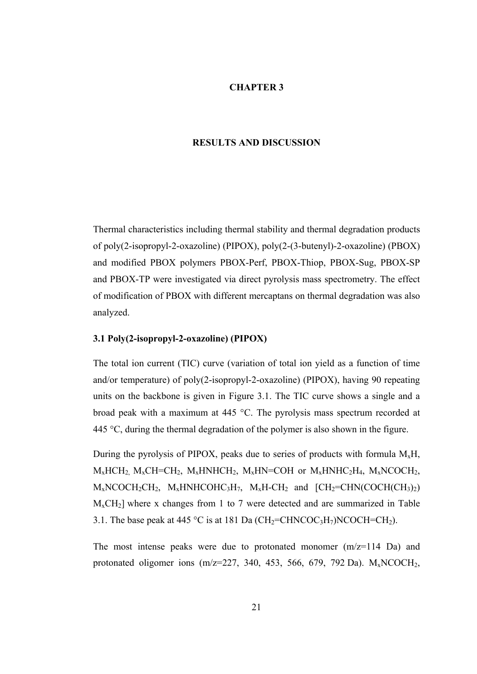#### **CHAPTER 3**

#### **RESULTS AND DISCUSSION**

Thermal characteristics including thermal stability and thermal degradation products of poly(2-isopropyl-2-oxazoline) (PIPOX), poly(2-(3-butenyl)-2-oxazoline) (PBOX) and modified PBOX polymers PBOX-Perf, PBOX-Thiop, PBOX-Sug, PBOX-SP and PBOX-TP were investigated via direct pyrolysis mass spectrometry. The effect of modification of PBOX with different mercaptans on thermal degradation was also analyzed.

#### **3.1 Poly(2-isopropyl-2-oxazoline) (PIPOX)**

The total ion current (TIC) curve (variation of total ion yield as a function of time and/or temperature) of poly(2-isopropyl-2-oxazoline) (PIPOX), having 90 repeating units on the backbone is given in Figure 3.1. The TIC curve shows a single and a broad peak with a maximum at 445 °C. The pyrolysis mass spectrum recorded at 445 °C, during the thermal degradation of the polymer is also shown in the figure.

During the pyrolysis of PIPOX, peaks due to series of products with formula  $M_xH$ ,  $M_x HCH_2$   $M_xCH=CH_2$ ,  $M_xHNHCH_2$ ,  $M_xHN=COH$  or  $M_xHNHC_2H_4$ ,  $M_xNCOCH_2$ ,  $M_xNCOCH_2CH_2$ ,  $M_xHNHCOHC_3H_7$ ,  $M_xH-CH_2$  and  $[CH_2=CHN(COCH(CH_3)_2)$  $M_{x}CH_{2}$ ] where x changes from 1 to 7 were detected and are summarized in Table 3.1. The base peak at 445 °C is at 181 Da (CH<sub>2</sub>=CHNCOC<sub>3</sub>H<sub>7</sub>)NCOCH=CH<sub>2</sub>).

The most intense peaks were due to protonated monomer  $(m/z=114 \text{ Da})$  and protonated oligomer ions  $(m/z=227, 340, 453, 566, 679, 792 \text{ Da})$ .  $M_xNCOCH_2$ ,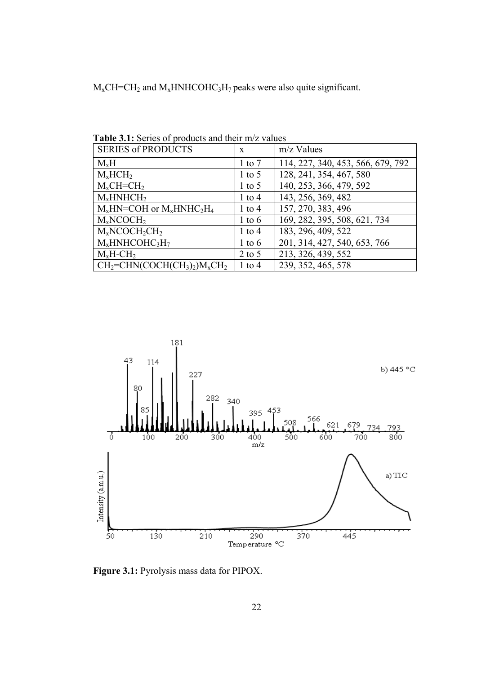$M_xCH=CH_2$  and  $M_xHNHCOHC_3H_7$  peaks were also quite significant.

| <b>SERIES of PRODUCTS</b>              | $\mathbf{x}$ | $m/z$ Values                      |
|----------------------------------------|--------------|-----------------------------------|
| $M_xH$                                 | $1$ to $7$   | 114, 227, 340, 453, 566, 679, 792 |
| $M_x HCH_2$                            | $1$ to 5     | 128, 241, 354, 467, 580           |
| $M_xCH=CH_2$                           | $1$ to 5     | 140, 253, 366, 479, 592           |
| $M_x$ HNHCH <sub>2</sub>               | $1$ to $4$   | 143, 256, 369, 482                |
| $M_x H N = COH$ or $M_x H N H C_2 H_4$ | $1$ to $4$   | 157, 270, 383, 496                |
| $M_xNCOCH_2$                           | $1$ to 6     | 169, 282, 395, 508, 621, 734      |
| $M_xNCOCH_2CH_2$                       | $1$ to $4$   | 183, 296, 409, 522                |
| $M_x$ HNHCOHC3H7                       | $1$ to 6     | 201, 314, 427, 540, 653, 766      |
| $M_xH-CH_2$                            | $2$ to 5     | 213, 326, 439, 552                |
| $CH2=CHN(COCH(CH3)2)MxCH2$             | $1$ to 4     | 239, 352, 465, 578                |

**Table 3.1:** Series of products and their m/z values



**Figure 3.1:** Pyrolysis mass data for PIPOX.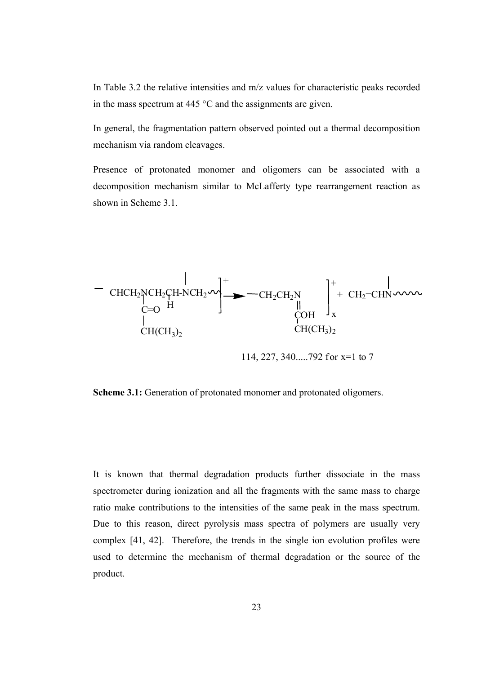In Table 3.2 the relative intensities and m/z values for characteristic peaks recorded in the mass spectrum at 445 °C and the assignments are given.

In general, the fragmentation pattern observed pointed out a thermal decomposition mechanism via random cleavages.

Presence of protonated monomer and oligomers can be associated with a decomposition mechanism similar to McLafferty type rearrangement reaction as shown in Scheme 3.1.



114, 227, 340.....792 for x=1 to 7

**Scheme 3.1:** Generation of protonated monomer and protonated oligomers.

It is known that thermal degradation products further dissociate in the mass spectrometer during ionization and all the fragments with the same mass to charge ratio make contributions to the intensities of the same peak in the mass spectrum. Due to this reason, direct pyrolysis mass spectra of polymers are usually very complex [41, 42]. Therefore, the trends in the single ion evolution profiles were used to determine the mechanism of thermal degradation or the source of the product.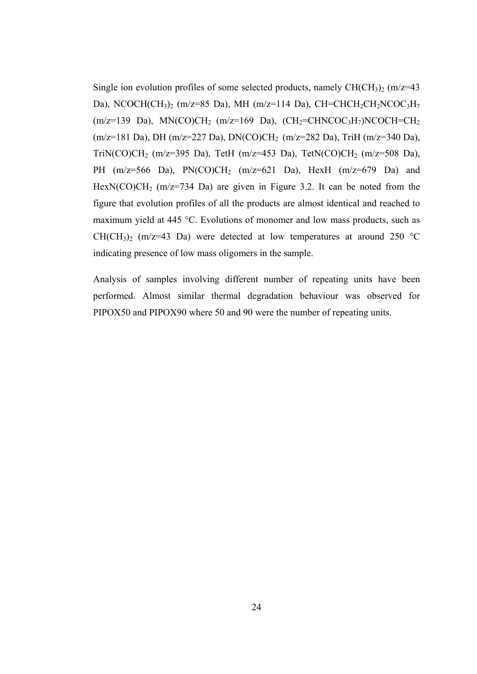Single ion evolution profiles of some selected products, namely  $CH(CH_3)$  (m/z=43) Da), NCOCH(CH<sub>3</sub>)<sub>2</sub> (m/z=85 Da), MH (m/z=114 Da), CH=CHCH<sub>2</sub>CH<sub>2</sub>NCOC<sub>3</sub>H<sub>7</sub>  $(m/z=139$  Da), MN(CO)CH<sub>2</sub>  $(m/z=169$  Da),  $(CH_2=CHNCOC<sub>3</sub>H<sub>7</sub>)NCOCH=CH<sub>2</sub>$ (m/z=181 Da), DH (m/z=227 Da), DN(CO)CH2 (m/z=282 Da), TriH (m/z=340 Da), TriN(CO)CH<sub>2</sub> (m/z=395 Da), TetH (m/z=453 Da), TetN(CO)CH<sub>2</sub> (m/z=508 Da), PH  $(m/z=566$  Da),  $PN(CO)CH<sub>2</sub>$   $(m/z=621$  Da),  $HexH$   $(m/z=679$  Da) and HexN(CO)CH<sub>2</sub> (m/z=734 Da) are given in Figure 3.2. It can be noted from the figure that evolution profiles of all the products are almost identical and reached to maximum yield at 445 °C. Evolutions of monomer and low mass products, such as  $CH(CH<sub>3</sub>)<sub>2</sub>$  (m/z=43 Da) were detected at low temperatures at around 250 °C indicating presence of low mass oligomers in the sample.

Analysis of samples involving different number of repeating units have been performed. Almost similar thermal degradation behaviour was observed for PIPOX50 and PIPOX90 where 50 and 90 were the number of repeating units.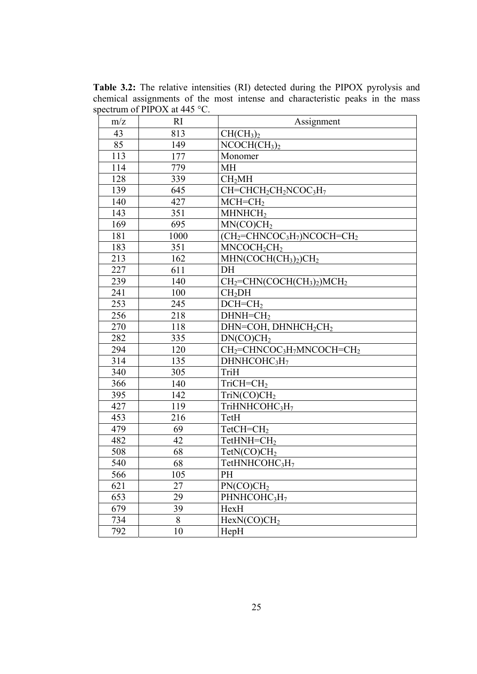**Table 3.2:** The relative intensities (RI) detected during the PIPOX pyrolysis and chemical assignments of the most intense and characteristic peaks in the mass spectrum of PIPOX at 445 °C.

| m/z | <b>RI</b> | Assignment                                                                                 |
|-----|-----------|--------------------------------------------------------------------------------------------|
| 43  | 813       | CH(CH <sub>3</sub> ) <sub>2</sub>                                                          |
| 85  | 149       | NCOCH(CH <sub>3</sub> ) <sub>2</sub>                                                       |
| 113 | 177       | Monomer                                                                                    |
| 114 | 779       | МH                                                                                         |
| 128 | 339       | CH <sub>2</sub> MH                                                                         |
| 139 | 645       | $\overline{\text{CH}}$ =CHCH <sub>2</sub> CH <sub>2</sub> NCOC <sub>3</sub> H <sub>7</sub> |
| 140 | 427       | $MCH=CH2$                                                                                  |
| 143 | 351       | MHNHCH <sub>2</sub>                                                                        |
| 169 | 695       | MN(CO)CH <sub>2</sub>                                                                      |
| 181 | 1000      | $(CH_2=CHNCOC_3H_7)NCOCH=CH_2$                                                             |
| 183 | 351       | MNCOCH <sub>2</sub> CH <sub>2</sub>                                                        |
| 213 | 162       | $MHN(COCH(CH3)2)CH2$                                                                       |
| 227 | 611       | DH                                                                                         |
| 239 | 140       | $CH2=CHN(COCH(CH3)2)MCH2$                                                                  |
| 241 | 100       | CH <sub>2</sub> DH                                                                         |
| 253 | 245       | $DCH=CH2$                                                                                  |
| 256 | 218       | $DHNH=CH2$                                                                                 |
| 270 | 118       | DHN=COH, DHNHCH <sub>2</sub> CH <sub>2</sub>                                               |
| 282 | 335       | DN(CO)CH <sub>2</sub>                                                                      |
| 294 | 120       | CH <sub>2</sub> =CHNCOC <sub>3</sub> H <sub>7</sub> MNCOCH=CH <sub>2</sub>                 |
| 314 | 135       | DHNHCOHC <sub>3</sub> H <sub>7</sub>                                                       |
| 340 | 305       | TriH                                                                                       |
| 366 | 140       | $TriCH=CH2$                                                                                |
| 395 | 142       | TriN(CO)CH <sub>2</sub>                                                                    |
| 427 | 119       | TriHNHCOHC3H7                                                                              |
| 453 | 216       | TetH                                                                                       |
| 479 | 69        | $TetCH=CH2$                                                                                |
| 482 | 42        | $TetHNH=CH2$                                                                               |
| 508 | 68        | TetN(CO)CH <sub>2</sub>                                                                    |
| 540 | 68        | TetHNHCOHC3H7                                                                              |
| 566 | 105       | PH                                                                                         |
| 621 | 27        | PN(CO)CH <sub>2</sub>                                                                      |
| 653 | 29        | PHNHCOHC3H7                                                                                |
| 679 | 39        | HexH                                                                                       |
| 734 | 8         | HexN(CO)CH <sub>2</sub>                                                                    |
| 792 | 10        | HepH                                                                                       |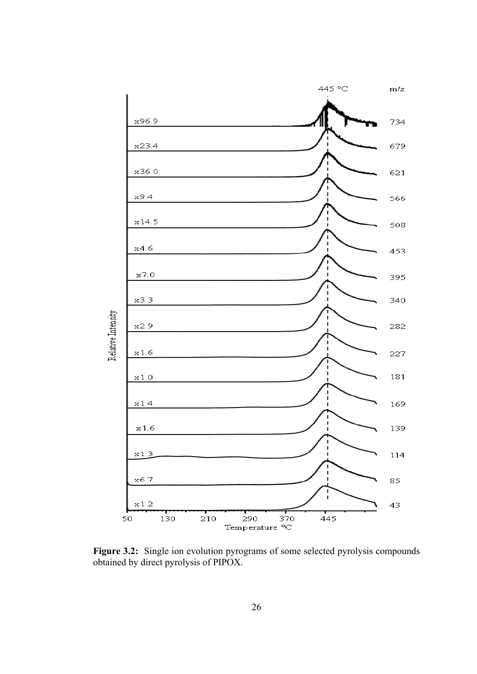

**Figure 3.2:** Single ion evolution pyrograms of some selected pyrolysis compounds obtained by direct pyrolysis of PIPOX.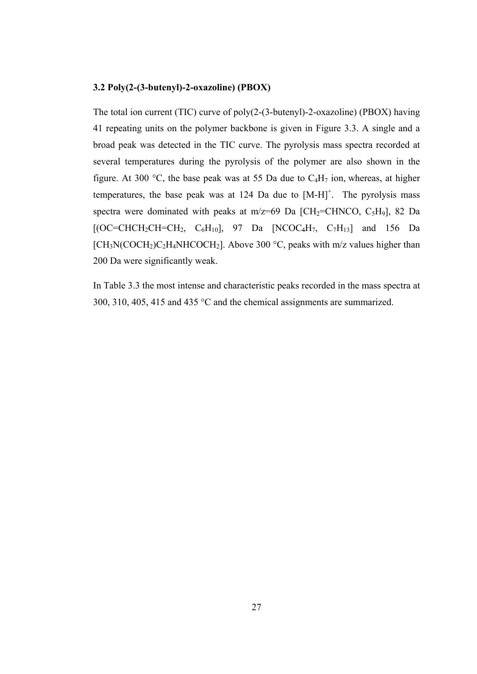#### **3.2 Poly(2-(3-butenyl)-2-oxazoline) (PBOX)**

The total ion current (TIC) curve of poly(2-(3-butenyl)-2-oxazoline) (PBOX) having 41 repeating units on the polymer backbone is given in Figure 3.3. A single and a broad peak was detected in the TIC curve. The pyrolysis mass spectra recorded at several temperatures during the pyrolysis of the polymer are also shown in the figure. At 300 °C, the base peak was at 55 Da due to  $C_4H_7$  ion, whereas, at higher temperatures, the base peak was at 124 Da due to  $[M-H]$ <sup>+</sup>. The pyrolysis mass spectra were dominated with peaks at  $m/z=69$  Da [CH<sub>2</sub>=CHNCO, C<sub>5</sub>H<sub>9</sub>], 82 Da  $[(OC=CHCH_2CH=CH_2, C_6H_{10}], 97$  Da  $[NCOC_4H_7, C_7H_{13}]$  and 156 Da  $[CH<sub>3</sub>N(COCH<sub>2</sub>)C<sub>2</sub>H<sub>4</sub>NHCOCH<sub>2</sub>]$ . Above 300 °C, peaks with m/z values higher than 200 Da were significantly weak.

In Table 3.3 the most intense and characteristic peaks recorded in the mass spectra at 300, 310, 405, 415 and 435 °C and the chemical assignments are summarized.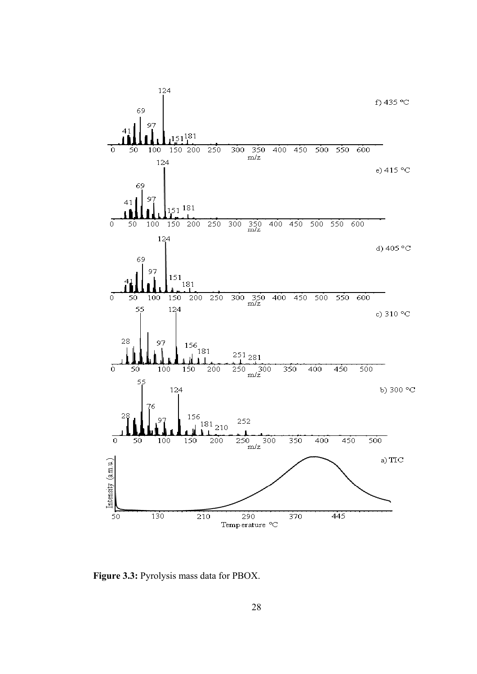

**Figure 3.3:** Pyrolysis mass data for PBOX.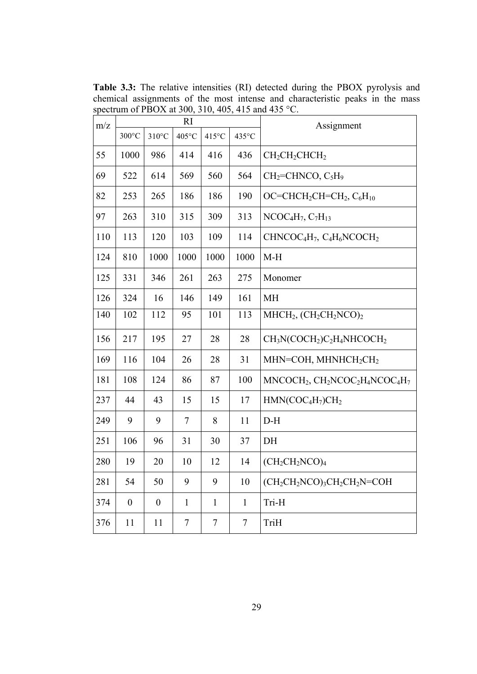**Table 3.3:** The relative intensities (RI) detected during the PBOX pyrolysis and chemical assignments of the most intense and characteristic peaks in the mass spectrum of PBOX at 300, 310, 405, 415 and 435 °C.

| m/z | RI               |                  |                  |                |                  | Assignment                                                                            |
|-----|------------------|------------------|------------------|----------------|------------------|---------------------------------------------------------------------------------------|
|     | $300^{\circ}$ C  | $310^{\circ}$ C  | 405°C            | 415°C          | 435°C            |                                                                                       |
| 55  | 1000             | 986              | 414              | 416            | 436              | $CH2CH2CHCH2$                                                                         |
| 69  | 522              | 614              | 569              | 560            | 564              | CH <sub>2</sub> =CHNCO, C <sub>5</sub> H <sub>9</sub>                                 |
| 82  | 253              | 265              | 186              | 186            | 190              | OC=CHCH <sub>2</sub> CH=CH <sub>2</sub> , $C_6H_{10}$                                 |
| 97  | 263              | 310              | 315              | 309            | 313              | $NCOC4H7, C7H13$                                                                      |
| 110 | 113              | 120              | 103              | 109            | 114              | CHNCOC <sub>4</sub> H <sub>7</sub> , C <sub>4</sub> H <sub>6</sub> NCOCH <sub>2</sub> |
| 124 | 810              | 1000             | 1000             | 1000           | 1000             | $M-H$                                                                                 |
| 125 | 331              | 346              | 261              | 263            | 275              | Monomer                                                                               |
| 126 | 324              | 16               | 146              | 149            | 161              | <b>MH</b>                                                                             |
| 140 | 102              | 112              | 95               | 101            | 113              | $MHCH2, (CH2CH2NCO)2$                                                                 |
| 156 | 217              | 195              | 27               | 28             | 28               | $CH3N(COCH2)C2H4NHCOCH2$                                                              |
| 169 | 116              | 104              | 26               | 28             | 31               | MHN=COH, MHNHCH2CH2                                                                   |
| 181 | 108              | 124              | 86               | 87             | 100              | $MNCOCH2, CH2NCOC2H4NCOC4H7$                                                          |
| 237 | 44               | 43               | 15               | 15             | 17               | $HMN(COC4H7)CH2$                                                                      |
| 249 | 9                | 9                | $\tau$           | 8              | 11               | $\mathrm{D}\text{-}\mathrm{H}$                                                        |
| 251 | 106              | 96               | 31               | 30             | 37               | DH                                                                                    |
| 280 | 19               | 20               | 10               | 12             | 14               | $(CH_2CH_2NCO)_4$                                                                     |
| 281 | 54               | 50               | 9                | 9              | 10               | $(CH_2CH_2NCO)_3CH_2CH_2N=COH$                                                        |
| 374 | $\boldsymbol{0}$ | $\boldsymbol{0}$ | $\mathbf{1}$     | $\mathbf{1}$   | $\mathbf{1}$     | Tri-H                                                                                 |
| 376 | 11               | 11               | $\boldsymbol{7}$ | $\overline{7}$ | $\boldsymbol{7}$ | TriH                                                                                  |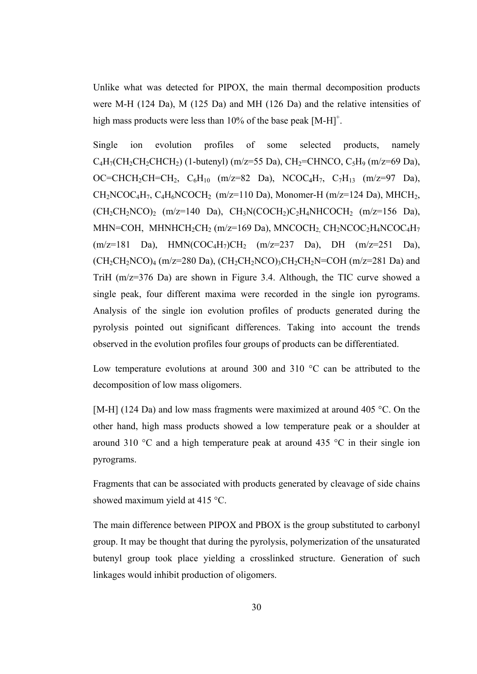Unlike what was detected for PIPOX, the main thermal decomposition products were M-H (124 Da), M (125 Da) and MH (126 Da) and the relative intensities of high mass products were less than  $10\%$  of the base peak  $[M-H]$ <sup>+</sup>.

Single ion evolution profiles of some selected products, namely  $C_4H_7(CH_2CH_2CHCH_2)$  (1-butenyl) (m/z=55 Da), CH<sub>2</sub>=CHNCO, C<sub>5</sub>H<sub>9</sub> (m/z=69 Da), OC=CHCH<sub>2</sub>CH=CH<sub>2</sub>, C<sub>6</sub>H<sub>10</sub> (m/z=82 Da), NCOC<sub>4</sub>H<sub>7</sub>, C<sub>7</sub>H<sub>13</sub> (m/z=97 Da),  $CH<sub>2</sub>NCOC<sub>4</sub>H<sub>7</sub>, C<sub>4</sub>H<sub>6</sub>NCOCH<sub>2</sub>$  (m/z=110 Da), Monomer-H (m/z=124 Da), MHCH<sub>2</sub>,  $(CH_2CH_2NCO)_2$  (m/z=140 Da),  $CH_3N(COCH_2)C_2H_4NHCOCH_2$  (m/z=156 Da), MHN=COH, MHNHCH<sub>2</sub>CH<sub>2</sub> (m/z=169 Da), MNCOCH<sub>2</sub> CH<sub>2</sub>NCOC<sub>2</sub>H<sub>4</sub>NCOC<sub>4</sub>H<sub>7</sub>  $(m/z=181 \text{ Da})$ , HMN(COC<sub>4</sub>H<sub>7</sub>)CH<sub>2</sub>  $(m/z=237 \text{ Da})$ , DH  $(m/z=251 \text{ Da})$ ,  $(CH_2CH_2NCO)_4$  (m/z=280 Da), (CH<sub>2</sub>CH<sub>2</sub>NCO)<sub>3</sub>CH<sub>2</sub>CH<sub>2</sub>N=COH (m/z=281 Da) and TriH (m/z=376 Da) are shown in Figure 3.4. Although, the TIC curve showed a single peak, four different maxima were recorded in the single ion pyrograms. Analysis of the single ion evolution profiles of products generated during the pyrolysis pointed out significant differences. Taking into account the trends observed in the evolution profiles four groups of products can be differentiated.

Low temperature evolutions at around 300 and 310 °C can be attributed to the decomposition of low mass oligomers.

[M-H] (124 Da) and low mass fragments were maximized at around 405 °C. On the other hand, high mass products showed a low temperature peak or a shoulder at around 310 °C and a high temperature peak at around 435 °C in their single ion pyrograms.

Fragments that can be associated with products generated by cleavage of side chains showed maximum yield at 415 °C.

The main difference between PIPOX and PBOX is the group substituted to carbonyl group. It may be thought that during the pyrolysis, polymerization of the unsaturated butenyl group took place yielding a crosslinked structure. Generation of such linkages would inhibit production of oligomers.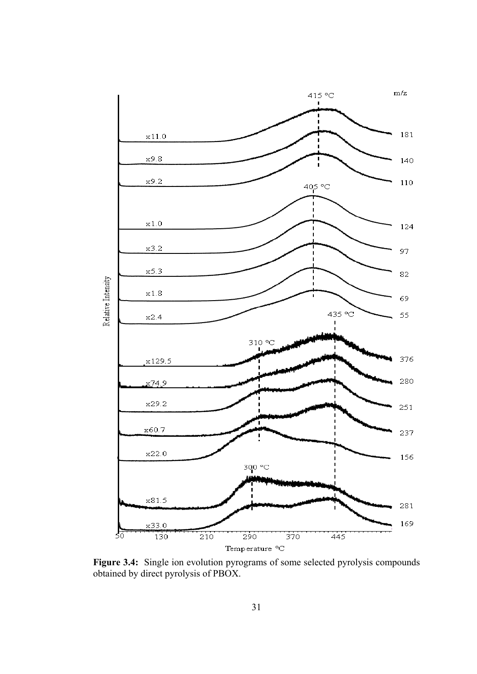

**Figure 3.4:** Single ion evolution pyrograms of some selected pyrolysis compounds obtained by direct pyrolysis of PBOX.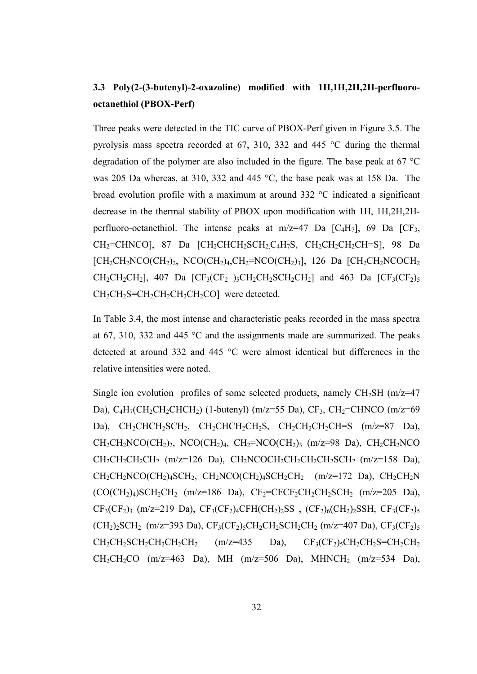## **3.3 Poly(2-(3-butenyl)-2-oxazoline) modified with 1H,1H,2H,2H-perfluorooctanethiol (PBOX-Perf)**

Three peaks were detected in the TIC curve of PBOX-Perf given in Figure 3.5. The pyrolysis mass spectra recorded at 67, 310, 332 and 445 °C during the thermal degradation of the polymer are also included in the figure. The base peak at 67 °C was 205 Da whereas, at 310, 332 and 445 °C, the base peak was at 158 Da. The broad evolution profile with a maximum at around 332 °C indicated a significant decrease in the thermal stability of PBOX upon modification with 1H, 1H,2H,2Hperfluoro-octanethiol. The intense peaks at  $m/z=47$  Da  $[C_4H_7]$ , 69 Da  $[C_3,$  $CH<sub>2</sub>=CHNCO$ ], 87 Da  $\left[CH<sub>2</sub>CHCH<sub>2</sub>SCH<sub>2</sub>C<sub>4</sub>H<sub>7</sub>S, CH<sub>2</sub>CH<sub>2</sub>CH<sub>2</sub>CH<sub>2</sub>CH<sub>2</sub>CH<sub>2</sub>CH<sub>2</sub>S, 98 Da$  $[CH_2CH_2NCO(CH_2)_2, NCO(CH_2)_4, CH_2=NCO(CH_2)_3], 126$  Da  $[CH_2CH_2NCOCH_2]$  $CH_2CH_2CH_2$ ], 407 Da  $[CF_3(CF_2)_{5}CH_2CH_2CH_2CH_2]$  and 463 Da  $[CF_3(CF_2)_{5}$ CH<sub>2</sub>CH<sub>2</sub>S=CH<sub>2</sub>CH<sub>2</sub>CH<sub>2</sub>CH<sub>2</sub>CO] were detected.

In Table 3.4, the most intense and characteristic peaks recorded in the mass spectra at 67, 310, 332 and 445 °C and the assignments made are summarized. The peaks detected at around 332 and 445 °C were almost identical but differences in the relative intensities were noted.

Single ion evolution profiles of some selected products, namely  $CH<sub>2</sub>SH (m/z=47)$ Da), C<sub>4</sub>H<sub>7</sub>(CH<sub>2</sub>CH<sub>2</sub>CHCH<sub>2</sub>) (1-butenyl) (m/z=55 Da), CF<sub>3</sub>, CH<sub>2</sub>=CHNCO (m/z=69 Da),  $CH_2CHCH_2SCH_2$ ,  $CH_2CHCH_2CH_2S$ ,  $CH_2CH_2CH_2CH=S$  (m/z=87 Da),  $CH_2CH_2NCO(CH_2)_2$ ,  $NCO(CH_2)_4$ ,  $CH_2=NCO(CH_2)_3$  (m/z=98 Da),  $CH_2CH_2NCO$  $CH_2CH_2CH_2CH_2$  (m/z=126 Da),  $CH_2NCOCH_2CH_2CH_2CH_2SCH_2$  (m/z=158 Da),  $CH_2CH_2NCO(CH_2)_4SCH_2$ ,  $CH_2NCO(CH_2)_4SCH_2CH_2$  (m/z=172 Da),  $CH_2CH_2N$  $(CO(CH<sub>2</sub>)<sub>4</sub>)SCH<sub>2</sub>CH<sub>2</sub>$  (m/z=186 Da),  $CF<sub>2</sub>=CFCF<sub>2</sub>CH<sub>2</sub>CH<sub>2</sub>SH<sub>2</sub>$  (m/z=205 Da),  $CF<sub>3</sub>(CF<sub>2</sub>)<sub>3</sub>$  (m/z=219 Da),  $CF<sub>3</sub>(CF<sub>2</sub>)<sub>4</sub>CFH(CH<sub>2</sub>)<sub>2</sub>SS$ , ( $CF<sub>2</sub>)<sub>6</sub>(CH<sub>2</sub>)<sub>2</sub>SSH, CF<sub>3</sub>(CF<sub>2</sub>)<sub>5</sub>$  $(CH_2)_2SCH_2$  (m/z=393 Da),  $CF_3(CF_2)_5CH_2CH_2SCH_2CH_2CH_2$  (m/z=407 Da),  $CF_3(CF_2)_5$  $CH_2CH_2CH_2CH_2CH_2CH_2CH_2$  (m/z=435 Da),  $CF_3(CF_2)_5CH_2CH_2S=CH_2CH_2$  $CH_2CH_2CO$  (m/z=463 Da), MH (m/z=506 Da), MHNCH<sub>2</sub> (m/z=534 Da),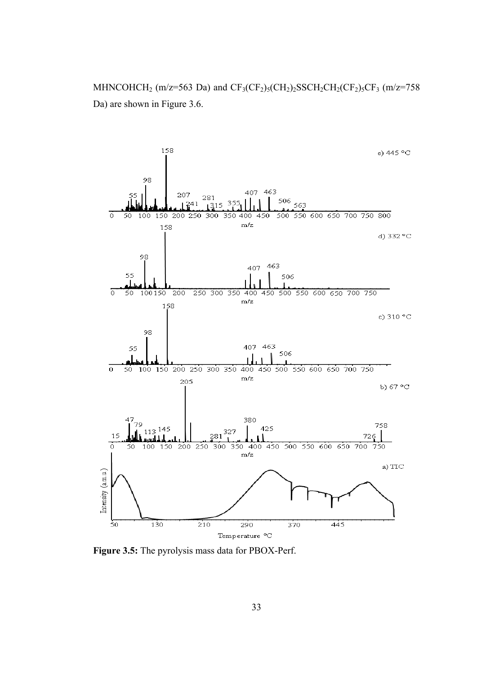MHNCOHCH<sub>2</sub> (m/z=563 Da) and  $CF_3(CF_2)_5(CH_2)_2SCH_2CH_2(CF_2)_5CF_3$  (m/z=758 Da) are shown in Figure 3.6.



**Figure 3.5:** The pyrolysis mass data for PBOX-Perf.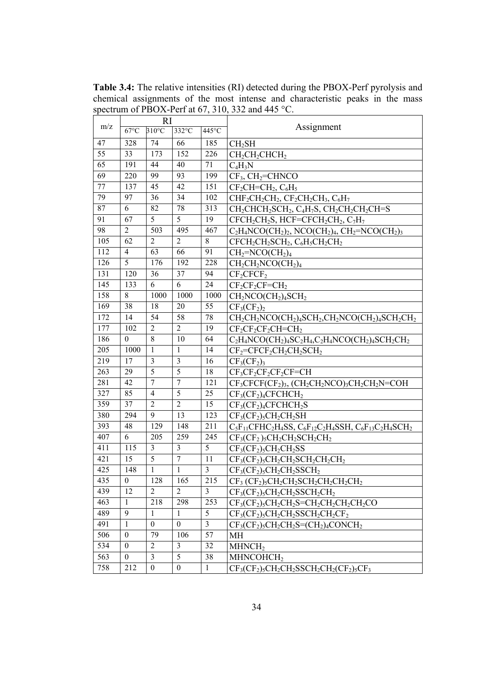**Table 3.4:** The relative intensities (RI) detected during the PBOX-Perf pyrolysis and chemical assignments of the most intense and characteristic peaks in the mass spectrum of PBOX-Perf at 67, 310, 332 and 445 °C.

|     |                  | <b>RI</b>        |                  |                         |                                                                                                                                            |
|-----|------------------|------------------|------------------|-------------------------|--------------------------------------------------------------------------------------------------------------------------------------------|
| m/z | $67^{\circ}$ C   | $310^{\circ}$ C  | 332°C            | 445°C                   | Assignment                                                                                                                                 |
| 47  | 328              | 74               | 66               | 185                     | CH <sub>2</sub> SH                                                                                                                         |
| 55  | 33               | 173              | 152              | 226                     | $CH2CH2CHCH2$                                                                                                                              |
| 65  | 191              | 44               | 40               | 71                      | $C_4H_3N$                                                                                                                                  |
| 69  | 220              | 99               | 93               | 199                     | $CF_3$ , $CH_2=CHNCO$                                                                                                                      |
| 77  | 137              | 45               | 42               | 151                     | $CF_2CH=CH_2, C_6H_5$                                                                                                                      |
| 79  | 97               | 36               | 34               | 102                     | $CHF2CH2CH2, CF2CH2CH3, C6H7$                                                                                                              |
| 87  | 6                | 82               | 78               | 313                     | CH <sub>2</sub> CHCH <sub>2</sub> SCH <sub>2</sub> , C <sub>4</sub> H <sub>7</sub> S, CH <sub>2</sub> CH <sub>2</sub> CH <sub>2</sub> CH=S |
| 91  | 67               | 5                | 5                | 19                      | $CFCH_2CH_2S$ , $HCF=CFCH_2CH_2$ , $C_7H_7$                                                                                                |
| 98  | $\overline{2}$   | 503              | 495              | 467                     | $C_2H_4NCO(CH_2)_2$ , NCO(CH <sub>2</sub> ) <sub>4</sub> , CH <sub>2</sub> =NCO(CH <sub>2</sub> ) <sub>3</sub>                             |
| 105 | 62               | $\overline{2}$   | $\overline{2}$   | $8\,$                   | $CFCH_2CH_2SCH_2$ , $C_6H_5CH_2CH_2$                                                                                                       |
| 112 | $\overline{4}$   | 63               | 66               | 91                      | $CH2=NCO(CH2)4$                                                                                                                            |
| 126 | 5                | 176              | 192              | 228                     | $CH2CH2NO(CH2)4$                                                                                                                           |
| 131 | 120              | 36               | 37               | 94                      | $CF_2CFCF_2$                                                                                                                               |
| 145 | 133              | 6                | 6                | 24                      | $CF_2CF_2CF=CH_2$                                                                                                                          |
| 158 | 8                | 1000             | 1000             | 1000                    | $CH2NCO(CH2)4SCH2$                                                                                                                         |
| 169 | 38               | 18               | 20               | 55                      | $CF3(CF2)2$                                                                                                                                |
| 172 | 14               | 54               | 58               | 78                      | $CH_2CH_2NCO(CH_2)_4SCH_2,CH_2NCO(CH_2)_4SCH_2CH_2$                                                                                        |
| 177 | 102              | $\overline{2}$   | $\overline{2}$   | 19                      | $CF_2CF_2CF_2CH=CH_2$                                                                                                                      |
| 186 | $\mathbf{0}$     | $\,8\,$          | 10               | 64                      | $C_2H_4NCO(CH_2)_4SC_2H_4,C_2H_4NCO(CH_2)_4SCH_2CH_2$                                                                                      |
| 205 | 1000             | $\mathbf{1}$     | $\mathbf{1}$     | 14                      | $CF_2=CFCF_2CH_2CH_2SCH_2$                                                                                                                 |
| 219 | 17               | 3                | $\overline{3}$   | 16                      | $CF3(CF2)3$                                                                                                                                |
| 263 | 29               | 5                | 5                | 18                      | $CF3CF2CF2CF2CF=CH$                                                                                                                        |
| 281 | 42               | $\overline{7}$   | $\boldsymbol{7}$ | 121                     | $CF3CFCF(CF2)3$ , $(CH2CH2NOO)3CH2CH2N=COH$                                                                                                |
| 327 | 85               | $\overline{4}$   | 5                | 25                      | $CF3(CF2)4CFCHCH2$                                                                                                                         |
| 359 | 37               | $\overline{2}$   | $\overline{2}$   | 15                      | $CF3(CF2)4CFCHCH2S$                                                                                                                        |
| 380 | 294              | 9                | 13               | 123                     | $CF3(CF2)5CH2CH2SH$                                                                                                                        |
| 393 | 48               | 129              | 148              | 211                     | $C_5F_{11}CFHC_2H_4SS$ , $C_6F_{12}C_2H_4SSH$ , $C_6F_{13}C_2H_4SCH_2$                                                                     |
| 407 | 6                | 205              | 259              | 245                     | $CF3(CF2)5CH2CH2SCH2CH2$                                                                                                                   |
| 411 | 115              | $\mathfrak{Z}$   | 3                | 5                       | $CF3(CF2)5CH2CH2SS$                                                                                                                        |
| 421 | 15               | 5                | $\boldsymbol{7}$ | 11                      | $CF3(CF2)5CH2CH2CH2CH2CH2CH2$                                                                                                              |
| 425 | 148              | $\mathbf{1}$     | $\mathbf{1}$     | $\overline{3}$          | $CF3(CF2)5CH2CH2SSCH2$                                                                                                                     |
| 435 | $\boldsymbol{0}$ | 128              | 165              | 215                     | $CF_3$ (CF <sub>2</sub> ) <sub>5</sub> CH <sub>2</sub> CH <sub>2</sub> SCH <sub>2</sub> CH <sub>2</sub> CH <sub>2</sub> CH <sub>2</sub>    |
| 439 | 12               | $\overline{2}$   | $\overline{2}$   | $\overline{\mathbf{3}}$ | $CF_3(CF_2)$ <sub>5</sub> $CH_2CH_2SSCH_2CH_2$                                                                                             |
| 463 | 1                | 218              | 298              | 253                     | $CF3(CF2)5CH2CH2S=CH2CH2CH2CH2CH2CO$                                                                                                       |
| 489 | 9                | 1                | 1                | 5                       | $CF3(CF2)5CH2CH2SSCH2CH2CF2$                                                                                                               |
| 491 | 1                | $\boldsymbol{0}$ | $\mathbf{0}$     | $\mathfrak{Z}$          | $CF3(CF2)5CH2CH2S=(CH2)4CONCH2$                                                                                                            |
| 506 | $\boldsymbol{0}$ | 79               | 106              | 57                      | MН                                                                                                                                         |
| 534 | $\boldsymbol{0}$ | $\overline{2}$   | $\mathfrak{Z}$   | 32                      | MHNCH <sub>2</sub>                                                                                                                         |
| 563 | $\boldsymbol{0}$ | $\overline{3}$   | 5                | 38                      | MHNCOHCH <sub>2</sub>                                                                                                                      |
| 758 | 212              | $\boldsymbol{0}$ | $\boldsymbol{0}$ | $\mathbf{1}$            | $CF3(CF2)5CH2CH2SSCH2CH2(CF2)5CF3$                                                                                                         |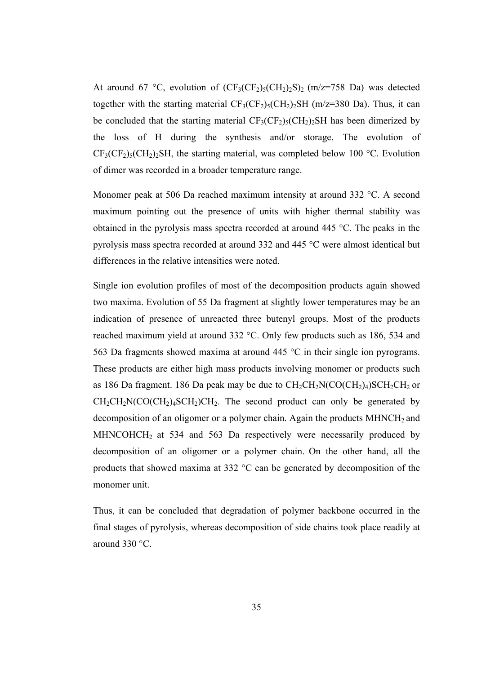At around 67 °C, evolution of  $(CF_3(CF_2)_5(CH_2)_2S)_2$  (m/z=758 Da) was detected together with the starting material  $CF_3(CF_2)_{5}(CH_2)_{2}SH(m/Z=380 \text{ Da})$ . Thus, it can be concluded that the starting material  $CF_3(CF_2)_5(CH_2)_2SH$  has been dimerized by the loss of H during the synthesis and/or storage. The evolution of  $CF<sub>3</sub>(CF<sub>2</sub>)<sub>5</sub>(CH<sub>2</sub>)<sub>2</sub>SH$ , the starting material, was completed below 100 °C. Evolution of dimer was recorded in a broader temperature range.

Monomer peak at 506 Da reached maximum intensity at around 332 °C. A second maximum pointing out the presence of units with higher thermal stability was obtained in the pyrolysis mass spectra recorded at around 445 °C. The peaks in the pyrolysis mass spectra recorded at around 332 and 445 °C were almost identical but differences in the relative intensities were noted.

Single ion evolution profiles of most of the decomposition products again showed two maxima. Evolution of 55 Da fragment at slightly lower temperatures may be an indication of presence of unreacted three butenyl groups. Most of the products reached maximum yield at around 332 °C. Only few products such as 186, 534 and 563 Da fragments showed maxima at around 445 °C in their single ion pyrograms. These products are either high mass products involving monomer or products such as 186 Da fragment. 186 Da peak may be due to  $CH_2CH_2N(CO(CH_2)_4)SCH_2CH_2$  or  $CH_2CH_2N(CO(CH_2)_4SCH_2)CH_2$ . The second product can only be generated by decomposition of an oligomer or a polymer chain. Again the products  $MHNCH<sub>2</sub>$  and  $MHNCOHCH<sub>2</sub>$  at 534 and 563 Da respectively were necessarily produced by decomposition of an oligomer or a polymer chain. On the other hand, all the products that showed maxima at 332 °C can be generated by decomposition of the monomer unit.

Thus, it can be concluded that degradation of polymer backbone occurred in the final stages of pyrolysis, whereas decomposition of side chains took place readily at around 330 °C.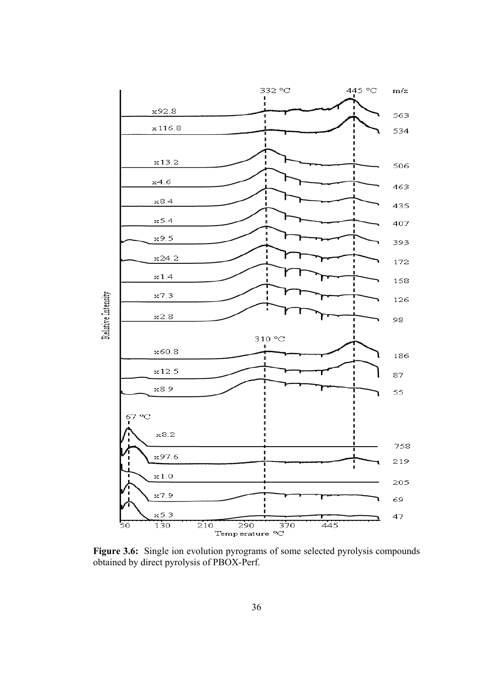

**Figure 3.6:** Single ion evolution pyrograms of some selected pyrolysis compounds obtained by direct pyrolysis of PBOX-Perf.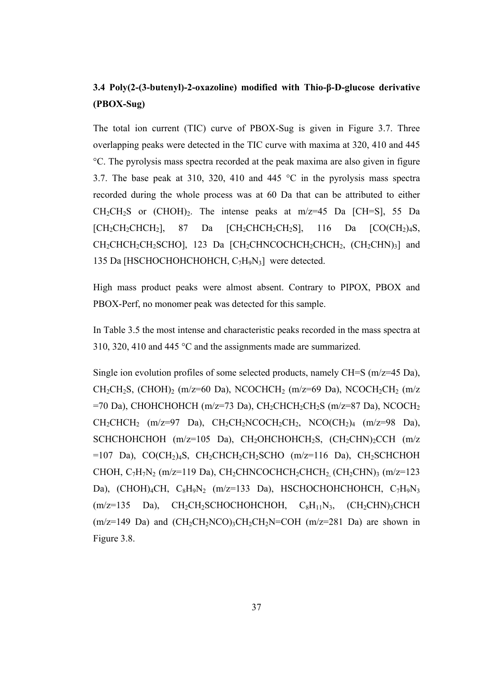## **3.4 Poly(2-(3-butenyl)-2-oxazoline) modified with Thio-β-D-glucose derivative (PBOX-Sug)**

The total ion current (TIC) curve of PBOX-Sug is given in Figure 3.7. Three overlapping peaks were detected in the TIC curve with maxima at 320, 410 and 445 °C. The pyrolysis mass spectra recorded at the peak maxima are also given in figure 3.7. The base peak at 310, 320, 410 and 445 °C in the pyrolysis mass spectra recorded during the whole process was at 60 Da that can be attributed to either  $CH_2CH_2S$  or  $(CHOH)_2$ . The intense peaks at m/z=45 Da [CH=S], 55 Da  $[CH_2CH_2CHCH_2]$ , 87 Da  $[CH_2CHCH_2CH_2S]$ , 116 Da  $[CO(CH_2)_4S$ , CH<sub>2</sub>CHCH<sub>2</sub>CH<sub>2</sub>SCHO], 123 Da [CH<sub>2</sub>CHNCOCHCH<sub>2</sub>CHCH<sub>2</sub>, (CH<sub>2</sub>CHN)<sub>3</sub>] and 135 Da [HSCHOCHOHCHOHCH,  $C_7H_9N_3$ ] were detected.

High mass product peaks were almost absent. Contrary to PIPOX, PBOX and PBOX-Perf, no monomer peak was detected for this sample.

In Table 3.5 the most intense and characteristic peaks recorded in the mass spectra at 310, 320, 410 and 445 °C and the assignments made are summarized.

Single ion evolution profiles of some selected products, namely CH=S (m/z=45 Da),  $CH_2CH_2S$ ,  $(CHOH)_2$  (m/z=60 Da), NCOCHCH<sub>2</sub> (m/z=69 Da), NCOCH<sub>2</sub>CH<sub>2</sub> (m/z  $=70$  Da), CHOHCHOHCH (m/z=73 Da), CH<sub>2</sub>CHCH<sub>2</sub>CH<sub>2</sub>S (m/z=87 Da), NCOCH<sub>2</sub>  $CH_2CHCH_2$  (m/z=97 Da),  $CH_2CH_2NCOCH_2CH_2$ ,  $NCO(CH_2)_4$  (m/z=98 Da), SCHCHOHCHOH  $(m/z=105)$  Da), CH<sub>2</sub>OHCHOHCH<sub>2</sub>S,  $(CH_2CHN)_2CCH$   $(m/z)$  $=107$  Da), CO(CH<sub>2</sub>)<sub>4</sub>S, CH<sub>2</sub>CHCH<sub>2</sub>CH<sub>2</sub>SCHO (m/z=116 Da), CH<sub>2</sub>SCHCHOH CHOH,  $C_7H_7N_2$  (m/z=119 Da), CH<sub>2</sub>CHNCOCHCH<sub>2</sub>CHCH<sub>2</sub> (CH<sub>2</sub>CHN)<sub>3</sub> (m/z=123 Da), (CHOH)4CH,  $C_8H_9N_2$  (m/z=133 Da), HSCHOCHOHCHOHCH,  $C_7H_9N_3$  $(m/z=135$  Da), CH<sub>2</sub>CH<sub>2</sub>SCHOCHOHCHOH, C<sub>8</sub>H<sub>11</sub>N<sub>3</sub>, (CH<sub>2</sub>CHN)<sub>3</sub>CHCH  $(m/z=149$  Da) and  $(CH_2CH_2NCO)_3CH_2CH_2N=COH$   $(m/z=281$  Da) are shown in Figure 3.8.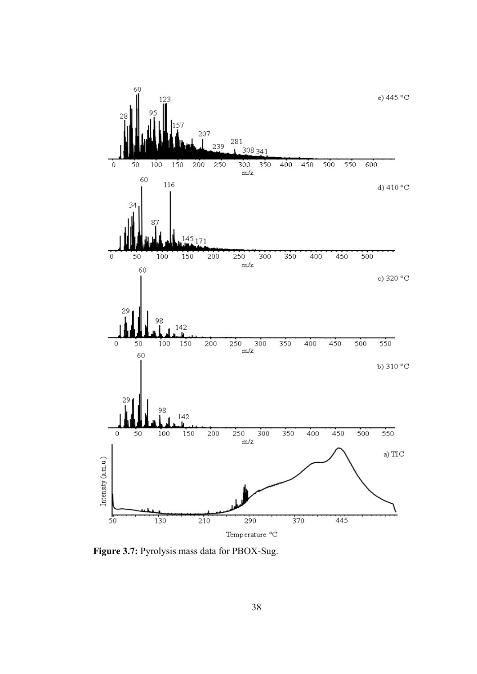

**Figure 3.7:** Pyrolysis mass data for PBOX-Sug.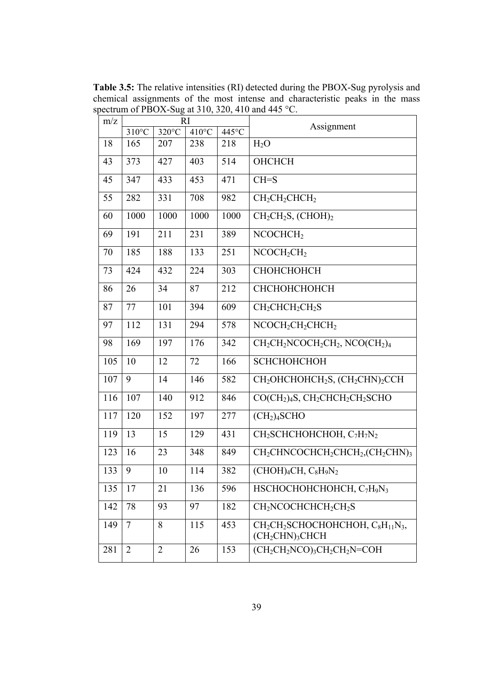**Table 3.5:** The relative intensities (RI) detected during the PBOX-Sug pyrolysis and chemical assignments of the most intense and characteristic peaks in the mass spectrum of PBOX-Sug at 310, 320, 410 and 445 °C.

| m/z | RI              |                 |                 |       |                                                                                                                    |
|-----|-----------------|-----------------|-----------------|-------|--------------------------------------------------------------------------------------------------------------------|
|     | $310^{\circ}$ C | $320^{\circ}$ C | $410^{\circ}$ C | 445°C | Assignment                                                                                                         |
| 18  | 165             | 207             | 238             | 218   | $H_2O$                                                                                                             |
| 43  | 373             | 427             | 403             | 514   | ОНСНСН                                                                                                             |
| 45  | 347             | 433             | 453             | 471   | $CH = S$                                                                                                           |
| 55  | 282             | 331             | 708             | 982   | $CH2CH2CHCH2$                                                                                                      |
| 60  | 1000            | 1000            | 1000            | 1000  | $CH2CH2S$ , (CHOH) <sub>2</sub>                                                                                    |
| 69  | 191             | 211             | 231             | 389   | NCOCHCH <sub>2</sub>                                                                                               |
| 70  | 185             | 188             | 133             | 251   | $NCOCH_2CH_2$                                                                                                      |
| 73  | 424             | 432             | 224             | 303   | СНОНСНОНСН                                                                                                         |
| 86  | 26              | 34              | 87              | 212   | СНСНОНСНОНСН                                                                                                       |
| 87  | 77              | 101             | 394             | 609   | CH <sub>2</sub> CHCH <sub>2</sub> CH <sub>2</sub> S                                                                |
| 97  | 112             | 131             | 294             | 578   | $NCOCH_2CH_2CHCH_2$                                                                                                |
| 98  | 169             | 197             | 176             | 342   | $CH2CH2NCOCH2CH2$ , NCO(CH <sub>2</sub> ) <sub>4</sub>                                                             |
| 105 | 10              | 12              | 72              | 166   | <b>SCHCHOHCHOH</b>                                                                                                 |
| 107 | 9               | 14              | 146             | 582   | CH <sub>2</sub> OHCHOHCH <sub>2</sub> S, (CH <sub>2</sub> CHN) <sub>2</sub> CCH                                    |
| 116 | 107             | 140             | 912             | 846   | $CO(CH2)4S, CH2CHCH2CH2SCHO$                                                                                       |
| 117 | 120             | 152             | 197             | 277   | (CH <sub>2</sub> ) <sub>4</sub> SCHO                                                                               |
| 119 | 13              | 15              | 129             | 431   | CH <sub>2</sub> SCHCHOHCHOH, C <sub>7</sub> H <sub>7</sub> N <sub>2</sub>                                          |
| 123 | 16              | 23              | 348             | 849   | CH <sub>2</sub> CHNCOCHCH <sub>2</sub> CHCH <sub>2</sub> ,(CH <sub>2</sub> CHN) <sub>3</sub>                       |
| 133 | 9               | 10              | 114             | 382   | $(CHOH)4CH, C8H9N2$                                                                                                |
| 135 | 17              | 21              | 136             | 596   | HSCHOCHOHCHOHCH, C7H9N3                                                                                            |
| 142 | 78              | 93              | 97              | 182   | CH <sub>2</sub> NCOCHCHCH <sub>2</sub> CH <sub>2</sub> S                                                           |
| 149 | $\tau$          | 8               | 115             | 453   | CH <sub>2</sub> CH <sub>2</sub> SCHOCHOHCHOH, C <sub>8</sub> H <sub>11</sub> N <sub>3</sub> ,<br>$(CH_2CHN)_3CHCH$ |
| 281 | $\overline{2}$  | $\overline{2}$  | 26              | 153   | $(CH_2CH_2NCO)_3CH_2CH_2N=COH$                                                                                     |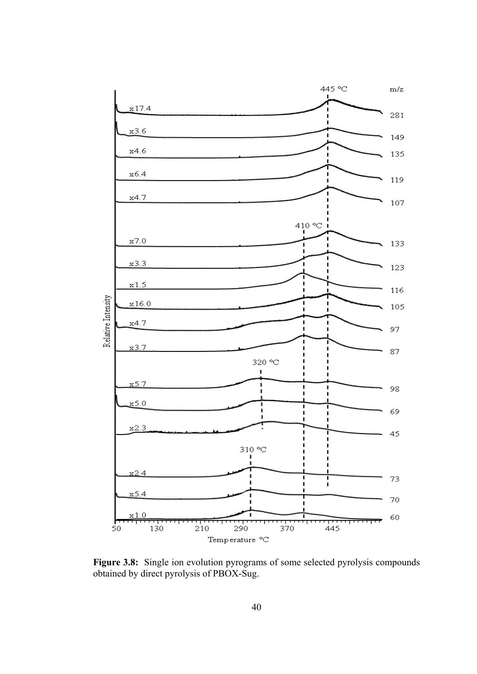

Figure 3.8: Single ion evolution pyrograms of some selected pyrolysis compounds obtained by direct pyrolysis of PBOX-Sug.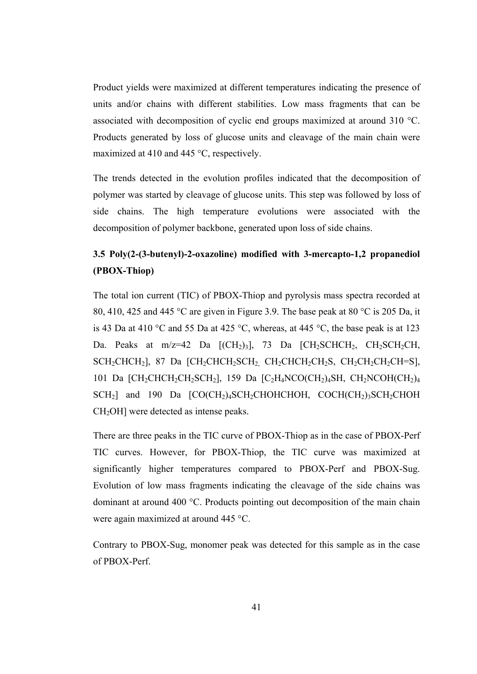Product yields were maximized at different temperatures indicating the presence of units and/or chains with different stabilities. Low mass fragments that can be associated with decomposition of cyclic end groups maximized at around 310 °C. Products generated by loss of glucose units and cleavage of the main chain were maximized at 410 and 445 °C, respectively.

The trends detected in the evolution profiles indicated that the decomposition of polymer was started by cleavage of glucose units. This step was followed by loss of side chains. The high temperature evolutions were associated with the decomposition of polymer backbone, generated upon loss of side chains.

### **3.5 Poly(2-(3-butenyl)-2-oxazoline) modified with 3-mercapto-1,2 propanediol (PBOX-Thiop)**

The total ion current (TIC) of PBOX-Thiop and pyrolysis mass spectra recorded at 80, 410, 425 and 445 °C are given in Figure 3.9. The base peak at 80 °C is 205 Da, it is 43 Da at 410 °C and 55 Da at 425 °C, whereas, at 445 °C, the base peak is at 123 Da. Peaks at m/z=42 Da  $\text{[(CH}_2)_3\text{]},$  73 Da  $\text{[(CH}_2)\text{SCHCH}_2\text{, CH}_2\text{SCH}_2\text{CH},$  $SCH_2CHCH_2$ ], 87 Da  $\left[CH_2CHCH_2SCH_2\right]$   $CH_2CHCH_2CH_2S$ ,  $CH_2CH_2CH_2CH_2CH=S$ ], 101 Da  $\text{[CH}_2\text{CHCH}_2\text{CH}_2\text{SCH}_2$ ], 159 Da  $\text{[C}_2\text{H}_4\text{NCO}(\text{CH}_2)_4\text{SH}$ ,  $\text{CH}_2\text{NCOH}(\text{CH}_2)_4$  $SCH<sub>2</sub>$ ] and 190 Da  $[CO(CH<sub>2</sub>)<sub>4</sub>SCH<sub>2</sub>CHOHCHOH, COCH(CH<sub>2</sub>)<sub>3</sub>SCH<sub>2</sub>CHOH$ CH2OH] were detected as intense peaks.

There are three peaks in the TIC curve of PBOX-Thiop as in the case of PBOX-Perf TIC curves. However, for PBOX-Thiop, the TIC curve was maximized at significantly higher temperatures compared to PBOX-Perf and PBOX-Sug. Evolution of low mass fragments indicating the cleavage of the side chains was dominant at around 400 °C. Products pointing out decomposition of the main chain were again maximized at around 445 °C.

Contrary to PBOX-Sug, monomer peak was detected for this sample as in the case of PBOX-Perf.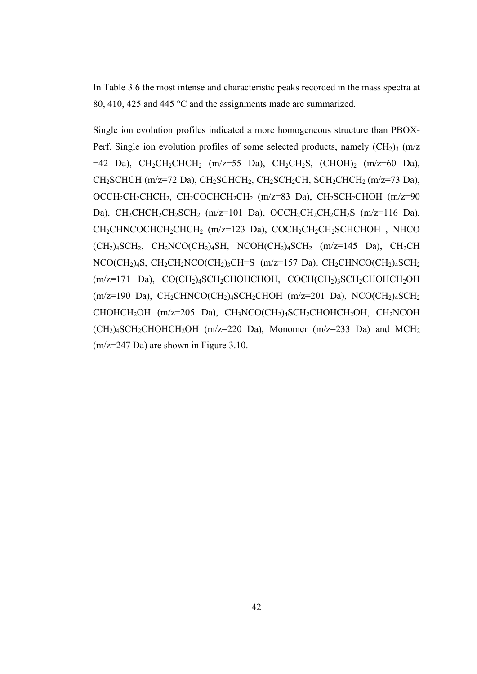In Table 3.6 the most intense and characteristic peaks recorded in the mass spectra at 80, 410, 425 and 445 °C and the assignments made are summarized.

Single ion evolution profiles indicated a more homogeneous structure than PBOX-Perf. Single ion evolution profiles of some selected products, namely  $(CH<sub>2</sub>)<sub>3</sub>$  (m/z  $=42$  Da), CH<sub>2</sub>CH<sub>2</sub>CHCH<sub>2</sub> (m/z=55 Da), CH<sub>2</sub>CH<sub>2</sub>S, (CHOH)<sub>2</sub> (m/z=60 Da), CH<sub>2</sub>SCHCH (m/z=72 Da), CH<sub>2</sub>SCHCH<sub>2</sub>, CH<sub>2</sub>SCH<sub>2</sub>CH, SCH<sub>2</sub>CHCH<sub>2</sub> (m/z=73 Da), OCCH<sub>2</sub>CH<sub>2</sub>CHCH<sub>2</sub>, CH<sub>2</sub>COCHCH<sub>2</sub>CH<sub>2</sub> (m/z=83 Da), CH<sub>2</sub>SCH<sub>2</sub>CHOH (m/z=90 Da),  $CH_2CHCH_2CH_2SCH_2$  (m/z=101 Da),  $OCCH_2CH_2CH_2CH_2S$  (m/z=116 Da), CH<sub>2</sub>CHNCOCHCH<sub>2</sub>CHCH<sub>2</sub> (m/z=123 Da), COCH<sub>2</sub>CH<sub>2</sub>CH<sub>2</sub>SCHCHOH, NHCO  $(CH<sub>2</sub>)<sub>4</sub>SCH<sub>2</sub>$ ,  $CH<sub>2</sub>NCO(CH<sub>2</sub>)<sub>4</sub>SH$ ,  $NCOH(CH<sub>2</sub>)<sub>4</sub>SCH<sub>2</sub>$  (m/z=145 Da),  $CH<sub>2</sub>CH$  $NCO(CH_2)_4S$ ,  $CH_2CH_2NCO(CH_2)_3CH=S$  (m/z=157 Da),  $CH_2CHNCO(CH_2)_4SCH_2$  $(m/z=171$  Da),  $CO(CH<sub>2</sub>)<sub>4</sub>SCH<sub>2</sub>CHOHCHOH$ ,  $COCH(CH<sub>2</sub>)<sub>3</sub>SCH<sub>2</sub>CHOHCH<sub>2</sub>OH$  $(m/z=190$  Da), CH<sub>2</sub>CHNCO(CH<sub>2</sub>)<sub>4</sub>SCH<sub>2</sub>CHOH (m/z=201 Da), NCO(CH<sub>2</sub>)<sub>4</sub>SCH<sub>2</sub> CHOHCH2OH (m/z=205 Da), CH3NCO(CH2)4SCH2CHOHCH2OH, CH2NCOH  $(CH<sub>2</sub>)<sub>4</sub>SCH<sub>2</sub>CHOHCH<sub>2</sub>OH (m/z=220 Da)$ , Monomer (m/z=233 Da) and MCH<sub>2</sub> (m/z=247 Da) are shown in Figure 3.10.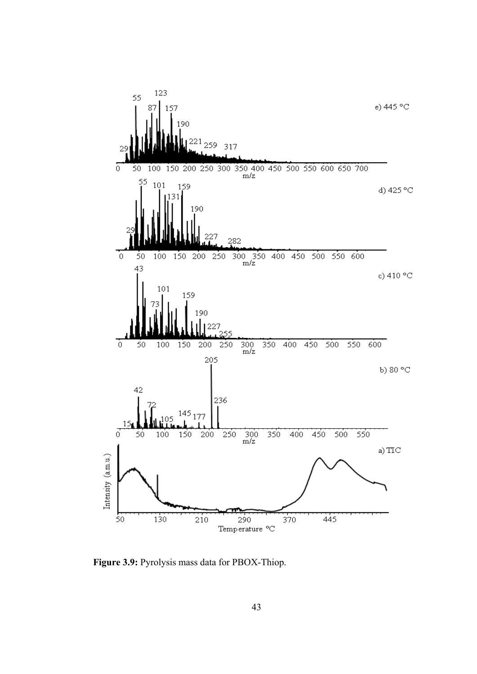

**Figure 3.9:** Pyrolysis mass data for PBOX-Thiop.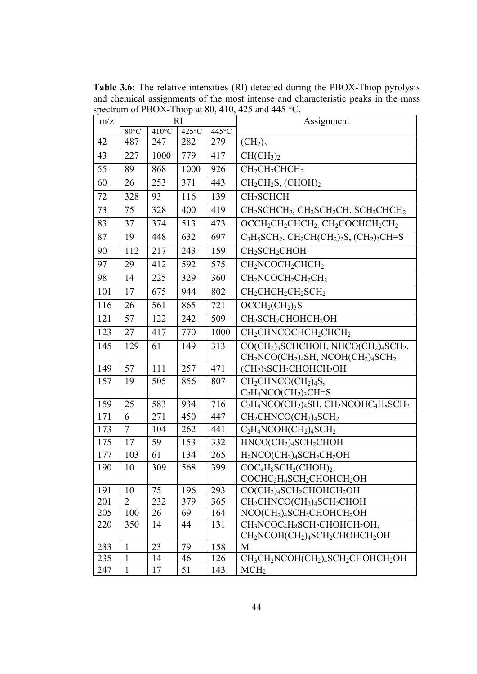**Table 3.6:** The relative intensities (RI) detected during the PBOX-Thiop pyrolysis and chemical assignments of the most intense and characteristic peaks in the mass spectrum of PBOX-Thiop at 80, 410, 425 and 445 °C.

| m/z | R1             |                 |       | Assignment |                                                                                                                          |
|-----|----------------|-----------------|-------|------------|--------------------------------------------------------------------------------------------------------------------------|
|     | 80°C           | $410^{\circ}$ C | 425°C | 445°C      |                                                                                                                          |
| 42  | 487            | 247             | 282   | 279        | (CH <sub>2</sub> ) <sub>3</sub>                                                                                          |
| 43  | 227            | 1000            | 779   | 417        | CH(CH <sub>3</sub> ) <sub>2</sub>                                                                                        |
| 55  | 89             | 868             | 1000  | 926        | CH <sub>2</sub> CH <sub>2</sub> CHCH <sub>2</sub>                                                                        |
| 60  | 26             | 253             | 371   | 443        | $CH2CH2S$ , (CHOH) <sub>2</sub>                                                                                          |
| 72  | 328            | 93              | 116   | 139        | CH <sub>2</sub> SCHCH                                                                                                    |
| 73  | 75             | 328             | 400   | 419        | CH <sub>2</sub> SCHCH <sub>2</sub> , CH <sub>2</sub> SCH <sub>2</sub> CH <sub>2</sub> SCH <sub>2</sub> CHCH <sub>2</sub> |
| 83  | 37             | 374             | 513   | 473        | $OCCH_2CH_2CHCH_2$ , $CH_2COCHCH_2CH_2$                                                                                  |
| 87  | 19             | 448             | 632   | 697        | $C_3H_5SCH_2$ , $CH_2CH(CH_2)_2S$ , $(CH_2)_3CH=S$                                                                       |
| 90  | 112            | 217             | 243   | 159        | CH <sub>2</sub> SCH <sub>2</sub> CHOH                                                                                    |
| 97  | 29             | 412             | 592   | 575        | $CH2NCOCH2CHCH2$                                                                                                         |
| 98  | 14             | 225             | 329   | 360        | $CH2NCOCH2CH2CH2$                                                                                                        |
| 101 | 17             | 675             | 944   | 802        | $CH2CHCH2CH2SCH2$                                                                                                        |
| 116 | 26             | 561             | 865   | 721        | $OCCH2(CH2)3S$                                                                                                           |
| 121 | 57             | 122             | 242   | 509        | CH <sub>2</sub> SCH <sub>2</sub> CHOHCH <sub>2</sub> OH                                                                  |
| 123 | 27             | 417             | 770   | 1000       | CH <sub>2</sub> CHNCOCHCH <sub>2</sub> CHCH <sub>2</sub>                                                                 |
| 145 | 129            | 61              | 149   | 313        | CO(CH <sub>2</sub> ) <sub>3</sub> SCHCHOH, NHCO(CH <sub>2</sub> ) <sub>4</sub> SCH <sub>2</sub> ,                        |
|     |                |                 |       |            | CH <sub>2</sub> NCO(CH <sub>2</sub> ) <sub>4</sub> SH, NCOH(CH <sub>2</sub> ) <sub>4</sub> SCH <sub>2</sub>              |
| 149 | 57             | 111             | 257   | 471        | $(CH2)3SCH2CHOHCH2OH$                                                                                                    |
| 157 | 19             | 505             | 856   | 807        | $CH2CHNCO(CH2)4S$ ,                                                                                                      |
|     |                |                 |       |            | $C_2H_4NCO(CH_2)_3CH=S$                                                                                                  |
| 159 | 25             | 583             | 934   | 716        | $C_2H_4NCO(CH_2)_4SH$ , $CH_2NCOHC_4H_8SCH_2$                                                                            |
| 171 | 6              | 271             | 450   | 447        | $CH_2CHNCO(CH_2)_4SCH_2$                                                                                                 |
| 173 | $\tau$         | 104             | 262   | 441        | $C_2H_4NCOH(CH_2)_4SCH_2$                                                                                                |
| 175 | 17             | 59              | 153   | 332        | HNCO(CH <sub>2</sub> ) <sub>4</sub> SCH <sub>2</sub> CHOH                                                                |
| 177 | 103            | 61              | 134   | 265        | $H_2NCO(CH_2)_4SCH_2CH_2OH$                                                                                              |
| 190 | 10             | 309             | 568   | 399        | $COC_4H_8SCH_2(CHOH)_2,$                                                                                                 |
|     |                |                 |       |            | COCHC <sub>3</sub> H <sub>6</sub> SCH <sub>2</sub> CHOHCH <sub>2</sub> OH                                                |
| 191 | 10             | 75              | 196   | 293        | CO(CH <sub>2</sub> ) <sub>4</sub> SCH <sub>2</sub> CHOHCH <sub>2</sub> OH                                                |
| 201 | $\overline{2}$ | 232             | 379   | 365        | $CH2CHNCO(CH2)4SCH2CHOH$                                                                                                 |
| 205 | 100            | 26              | 69    | 164        | NCO(CH <sub>2</sub> ) <sub>4</sub> SCH <sub>2</sub> CHOHCH <sub>2</sub> OH                                               |
| 220 | 350            | 14              | 44    | 131        | CH <sub>3</sub> NCOC <sub>4</sub> H <sub>8</sub> SCH <sub>2</sub> CHOHCH <sub>2</sub> OH,                                |
|     |                |                 |       |            | CH <sub>2</sub> NCOH(CH <sub>2</sub> ) <sub>4</sub> SCH <sub>2</sub> CHOHCH <sub>2</sub> OH                              |
| 233 | $\mathbf{1}$   | 23              | 79    | 158        | M                                                                                                                        |
| 235 | $\mathbf{1}$   | 14              | 46    | 126        | CH <sub>3</sub> CH <sub>2</sub> NCOH(CH <sub>2</sub> ) <sub>4</sub> SCH <sub>2</sub> CHOHCH <sub>2</sub> OH              |
| 247 | $\mathbf{1}$   | 17              | 51    | 143        | MCH <sub>2</sub>                                                                                                         |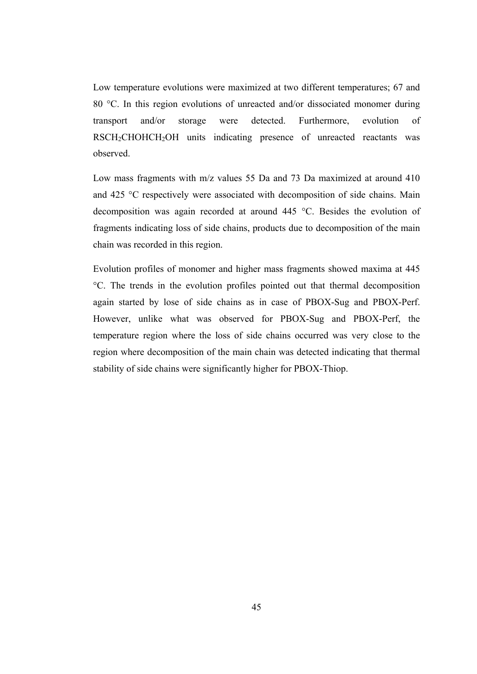Low temperature evolutions were maximized at two different temperatures; 67 and 80 °C. In this region evolutions of unreacted and/or dissociated monomer during transport and/or storage were detected. Furthermore, evolution of RSCH2CHOHCH2OH units indicating presence of unreacted reactants was observed.

Low mass fragments with m/z values 55 Da and 73 Da maximized at around 410 and 425 °C respectively were associated with decomposition of side chains. Main decomposition was again recorded at around 445 °C. Besides the evolution of fragments indicating loss of side chains, products due to decomposition of the main chain was recorded in this region.

Evolution profiles of monomer and higher mass fragments showed maxima at 445 °C. The trends in the evolution profiles pointed out that thermal decomposition again started by lose of side chains as in case of PBOX-Sug and PBOX-Perf. However, unlike what was observed for PBOX-Sug and PBOX-Perf, the temperature region where the loss of side chains occurred was very close to the region where decomposition of the main chain was detected indicating that thermal stability of side chains were significantly higher for PBOX-Thiop.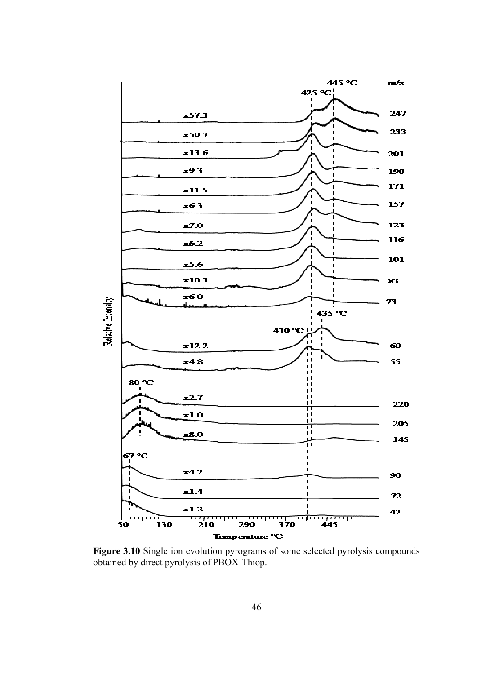

Figure 3.10 Single ion evolution pyrograms of some selected pyrolysis compounds obtained by direct pyrolysis of PBOX-Thiop.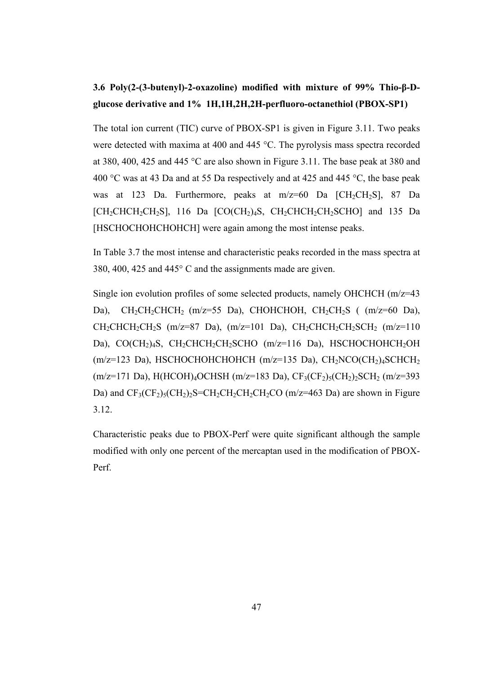## **3.6 Poly(2-(3-butenyl)-2-oxazoline) modified with mixture of 99% Thio-β-Dglucose derivative and 1% 1H,1H,2H,2H-perfluoro-octanethiol (PBOX-SP1)**

The total ion current (TIC) curve of PBOX-SP1 is given in Figure 3.11. Two peaks were detected with maxima at 400 and 445 °C. The pyrolysis mass spectra recorded at 380, 400, 425 and 445 °C are also shown in Figure 3.11. The base peak at 380 and 400 °C was at 43 Da and at 55 Da respectively and at 425 and 445 °C, the base peak was at 123 Da. Furthermore, peaks at m/z=60 Da [CH<sub>2</sub>CH<sub>2</sub>S], 87 Da  $[CH_2CHCH_2CH_2S]$ , 116 Da  $[CO(CH_2)_4S$ ,  $CH_2CHCH_2CH_2SCHO]$  and 135 Da [HSCHOCHOHCHOHCH] were again among the most intense peaks.

In Table 3.7 the most intense and characteristic peaks recorded in the mass spectra at 380, 400, 425 and 445° C and the assignments made are given.

Single ion evolution profiles of some selected products, namely OHCHCH (m/z=43 Da),  $CH_2CH_2CHCH_2$  (m/z=55 Da), CHOHCHOH,  $CH_2CH_2S$  ( $(m/z=60$  Da),  $CH_2CHCH_2CH_2S$  (m/z=87 Da), (m/z=101 Da),  $CH_2CHCH_2CH_2SCH_2$  (m/z=110 Da), CO(CH<sub>2</sub>)<sub>4</sub>S, CH<sub>2</sub>CHCH<sub>2</sub>CH<sub>2</sub>SCHO (m/z=116 Da), HSCHOCHOHCH<sub>2</sub>OH  $(m/z=123$  Da), HSCHOCHOHCHOHCH  $(m/z=135$  Da), CH<sub>2</sub>NCO(CH<sub>2</sub>)<sub>4</sub>SCHCH<sub>2</sub>  $(m/z=171 \text{ Da})$ , H(HCOH)<sub>4</sub>OCHSH (m/z=183 Da), CF<sub>3</sub>(CF<sub>2</sub>)<sub>5</sub>(CH<sub>2</sub>)<sub>2</sub>SCH<sub>2</sub> (m/z=393) Da) and  $CF_3(CF_2)_5(CH_2)_2S=CH_2CH_2CH_2CH_2CO$  (m/z=463 Da) are shown in Figure 3.12.

Characteristic peaks due to PBOX-Perf were quite significant although the sample modified with only one percent of the mercaptan used in the modification of PBOX-Perf.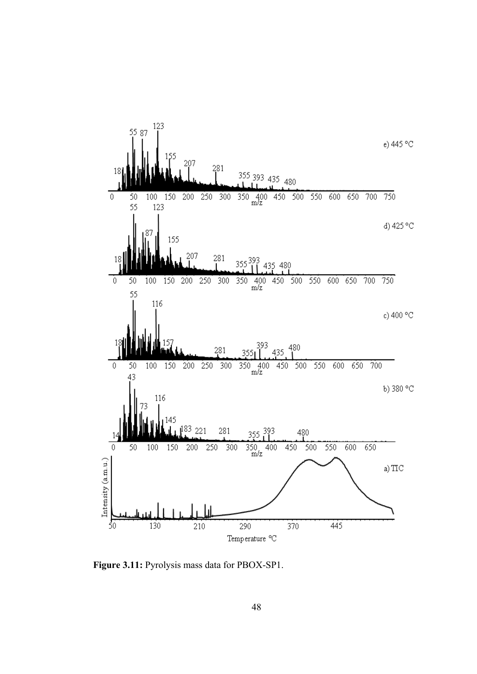

**Figure 3.11:** Pyrolysis mass data for PBOX-SP1.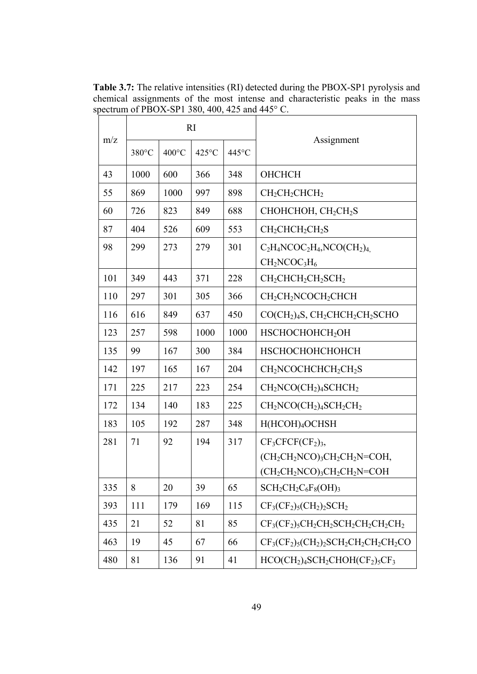**Table 3.7:** The relative intensities (RI) detected during the PBOX-SP1 pyrolysis and chemical assignments of the most intense and characteristic peaks in the mass spectrum of PBOX-SP1 380, 400, 425 and 445° C.

|     |       |                 | RI    |       |                                                                       |
|-----|-------|-----------------|-------|-------|-----------------------------------------------------------------------|
| m/z | 380°C | $400^{\circ}$ C | 425°C | 445°C | Assignment                                                            |
| 43  | 1000  | 600             | 366   | 348   | ОНСНСН                                                                |
| 55  | 869   | 1000            | 997   | 898   | $CH2CH2CHCH2$                                                         |
| 60  | 726   | 823             | 849   | 688   | CHOHCHOH, CH <sub>2</sub> CH <sub>2</sub> S                           |
| 87  | 404   | 526             | 609   | 553   | $CH2CHCH2CH2S$                                                        |
| 98  | 299   | 273             | 279   | 301   | $C_2H_4NCOC_2H_4NCO(CH_2)_4$<br>$CH2NCOC3H6$                          |
| 101 | 349   | 443             | 371   | 228   | CH <sub>2</sub> CHCH <sub>2</sub> CH <sub>2</sub> SCH <sub>2</sub>    |
| 110 | 297   | 301             | 305   | 366   | CH <sub>2</sub> CH <sub>2</sub> NCOCH <sub>2</sub> CHCH               |
| 116 | 616   | 849             | 637   | 450   | $CO(CH2)4S, CH2CHCH2CH2SCHO$                                          |
| 123 | 257   | 598             | 1000  | 1000  | HSCHOCHOHCH2OH                                                        |
| 135 | 99    | 167             | 300   | 384   | НЅСНОСНОНСНОНСН                                                       |
| 142 | 197   | 165             | 167   | 204   | CH <sub>2</sub> NCOCHCHCH <sub>2</sub> CH <sub>2</sub> S              |
| 171 | 225   | 217             | 223   | 254   | CH <sub>2</sub> NCO(CH <sub>2</sub> ) <sub>4</sub> SCHCH <sub>2</sub> |
| 172 | 134   | 140             | 183   | 225   | $CH2NCO(CH2)4SCH2CH2$                                                 |
| 183 | 105   | 192             | 287   | 348   | H(HCOH) <sub>4</sub> OCHSH                                            |
| 281 | 71    | 92              | 194   | 317   | $CF3CFCF(CF2)3$                                                       |
|     |       |                 |       |       | $(CH_2CH_2NCO)_3CH_2CH_2N=COH$ ,                                      |
|     |       |                 |       |       | $(CH_2CH_2NCO)_3CH_2CH_2N=COH$                                        |
| 335 | 8     | 20              | 39    | 65    | $SCH_2CH_2C_6F_8(OH)_3$                                               |
| 393 | 111   | 179             | 169   | 115   | $CF_3(CF_2)_5(CH_2)_2SCH_2$                                           |
| 435 | 21    | 52              | 81    | 85    | $CF3(CF2)5CH2CH2CH2CH2CH2CH2CH2$                                      |
| 463 | 19    | 45              | 67    | 66    | $CF3(CF2)5(CH2)2SCH2CH2CH2CH2CO$                                      |
| 480 | 81    | 136             | 91    | 41    | $HCO(CH2)4SCH2CHOH(CF2)5CF3$                                          |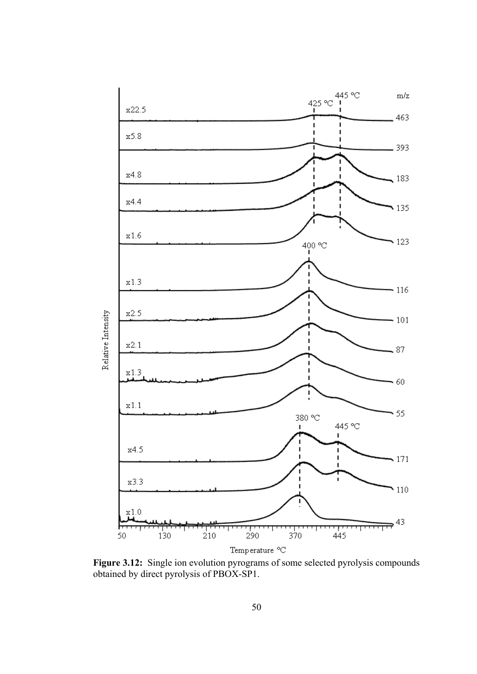

**Figure 3.12:** Single ion evolution pyrograms of some selected pyrolysis compounds obtained by direct pyrolysis of PBOX-SP1.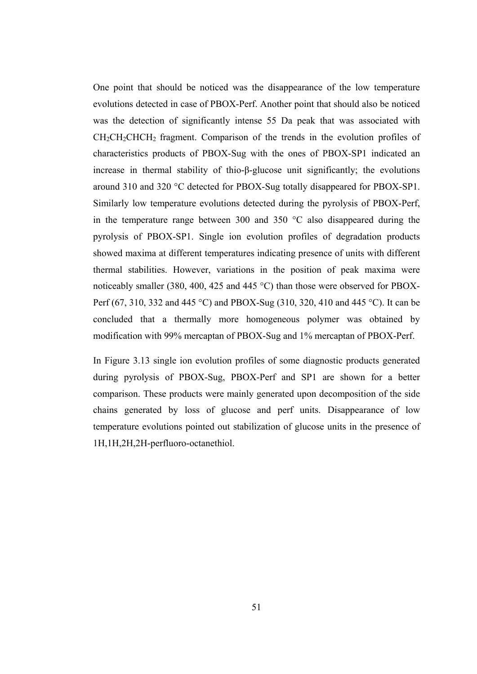One point that should be noticed was the disappearance of the low temperature evolutions detected in case of PBOX-Perf. Another point that should also be noticed was the detection of significantly intense 55 Da peak that was associated with CH<sub>2</sub>CH<sub>2</sub>CHCH<sub>2</sub> fragment. Comparison of the trends in the evolution profiles of characteristics products of PBOX-Sug with the ones of PBOX-SP1 indicated an increase in thermal stability of thio-β-glucose unit significantly; the evolutions around 310 and 320 °C detected for PBOX-Sug totally disappeared for PBOX-SP1. Similarly low temperature evolutions detected during the pyrolysis of PBOX-Perf, in the temperature range between 300 and 350 °C also disappeared during the pyrolysis of PBOX-SP1. Single ion evolution profiles of degradation products showed maxima at different temperatures indicating presence of units with different thermal stabilities. However, variations in the position of peak maxima were noticeably smaller (380, 400, 425 and 445 °C) than those were observed for PBOX-Perf (67, 310, 332 and 445 °C) and PBOX-Sug (310, 320, 410 and 445 °C). It can be concluded that a thermally more homogeneous polymer was obtained by modification with 99% mercaptan of PBOX-Sug and 1% mercaptan of PBOX-Perf.

In Figure 3.13 single ion evolution profiles of some diagnostic products generated during pyrolysis of PBOX-Sug, PBOX-Perf and SP1 are shown for a better comparison. These products were mainly generated upon decomposition of the side chains generated by loss of glucose and perf units. Disappearance of low temperature evolutions pointed out stabilization of glucose units in the presence of 1H,1H,2H,2H-perfluoro-octanethiol.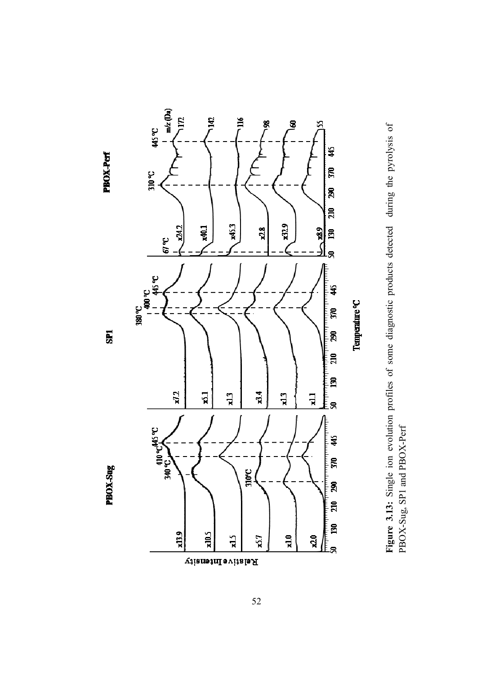

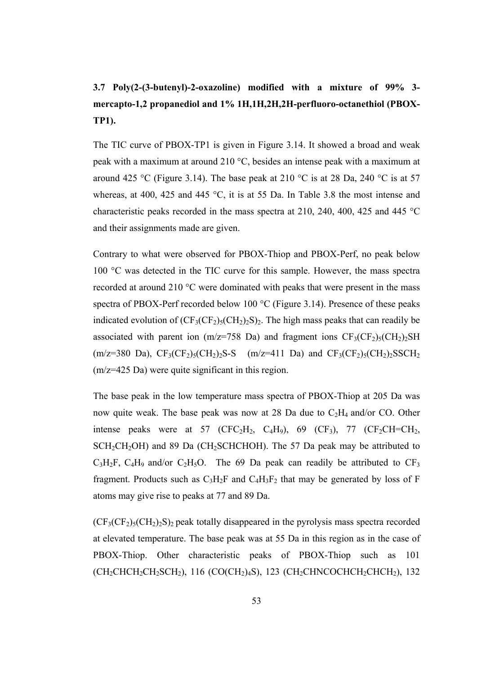# **3.7 Poly(2-(3-butenyl)-2-oxazoline) modified with a mixture of 99% 3 mercapto-1,2 propanediol and 1% 1H,1H,2H,2H-perfluoro-octanethiol (PBOX-TP1).**

The TIC curve of PBOX-TP1 is given in Figure 3.14. It showed a broad and weak peak with a maximum at around 210 °C, besides an intense peak with a maximum at around 425 °C (Figure 3.14). The base peak at 210 °C is at 28 Da, 240 °C is at 57 whereas, at 400, 425 and 445 °C, it is at 55 Da. In Table 3.8 the most intense and characteristic peaks recorded in the mass spectra at 210, 240, 400, 425 and 445 °C and their assignments made are given.

Contrary to what were observed for PBOX-Thiop and PBOX-Perf, no peak below 100 °C was detected in the TIC curve for this sample. However, the mass spectra recorded at around 210 °C were dominated with peaks that were present in the mass spectra of PBOX-Perf recorded below 100 °C (Figure 3.14). Presence of these peaks indicated evolution of  $(CF_3(CF_2)_{5}(CH_2)_{2}S)_{2}$ . The high mass peaks that can readily be associated with parent ion (m/z=758 Da) and fragment ions  $CF_3(CF_2)_5(CH_2)_2SH$  $(m/z=380 \text{ Da})$ ,  $CF_3(CF_2)_5(CH_2)_2S-S$   $(m/z=411 \text{ Da})$  and  $CF_3(CF_2)_5(CH_2)_2SSCH_2$ (m/z=425 Da) were quite significant in this region.

The base peak in the low temperature mass spectra of PBOX-Thiop at 205 Da was now quite weak. The base peak was now at 28 Da due to  $C_2H_4$  and/or CO. Other intense peaks were at 57 (CFC<sub>2</sub>H<sub>2</sub>, C<sub>4</sub>H<sub>9</sub>), 69 (CF<sub>3</sub>), 77 (CF<sub>2</sub>CH=CH<sub>2</sub>,  $SCH_2CH_2OH$ ) and 89 Da (CH<sub>2</sub>SCHCHOH). The 57 Da peak may be attributed to  $C_3H_2F$ ,  $C_4H_9$  and/or  $C_2H_5O$ . The 69 Da peak can readily be attributed to  $CF_3$ fragment. Products such as  $C_3H_2F$  and  $C_4H_3F_2$  that may be generated by loss of F atoms may give rise to peaks at 77 and 89 Da.

 $(CF<sub>3</sub>(CF<sub>2</sub>)<sub>5</sub>(CH<sub>2</sub>)<sub>2</sub>S)$ <sub>2</sub> peak totally disappeared in the pyrolysis mass spectra recorded at elevated temperature. The base peak was at 55 Da in this region as in the case of PBOX-Thiop. Other characteristic peaks of PBOX-Thiop such as 101  $(CH_2CHCH_2CH_2SCH_2)$ , 116 (CO(CH<sub>2</sub>)<sub>4</sub>S), 123 (CH<sub>2</sub>CHNCOCHCH<sub>2</sub>CHCH<sub>2</sub>), 132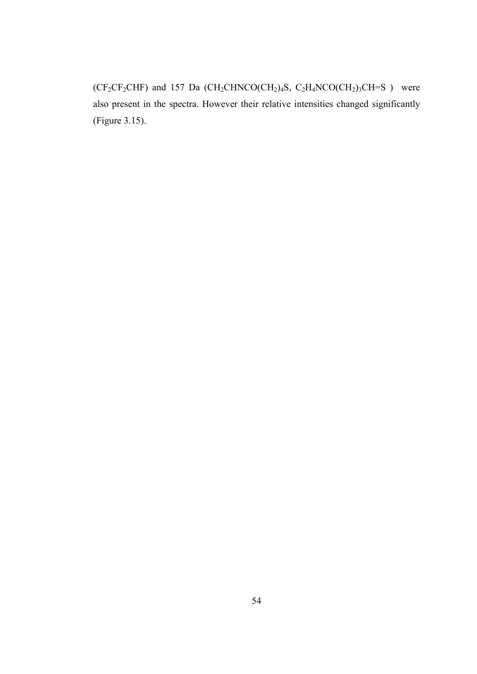$(CF_2CF_2CHF)$  and 157 Da  $(CH_2CHNCO(CH_2)_4S, C_2H_4NCO(CH_2)_3CH=S$  ) were also present in the spectra. However their relative intensities changed significantly (Figure 3.15).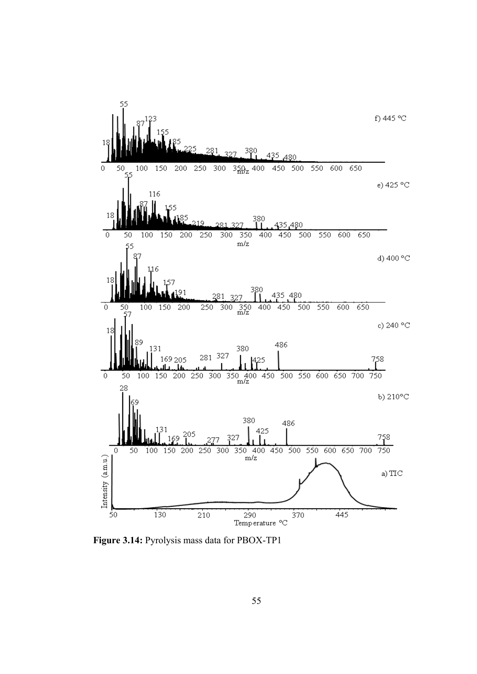

**Figure 3.14:** Pyrolysis mass data for PBOX-TP1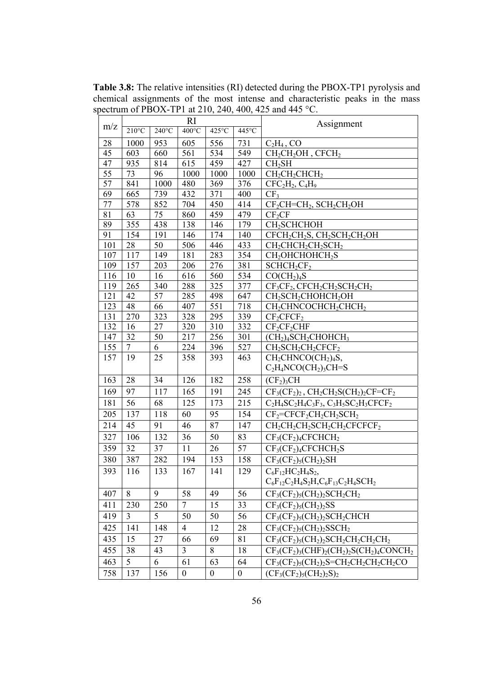**Table 3.8:** The relative intensities (RI) detected during the PBOX-TP1 pyrolysis and chemical assignments of the most intense and characteristic peaks in the mass spectrum of PBOX-TP1 at 210, 240, 400, 425 and 445 °C.

|     | RI              |                 |                  |                  |                  | Assignment                                                                                          |
|-----|-----------------|-----------------|------------------|------------------|------------------|-----------------------------------------------------------------------------------------------------|
| m/z | $210^{\circ}$ C | $240^{\circ}$ C | $400^{\circ}$ C  | 425°C            | $445^{\circ}$ C  |                                                                                                     |
| 28  | 1000            | 953             | 605              | 556              | 731              | $C_2H_4$ , CO                                                                                       |
| 45  | 603             | 660             | 561              | 534              | 549              | $CH2CH2OH$ , $CFCH2$                                                                                |
| 47  | 935             | 814             | 615              | 459              | 427              | CH <sub>2</sub> SH                                                                                  |
| 55  | 73              | 96              | 1000             | 1000             | 1000             | $CH2CH2CHCH2$                                                                                       |
| 57  | 841             | 1000            | 480              | 369              | 376              | $CFC2H2, C4H9$                                                                                      |
| 69  | 665             | 739             | 432              | 371              | 400              | CF <sub>3</sub>                                                                                     |
| 77  | 578             | 852             | 704              | 450              | 414              | $CF_2CH=CH_2$ , $SCH_2CH_2OH$                                                                       |
| 81  | 63              | 75              | 860              | 459              | 479              | $CF_2CF$                                                                                            |
| 89  | 355             | 438             | 138              | 146              | 179              | CH <sub>2</sub> SCHCHOH                                                                             |
| 91  | 154             | 191             | 146              | 174              | 140              | CFCH <sub>2</sub> CH <sub>2</sub> S, CH <sub>2</sub> SCH <sub>2</sub> CH <sub>2</sub> OH            |
| 101 | 28              | 50              | 506              | 446              | 433              | $CH_2CHCH_2CH_2SCH_2$                                                                               |
| 107 | 117             | 149             | 181              | 283              | 354              | CH <sub>2</sub> OHCHOHCH <sub>2</sub> S                                                             |
| 109 | 157             | 203             | 206              | 276              | 381              | SCHCH <sub>2</sub> CF <sub>2</sub>                                                                  |
| 116 | 10              | 16              | 616              | 560              | 534              | CO(CH <sub>2</sub> ) <sub>4</sub> S                                                                 |
| 119 | 265             | 340             | 288              | 325              | 377              | $CF3CF2$ , $CFCH2CH2SCH2CH2$                                                                        |
| 121 | 42              | 57              | 285              | 498              | 647              | CH <sub>2</sub> SCH <sub>2</sub> CHOHCH <sub>2</sub> OH                                             |
| 123 | 48              | 66              | 407              | 551              | 718              | CH <sub>2</sub> CHNCOCHCH <sub>2</sub> CHCH <sub>2</sub>                                            |
| 131 | 270             | 323             | 328              | 295              | 339              | $CF_2CFCF_2$                                                                                        |
| 132 | 16              | 27              | 320              | 310              | 332              | $CF_2CF_2CHF$                                                                                       |
| 147 | 32              | 50              | 217              | 256              | 301              | $(CH2)4SCH2CHOHCH3$                                                                                 |
| 155 | $\overline{7}$  | 6               | 224              | 396              | 527              | $CH2SCH2CH2CFCF2$                                                                                   |
| 157 | 19              | 25              | 358              | 393              | 463              | CH <sub>2</sub> CHNCO(CH <sub>2</sub> ) <sub>4</sub> S,                                             |
|     |                 |                 |                  |                  |                  | $C_2H_4NCO(CH_2)_3CH=S$                                                                             |
| 163 | 28              | 34              | 126              | 182              | 258              | (CF <sub>2</sub> ) <sub>3</sub> CH                                                                  |
| 169 | 97              | 117             | 165              | 191              | 245              | $CF3(CF2)2$ , $CH2CH2S(CH2)2CF=CF2$                                                                 |
| 181 | 56              | 68              | 125              | 173              | 215              | $C_2H_4SC_2H_4C_3F_3$ , $C_3H_5SC_2H_3CFCF_2$                                                       |
| 205 | 137             | 118             | 60               | 95               | 154              | $CF_2=CFCF_2CH_2CH_2SCH_2$                                                                          |
| 214 | 45              | 91              | 46               | 87               | 147              | CH <sub>2</sub> CH <sub>2</sub> CH <sub>2</sub> CH <sub>2</sub> CH <sub>2</sub> CFCFCF <sub>2</sub> |
| 327 | 106             | 132             | 36               | 50               | 83               | $CF3(CF2)4CFCHCH2$                                                                                  |
| 359 | 32              | 37              | 11               | 26               | 57               | $CF3(CF2)4CFCHCH2S$                                                                                 |
| 380 | 387             | 282             | 194              | 153              | 158              | $CF_3(CF_2)_5(CH_2)_2SH$                                                                            |
| 393 | 116             | 133             | 167              | 141              | 129              | $C_6F_{12}HC_2H_4S_2$                                                                               |
|     |                 |                 |                  |                  |                  | $C_6F_{12}C_2H_4S_2H_1C_6F_{13}C_2H_4SCH_2$                                                         |
| 407 | 8               | 9               | 58               | 49               | 56               | $CF_3(CF_2)_5(CH_2)_2SCH_2CH_2$                                                                     |
| 411 | 230             | 250             | $\overline{7}$   | 15               | 33               | $CF_3(CF_2)_5(CH_2)_2SS$                                                                            |
| 419 | 3               | 5               | 50               | 50               | 56               | $CF3(CF2)5(CH2)2SCH2CHCH$                                                                           |
| 425 | 141             | 148             | $\overline{4}$   | 12               | 28               | $CF_3(CF_2)_5(CH_2)_2SSCH_2$                                                                        |
| 435 | 15              | 27              | 66               | 69               | 81               | $CF3(CF2)5(CH2)2SCH2CH2CH2CH2CH2$                                                                   |
| 455 | 38              | 43              | 3                | 8                | 18               | $CF_3(CF_2)_3(CHF)_2(CH_2)_2S(CH_2)_4CONCH_2$                                                       |
| 463 | 5               | 6               | 61               | 63               | 64               | $CF3(CF2)5(CH2)2S=CH2CH2CH2CH2CH2CO$                                                                |
| 758 | 137             | 156             | $\boldsymbol{0}$ | $\boldsymbol{0}$ | $\boldsymbol{0}$ | $(CF_3(CF_2)_5(CH_2)_2S)_2$                                                                         |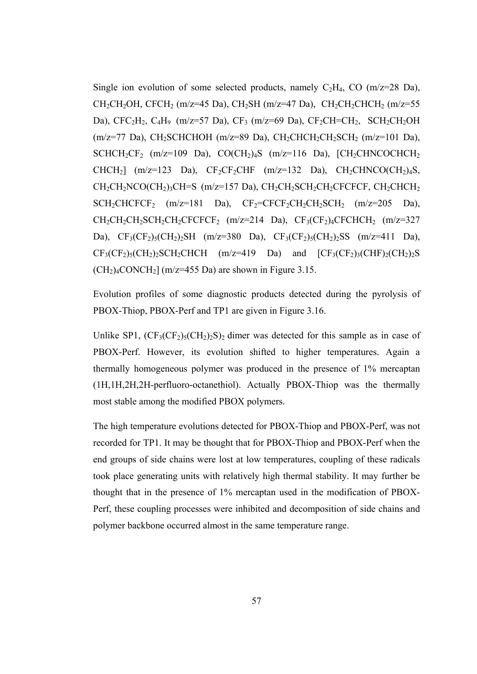Single ion evolution of some selected products, namely  $C_2H_4$ , CO (m/z=28 Da), CH<sub>2</sub>CH<sub>2</sub>OH, CFCH<sub>2</sub> (m/z=45 Da), CH<sub>2</sub>SH (m/z=47 Da), CH<sub>2</sub>CH<sub>2</sub>CHCH<sub>2</sub> (m/z=55 Da),  $CFC_2H_2$ ,  $C_4H_9$  (m/z=57 Da),  $CF_3$  (m/z=69 Da),  $CF_2CH=CH_2$ ,  $SCH_2CH_2OH$  $(m/z=77 \text{ Da})$ , CH<sub>2</sub>SCHCHOH  $(m/z=89 \text{ Da})$ , CH<sub>2</sub>CHCH<sub>2</sub>CH<sub>2</sub>SCH<sub>2</sub>  $(m/z=101 \text{ Da})$ , SCHCH<sub>2</sub>CF<sub>2</sub> (m/z=109 Da), CO(CH<sub>2</sub>)<sub>4</sub>S (m/z=116 Da), [CH<sub>2</sub>CHNCOCHCH<sub>2</sub> CHCH<sub>2</sub>] (m/z=123 Da), CF<sub>2</sub>CF<sub>2</sub>CHF (m/z=132 Da), CH<sub>2</sub>CHNCO(CH<sub>2</sub>)<sub>4</sub>S,  $CH_2CH_2NCO(CH_2)$ <sub>3</sub>CH=S (m/z=157 Da),  $CH_2CH_2SCH_2CH_2CFCFCF$ ,  $CH_2CHCH_2$  $SCH_2CHCFCF_2$  (m/z=181 Da),  $CF_2=CFCF_2CH_2CH_2SCH_2$  (m/z=205 Da),  $CH_2CH_2CH_2CH_2CH_2CFCCFCF_2$  (m/z=214 Da),  $CF_3(CF_2)_4CFCHCH_2$  (m/z=327 Da),  $CF_3(CF_2)_5(CH_2)_2SH$  (m/z=380 Da),  $CF_3(CF_2)_5(CH_2)_2SS$  (m/z=411 Da),  $CF<sub>3</sub>(CF<sub>2</sub>)<sub>5</sub>(CH<sub>2</sub>)<sub>2</sub>SCH<sub>2</sub>CHCH$  ( $m/z=419$  Da) and  $[CF<sub>3</sub>(CF<sub>2</sub>)<sub>3</sub>(CHF)<sub>2</sub>(CH<sub>2</sub>)<sub>2</sub>S$  $(CH<sub>2</sub>)<sub>4</sub>$ CONCH<sub>2</sub> $(m/z=455$  Da) are shown in Figure 3.15.

Evolution profiles of some diagnostic products detected during the pyrolysis of PBOX-Thiop, PBOX-Perf and TP1 are given in Figure 3.16.

Unlike SP1,  $(CF_3(CF_2)_5(CH_2)_2S)_2$  dimer was detected for this sample as in case of PBOX-Perf. However, its evolution shifted to higher temperatures. Again a thermally homogeneous polymer was produced in the presence of 1% mercaptan (1H,1H,2H,2H-perfluoro-octanethiol). Actually PBOX-Thiop was the thermally most stable among the modified PBOX polymers.

The high temperature evolutions detected for PBOX-Thiop and PBOX-Perf, was not recorded for TP1. It may be thought that for PBOX-Thiop and PBOX-Perf when the end groups of side chains were lost at low temperatures, coupling of these radicals took place generating units with relatively high thermal stability. It may further be thought that in the presence of 1% mercaptan used in the modification of PBOX-Perf, these coupling processes were inhibited and decomposition of side chains and polymer backbone occurred almost in the same temperature range.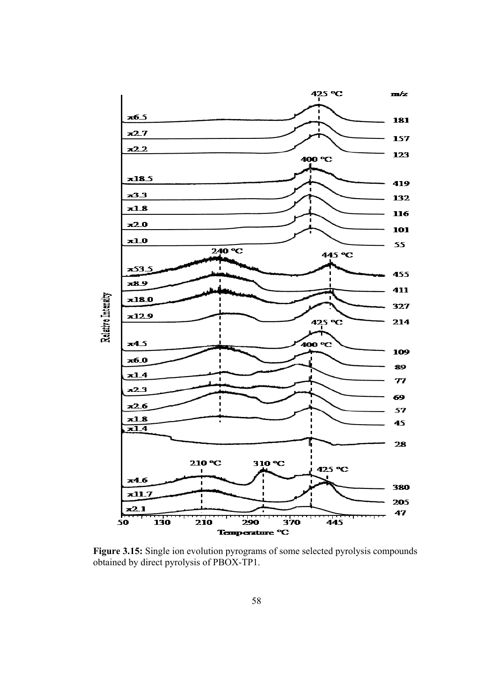

**Figure 3.15:** Single ion evolution pyrograms of some selected pyrolysis compounds obtained by direct pyrolysis of PBOX-TP1.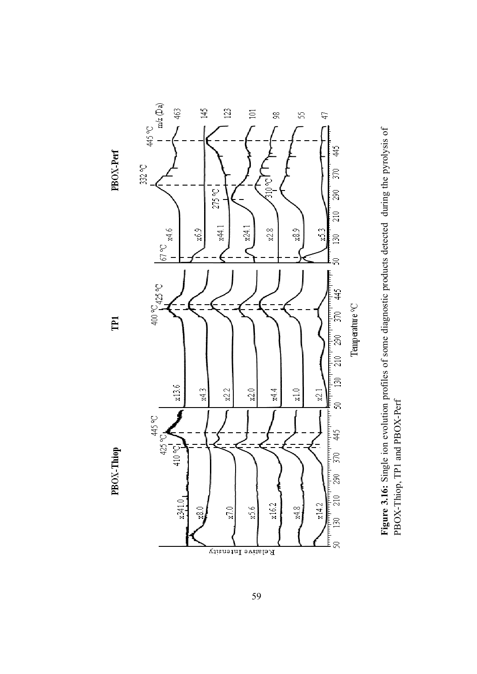

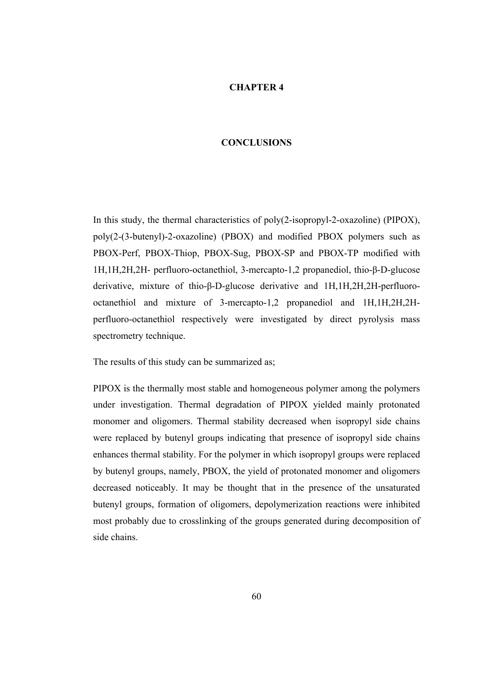## **CHAPTER 4**

## **CONCLUSIONS**

In this study, the thermal characteristics of poly(2-isopropyl-2-oxazoline) (PIPOX), poly(2-(3-butenyl)-2-oxazoline) (PBOX) and modified PBOX polymers such as PBOX-Perf, PBOX-Thiop, PBOX-Sug, PBOX-SP and PBOX-TP modified with 1H,1H,2H,2H- perfluoro-octanethiol, 3-mercapto-1,2 propanediol, thio-β-D-glucose derivative, mixture of thio-β-D-glucose derivative and 1H,1H,2H,2H-perfluorooctanethiol and mixture of 3-mercapto-1,2 propanediol and 1H,1H,2H,2Hperfluoro-octanethiol respectively were investigated by direct pyrolysis mass spectrometry technique.

The results of this study can be summarized as;

PIPOX is the thermally most stable and homogeneous polymer among the polymers under investigation. Thermal degradation of PIPOX yielded mainly protonated monomer and oligomers. Thermal stability decreased when isopropyl side chains were replaced by butenyl groups indicating that presence of isopropyl side chains enhances thermal stability. For the polymer in which isopropyl groups were replaced by butenyl groups, namely, PBOX, the yield of protonated monomer and oligomers decreased noticeably. It may be thought that in the presence of the unsaturated butenyl groups, formation of oligomers, depolymerization reactions were inhibited most probably due to crosslinking of the groups generated during decomposition of side chains.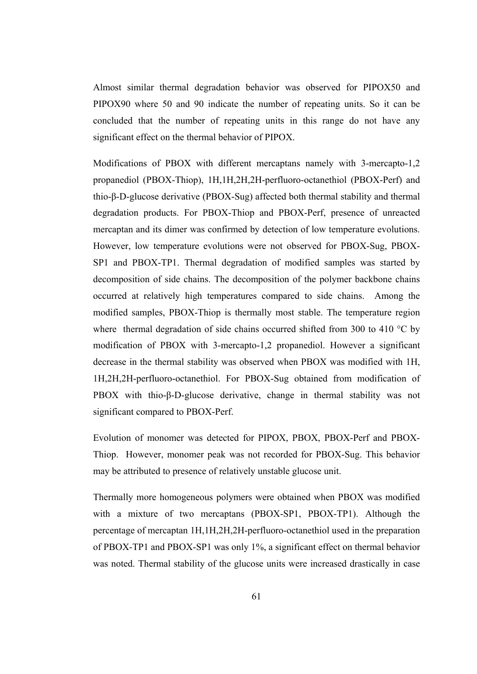Almost similar thermal degradation behavior was observed for PIPOX50 and PIPOX90 where 50 and 90 indicate the number of repeating units. So it can be concluded that the number of repeating units in this range do not have any significant effect on the thermal behavior of PIPOX.

Modifications of PBOX with different mercaptans namely with 3-mercapto-1,2 propanediol (PBOX-Thiop), 1H,1H,2H,2H-perfluoro-octanethiol (PBOX-Perf) and thio-β-D-glucose derivative (PBOX-Sug) affected both thermal stability and thermal degradation products. For PBOX-Thiop and PBOX-Perf, presence of unreacted mercaptan and its dimer was confirmed by detection of low temperature evolutions. However, low temperature evolutions were not observed for PBOX-Sug, PBOX-SP1 and PBOX-TP1. Thermal degradation of modified samples was started by decomposition of side chains. The decomposition of the polymer backbone chains occurred at relatively high temperatures compared to side chains. Among the modified samples, PBOX-Thiop is thermally most stable. The temperature region where thermal degradation of side chains occurred shifted from 300 to 410 °C by modification of PBOX with 3-mercapto-1,2 propanediol. However a significant decrease in the thermal stability was observed when PBOX was modified with 1H, 1H,2H,2H-perfluoro-octanethiol. For PBOX-Sug obtained from modification of PBOX with thio-β-D-glucose derivative, change in thermal stability was not significant compared to PBOX-Perf.

Evolution of monomer was detected for PIPOX, PBOX, PBOX-Perf and PBOX-Thiop. However, monomer peak was not recorded for PBOX-Sug. This behavior may be attributed to presence of relatively unstable glucose unit.

Thermally more homogeneous polymers were obtained when PBOX was modified with a mixture of two mercaptans (PBOX-SP1, PBOX-TP1). Although the percentage of mercaptan 1H,1H,2H,2H-perfluoro-octanethiol used in the preparation of PBOX-TP1 and PBOX-SP1 was only 1%, a significant effect on thermal behavior was noted. Thermal stability of the glucose units were increased drastically in case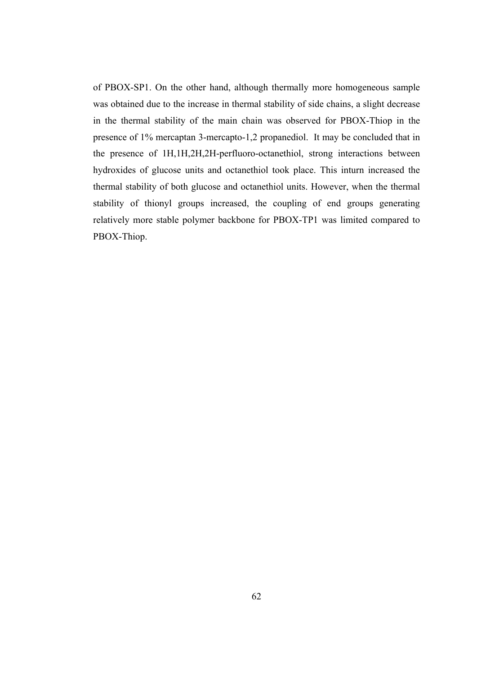of PBOX-SP1. On the other hand, although thermally more homogeneous sample was obtained due to the increase in thermal stability of side chains, a slight decrease in the thermal stability of the main chain was observed for PBOX-Thiop in the presence of 1% mercaptan 3-mercapto-1,2 propanediol. It may be concluded that in the presence of 1H,1H,2H,2H-perfluoro-octanethiol, strong interactions between hydroxides of glucose units and octanethiol took place. This inturn increased the thermal stability of both glucose and octanethiol units. However, when the thermal stability of thionyl groups increased, the coupling of end groups generating relatively more stable polymer backbone for PBOX-TP1 was limited compared to PBOX-Thiop.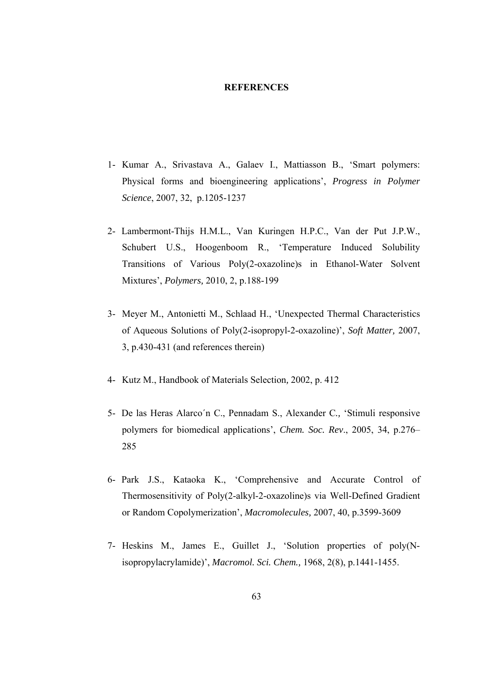## **REFERENCES**

- 1- Kumar A., Srivastava A., Galaev I., Mattiasson B., 'Smart polymers: Physical forms and bioengineering applications', *Progress in Polymer Science*, 2007, 32, p.1205-1237
- 2- Lambermont-Thijs H.M.L., Van Kuringen H.P.C., Van der Put J.P.W., Schubert U.S., Hoogenboom R., 'Temperature Induced Solubility Transitions of Various Poly(2-oxazoline)s in Ethanol-Water Solvent Mixtures', *Polymers,* 2010, 2, p.188-199
- 3- Meyer M., Antonietti M., Schlaad H., 'Unexpected Thermal Characteristics of Aqueous Solutions of Poly(2-isopropyl-2-oxazoline)', *Soft Matter,* 2007, 3, p.430-431 (and references therein)
- 4- Kutz M., Handbook of Materials Selection*,* 2002, p. 412
- 5- De las Heras Alarco´n C., Pennadam S., Alexander C*.,* 'Stimuli responsive polymers for biomedical applications', *Chem. Soc. Rev*., 2005, 34, p.276– 285
- 6- Park J.S., Kataoka K., 'Comprehensive and Accurate Control of Thermosensitivity of Poly(2-alkyl-2-oxazoline)s via Well-Defined Gradient or Random Copolymerization', *Macromolecules,* 2007, 40, p.3599-3609
- 7- Heskins M., James E., Guillet J., 'Solution properties of poly(Nisopropylacrylamide)', *Macromol. Sci. Chem.,* 1968, 2(8), p.1441-1455.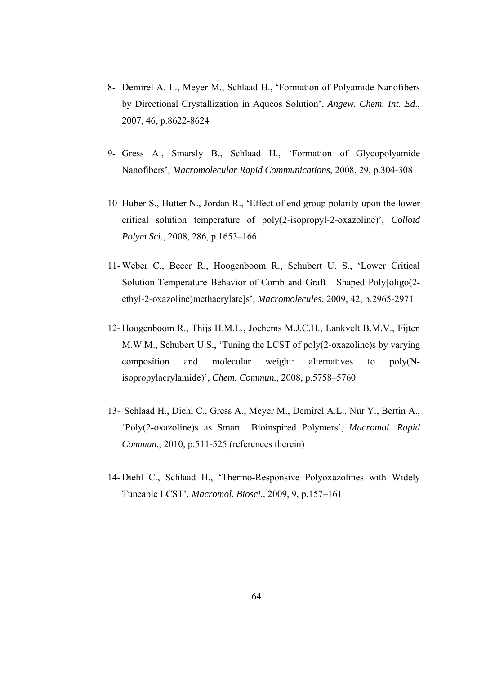- 8- Demirel A. L., Meyer M., Schlaad H., 'Formation of Polyamide Nanofibers by Directional Crystallization in Aqueos Solution', *Angew. Chem. Int. Ed*., 2007, 46, p.8622-8624
- 9- Gress A., Smarsly B., Schlaad H., 'Formation of Glycopolyamide Nanofibers', *Macromolecular Rapid Communications*, 2008, 29, p.304-308
- 10- Huber S., Hutter N., Jordan R., 'Effect of end group polarity upon the lower critical solution temperature of poly(2-isopropyl-2-oxazoline)', *Colloid Polym Sci.*, 2008, 286, p.1653–166
- 11- Weber C., Becer R., Hoogenboom R., Schubert U. S., 'Lower Critical Solution Temperature Behavior of Comb and Graft Shaped Poly[oligo(2 ethyl-2-oxazoline)methacrylate]s', *Macromolecules*, 2009, 42, p.2965-2971
- 12- Hoogenboom R., Thijs H.M.L., Jochems M.J.C.H., Lankvelt B.M.V., Fijten M.W.M., Schubert U.S., 'Tuning the LCST of poly(2-oxazoline)s by varying composition and molecular weight: alternatives to poly(Nisopropylacrylamide)', *Chem. Commun.,* 2008, p.5758–5760
- 13- Schlaad H., Diehl C., Gress A., Meyer M., Demirel A.L., Nur Y., Bertin A., 'Poly(2-oxazoline)s as Smart Bioinspired Polymers', *Macromol. Rapid Commun.*, 2010, p.511-525 (references therein)
- 14- Diehl C., Schlaad H., 'Thermo-Responsive Polyoxazolines with Widely Tuneable LCST', *Macromol. Biosci.,* 2009, 9, p.157–161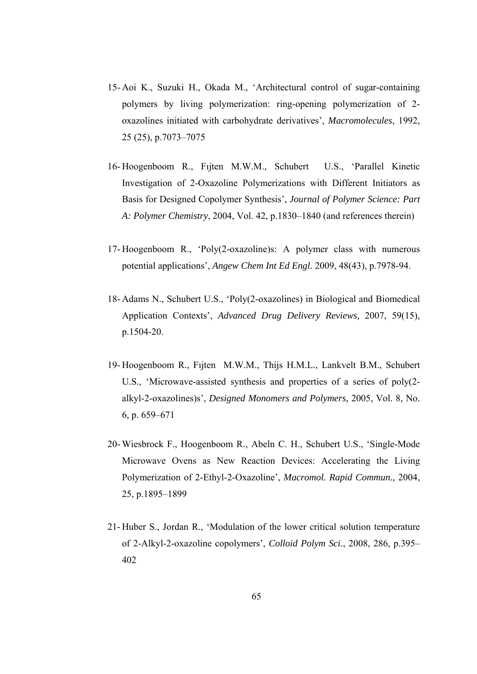- 15- Aoi K., Suzuki H., Okada M., 'Architectural control of sugar-containing polymers by living polymerization: ring-opening polymerization of 2 oxazolines initiated with carbohydrate derivatives', *Macromolecules*, 1992, 25 (25), p.7073–7075
- 16- Hoogenboom R., Fıjten M.W.M., Schubert U.S., 'Parallel Kinetic Investigation of 2-Oxazoline Polymerizations with Different Initiators as Basis for Designed Copolymer Synthesis', *Journal of Polymer Science: Part A: Polymer Chemistry*, 2004, Vol. 42, p.1830–1840 (and references therein)
- 17- Hoogenboom R., 'Poly(2-oxazoline)s: A polymer class with numerous potential applications', *Angew Chem Int Ed Engl.* 2009, 48(43), p.7978-94.
- 18- Adams N., Schubert U.S., 'Poly(2-oxazolines) in Biological and Biomedical Application Contexts', *Advanced Drug Delivery Reviews,* 2007, 59(15), p.1504-20.
- 19- Hoogenboom R., Fıjten M.W.M., Thijs H.M.L., Lankvelt B.M., Schubert U.S., 'Microwave-assisted synthesis and properties of a series of poly(2 alkyl-2-oxazolines)s', *Designed Monomers and Polymers,* 2005, Vol. 8, No. 6, p. 659–671
- 20- Wiesbrock F., Hoogenboom R., Abeln C. H., Schubert U.S., 'Single-Mode Microwave Ovens as New Reaction Devices: Accelerating the Living Polymerization of 2-Ethyl-2-Oxazoline', *Macromol. Rapid Commun.,* 2004, 25, p.1895–1899
- 21- Huber S., Jordan R., 'Modulation of the lower critical solution temperature of 2-Alkyl-2-oxazoline copolymers', *Colloid Polym Sci.*, 2008, 286, p.395– 402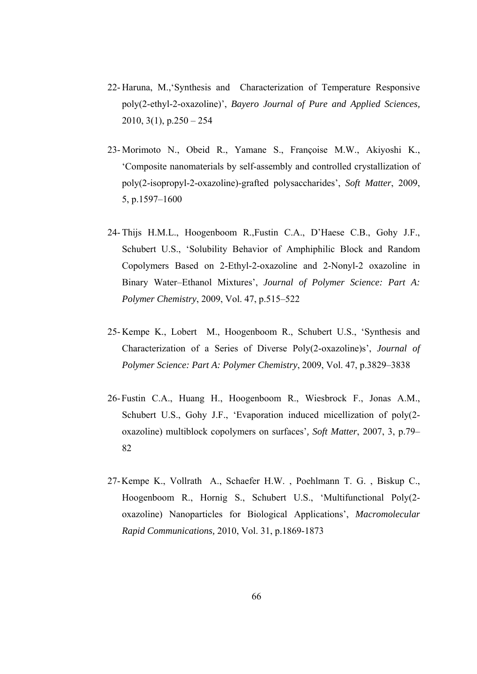- 22- Haruna, M.,'Synthesis and Characterization of Temperature Responsive poly(2-ethyl-2-oxazoline)', *Bayero Journal of Pure and Applied Sciences,* 2010, 3(1), p.250 – 254
- 23- Morimoto N., Obeid R., Yamane S., Françoise M.W., Akiyoshi K., 'Composite nanomaterials by self-assembly and controlled crystallization of poly(2-isopropyl-2-oxazoline)-grafted polysaccharides', *Soft Matter*, 2009, 5, p.1597–1600
- 24- Thijs H.M.L., Hoogenboom R.,Fustin C.A., D'Haese C.B., Gohy J.F., Schubert U.S., 'Solubility Behavior of Amphiphilic Block and Random Copolymers Based on 2-Ethyl-2-oxazoline and 2-Nonyl-2 oxazoline in Binary Water–Ethanol Mixtures', *Journal of Polymer Science: Part A: Polymer Chemistry*, 2009, Vol. 47, p.515–522
- 25- Kempe K., Lobert M., Hoogenboom R., Schubert U.S., 'Synthesis and Characterization of a Series of Diverse Poly(2-oxazoline)s', *Journal of Polymer Science: Part A: Polymer Chemistry*, 2009, Vol. 47, p.3829–3838
- 26-Fustin C.A., Huang H., Hoogenboom R., Wiesbrock F., Jonas A.M., Schubert U.S., Gohy J.F., 'Evaporation induced micellization of poly(2 oxazoline) multiblock copolymers on surfaces'*, Soft Matter*, 2007, 3, p.79– 82
- 27-Kempe K., Vollrath A., Schaefer H.W. , Poehlmann T. G. , Biskup C., Hoogenboom R., Hornig S., Schubert U.S., 'Multifunctional Poly(2 oxazoline) Nanoparticles for Biological Applications', *Macromolecular Rapid Communications,* 2010, Vol. 31, p.1869-1873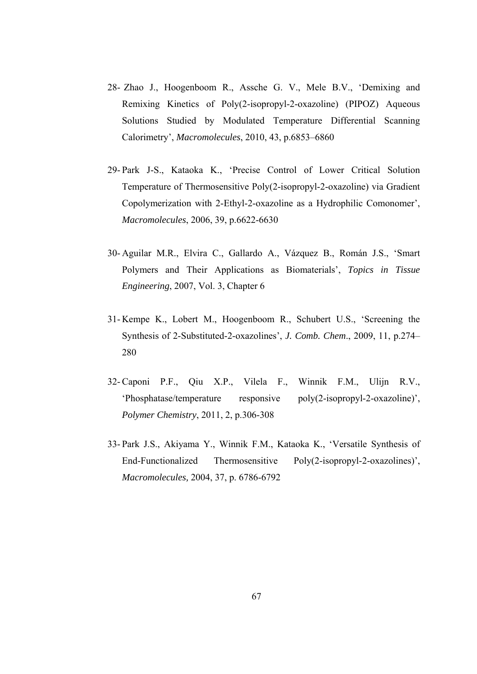- 28- Zhao J., Hoogenboom R., Assche G. V., Mele B.V., 'Demixing and Remixing Kinetics of Poly(2-isopropyl-2-oxazoline) (PIPOZ) Aqueous Solutions Studied by Modulated Temperature Differential Scanning Calorimetry', *Macromolecules*, 2010, 43, p.6853–6860
- 29- Park J-S., Kataoka K., 'Precise Control of Lower Critical Solution Temperature of Thermosensitive Poly(2-isopropyl-2-oxazoline) via Gradient Copolymerization with 2-Ethyl-2-oxazoline as a Hydrophilic Comonomer', *Macromolecules*, 2006, 39, p.6622-6630
- 30- Aguilar M.R., Elvira C., Gallardo A., Vázquez B., Román J.S., 'Smart Polymers and Their Applications as Biomaterials', *Topics in Tissue Engineering*, 2007, Vol. 3, Chapter 6
- 31- Kempe K., Lobert M., Hoogenboom R., Schubert U.S., 'Screening the Synthesis of 2-Substituted-2-oxazolines', *J. Comb. Chem*., 2009, 11, p.274– 280
- 32- Caponi P.F., Qiu X.P., Vilela F., Winnik F.M., Ulijn R.V., 'Phosphatase/temperature responsive poly(2-isopropyl-2-oxazoline)', *Polymer Chemistry*, 2011, 2, p.306-308
- 33- Park J.S., Akiyama Y., Winnik F.M., Kataoka K., 'Versatile Synthesis of End-Functionalized Thermosensitive Poly(2-isopropyl-2-oxazolines)', *Macromolecules,* 2004, 37, p. 6786-6792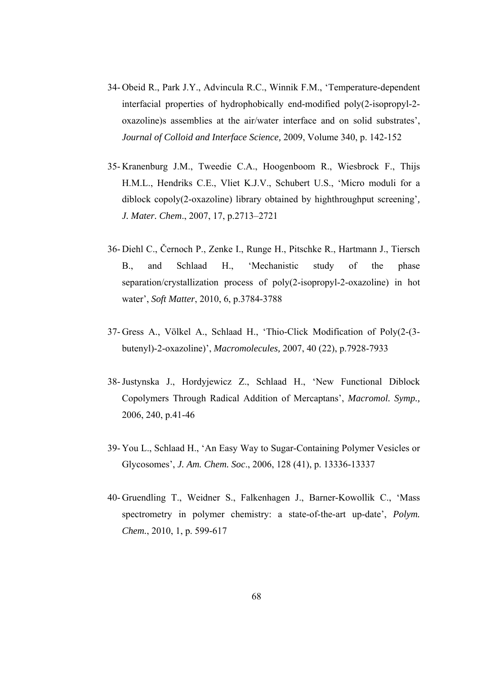- 34- Obeid R., Park J.Y., Advincula R.C., Winnik F.M., 'Temperature-dependent interfacial properties of hydrophobically end-modified poly(2-isopropyl-2 oxazoline)s assemblies at the air/water interface and on solid substrates', *Journal of Colloid and Interface Science,* 2009, Volume 340, p. 142-152
- 35- Kranenburg J.M., Tweedie C.A., Hoogenboom R., Wiesbrock F., Thijs H.M.L., Hendriks C.E., Vliet K.J.V., Schubert U.S., 'Micro moduli for a diblock copoly(2-oxazoline) library obtained by highthroughput screening'*, J. Mater. Chem*., 2007, 17, p.2713–2721
- 36- Diehl C., Černoch P., Zenke I., Runge H., Pitschke R., Hartmann J., Tiersch B., and Schlaad H., 'Mechanistic study of the phase separation/crystallization process of poly(2-isopropyl-2-oxazoline) in hot water', *Soft Matter*, 2010, 6, p.3784-3788
- 37- Gress A., Völkel A., Schlaad H., 'Thio-Click Modification of Poly(2-(3 butenyl)-2-oxazoline)', *Macromolecules,* 2007, 40 (22), p.7928-7933
- 38-Justynska J., Hordyjewicz Z., Schlaad H., 'New Functional Diblock Copolymers Through Radical Addition of Mercaptans', *Macromol. Symp.,*  2006, 240, p.41-46
- 39- You L., Schlaad H., 'An Easy Way to Sugar-Containing Polymer Vesicles or Glycosomes', *J. Am. Chem. Soc*., 2006, 128 (41), p. 13336-13337
- 40- Gruendling T., Weidner S., Falkenhagen J., Barner-Kowollik C., 'Mass spectrometry in polymer chemistry: a state-of-the-art up-date', *Polym. Chem.*, 2010, 1, p. 599-617